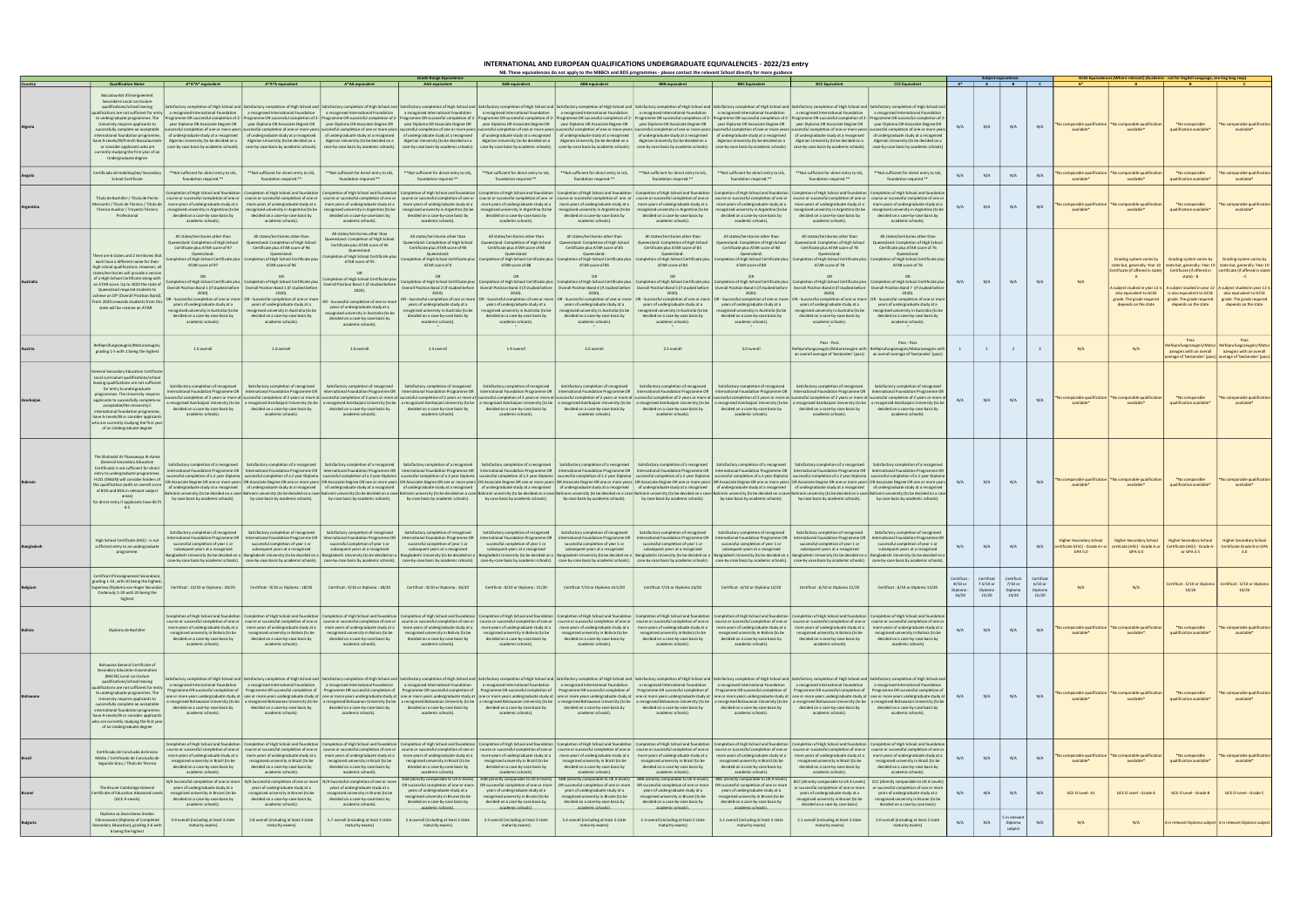|                |                                                                                                                                                                                                                                                                                                                                                                                                                                                        |                                                                                                                                                                                         |                                                                                                                                                                                                                                                                                                                                       |                                                                                                                                                                                                                                                                                                                                                                                                                                                                                                                                                                                                                                                                                                                                                                                                                                                                                                                                                                                                                                                                                                                                                                                                                                                                                                                                                                                                                                                                                                                                                                                                                                                                                                                                                                                                                                                                            |                                                                                                                                                    |                                                                                                                                                                                                                                                                                                                                                                                                                                                                                                                                                                                                                                                                                                                                                                                                                                                                                                                                             |                                                                                                                                                                                         |                                                                                                                                                     | NB. These equivalences do not apply to the MBBCh and BDS programmes - please contact the relevant School directly for more guidanc                  |                                                                                                                                                                                                                                                                                            |                                                                                                                                                                                                                                                  |                                               |                                               |                                             |                                                   |                                                                                 |                                                                              |                                                                                 |                                                                                                                                                                                                                                      |
|----------------|--------------------------------------------------------------------------------------------------------------------------------------------------------------------------------------------------------------------------------------------------------------------------------------------------------------------------------------------------------------------------------------------------------------------------------------------------------|-----------------------------------------------------------------------------------------------------------------------------------------------------------------------------------------|---------------------------------------------------------------------------------------------------------------------------------------------------------------------------------------------------------------------------------------------------------------------------------------------------------------------------------------|----------------------------------------------------------------------------------------------------------------------------------------------------------------------------------------------------------------------------------------------------------------------------------------------------------------------------------------------------------------------------------------------------------------------------------------------------------------------------------------------------------------------------------------------------------------------------------------------------------------------------------------------------------------------------------------------------------------------------------------------------------------------------------------------------------------------------------------------------------------------------------------------------------------------------------------------------------------------------------------------------------------------------------------------------------------------------------------------------------------------------------------------------------------------------------------------------------------------------------------------------------------------------------------------------------------------------------------------------------------------------------------------------------------------------------------------------------------------------------------------------------------------------------------------------------------------------------------------------------------------------------------------------------------------------------------------------------------------------------------------------------------------------------------------------------------------------------------------------------------------------|----------------------------------------------------------------------------------------------------------------------------------------------------|---------------------------------------------------------------------------------------------------------------------------------------------------------------------------------------------------------------------------------------------------------------------------------------------------------------------------------------------------------------------------------------------------------------------------------------------------------------------------------------------------------------------------------------------------------------------------------------------------------------------------------------------------------------------------------------------------------------------------------------------------------------------------------------------------------------------------------------------------------------------------------------------------------------------------------------------|-----------------------------------------------------------------------------------------------------------------------------------------------------------------------------------------|-----------------------------------------------------------------------------------------------------------------------------------------------------|-----------------------------------------------------------------------------------------------------------------------------------------------------|--------------------------------------------------------------------------------------------------------------------------------------------------------------------------------------------------------------------------------------------------------------------------------------------|--------------------------------------------------------------------------------------------------------------------------------------------------------------------------------------------------------------------------------------------------|-----------------------------------------------|-----------------------------------------------|---------------------------------------------|---------------------------------------------------|---------------------------------------------------------------------------------|------------------------------------------------------------------------------|---------------------------------------------------------------------------------|--------------------------------------------------------------------------------------------------------------------------------------------------------------------------------------------------------------------------------------|
|                | <b>Qualification Name</b>                                                                                                                                                                                                                                                                                                                                                                                                                              | A*A*A* equivalent                                                                                                                                                                       | A*A*A equivalent                                                                                                                                                                                                                                                                                                                      | A*AA equivalent                                                                                                                                                                                                                                                                                                                                                                                                                                                                                                                                                                                                                                                                                                                                                                                                                                                                                                                                                                                                                                                                                                                                                                                                                                                                                                                                                                                                                                                                                                                                                                                                                                                                                                                                                                                                                                                            | irade Range Equivalenc<br><b>AAA</b> equivalent                                                                                                    | <b>AAB</b> equivalent                                                                                                                                                                                                                                                                                                                                                                                                                                                                                                                                                                                                                                                                                                                                                                                                                                                                                                                       | <b>ABB</b> equivalent                                                                                                                                                                   | <b>BBB</b> equivalent                                                                                                                               | <b>BBC</b> Equivalent                                                                                                                               | <b>BCC Equivalent</b>                                                                                                                                                                                                                                                                      | <b>CCC Equivalent</b>                                                                                                                                                                                                                            |                                               |                                               |                                             |                                                   |                                                                                 |                                                                              | 'here relevant) (Academic - not for English Language, see Eng lang req          |                                                                                                                                                                                                                                      |
|                | Baccalauréat d'Enseignemen<br>Secondaire Local curriculum<br>qualifications/school leaving<br>lifications are not sufficient for entry<br>to undergraduate programmes. The<br>University requires applicants to<br>successfully complete an acceptable<br>international foundation programme,<br>have A-Levels/IB/French Baccalaureate<br>or consider applicants who are<br>currently studying the first year of an<br>Undergraduate degree            |                                                                                                                                                                                         |                                                                                                                                                                                                                                                                                                                                       | atisfactory completion of High School and   Satisfactory completion of High School and   Satisfactory completion of High School and   Satisfactory completion of High School and   Satisfactory completion of High School and<br>a recognised International Foundation arecognised International Foundation arecognised International Foundation arecognised International Foundation arecognised International Foundation arecognised International Foundation<br>Programme OR successful completion of 2-   Programme OR successful completion of 2-   Programme OR successful completion of 2-   Programme OR successful completion of 2-   Programme OR successful completion of 2-   Program<br>year Diploma OR Associate Degree OR   year Diploma OR Associate Degree OR   year Diploma OR Associate Degree OR   year Diploma OR Associate Degree OR   year Diploma OR Associate Degree OR   year Diploma OR Associate Degree<br>uccessful completion of one or more years   successful completion of one or more years   successful completion of one or more years   successful completion of one or more years   successful completion of one or more years<br>of undergraduate study ata recognised of undergraduate study ata recognised of undergraduate study ata recognised of undergraduate study ata recognised of undergraduate study ata recognised of undergraduate study ata recog<br>Algerian University (to be decided on a Algerian University (to be decided on a Algerian University (to be decided on a Algerian University (to be decided on a Algerian University (to be decided on a Algerian University (t<br>case-by-case basis by academic schools). [case-by-case basis by academic schools). [case-by-case basis by academic schools). [case-by-case basis by academic schools]. [case-by-case basis by academic schools]. [case-by-case |                                                                                                                                                    |                                                                                                                                                                                                                                                                                                                                                                                                                                                                                                                                                                                                                                                                                                                                                                                                                                                                                                                                             |                                                                                                                                                                                         |                                                                                                                                                     |                                                                                                                                                     |                                                                                                                                                                                                                                                                                            |                                                                                                                                                                                                                                                  | N/A                                           | N/A                                           | N/A                                         | N/A                                               | comparable qualification<br>available <sup>*</sup>                              | comparable qualificatio<br>available*                                        | *No comparable<br>qualification available*                                      | omparable qualification<br>available*                                                                                                                                                                                                |
|                | Certificado de Habilitações/ Secondary                                                                                                                                                                                                                                                                                                                                                                                                                 | ** Not sufficient for direct entry to UG,                                                                                                                                               | **Not sufficient for direct entry to UG,                                                                                                                                                                                                                                                                                              | **Not sufficient for direct entry to UG,                                                                                                                                                                                                                                                                                                                                                                                                                                                                                                                                                                                                                                                                                                                                                                                                                                                                                                                                                                                                                                                                                                                                                                                                                                                                                                                                                                                                                                                                                                                                                                                                                                                                                                                                                                                                                                   | ** Not sufficient for direct entry to UG,                                                                                                          | **Not sufficient for direct entry to UG,                                                                                                                                                                                                                                                                                                                                                                                                                                                                                                                                                                                                                                                                                                                                                                                                                                                                                                    | **Not sufficient for direct entry to UG,                                                                                                                                                | ** Not sufficient for direct entry to UG,                                                                                                           | ** Not sufficient for direct entry to UG,                                                                                                           | **Not sufficient for direct entry to UG,                                                                                                                                                                                                                                                   | **Not sufficient for direct entry to UG,                                                                                                                                                                                                         | N/A                                           | N/A                                           | N/A                                         | N/A                                               | comparable qualification                                                        | comparable qualification                                                     | *No comparable                                                                  | omparable qualification                                                                                                                                                                                                              |
|                | School Certificate                                                                                                                                                                                                                                                                                                                                                                                                                                     | foundation required.**                                                                                                                                                                  | foundation required.**                                                                                                                                                                                                                                                                                                                | foundation required.**                                                                                                                                                                                                                                                                                                                                                                                                                                                                                                                                                                                                                                                                                                                                                                                                                                                                                                                                                                                                                                                                                                                                                                                                                                                                                                                                                                                                                                                                                                                                                                                                                                                                                                                                                                                                                                                     | foundation required.**                                                                                                                             | foundation required.**                                                                                                                                                                                                                                                                                                                                                                                                                                                                                                                                                                                                                                                                                                                                                                                                                                                                                                                      | foundation required.**                                                                                                                                                                  | foundation required.**                                                                                                                              | foundation required.**                                                                                                                              | foundation required.**                                                                                                                                                                                                                                                                     | foundation required.**                                                                                                                                                                                                                           |                                               |                                               |                                             |                                                   | available <sup>®</sup>                                                          | available*                                                                   | qualification available                                                         | available*                                                                                                                                                                                                                           |
|                | Título de Bachiller / Título de Perito<br>Mercantil / Título de Técnico / Título di<br>Técnico Auxiliar / Trayecto Técnico<br>Professional                                                                                                                                                                                                                                                                                                             | mpletion of High School and foundation<br>ecognised university in Argentina (to be<br>decided on a case-by-case basis by<br>academic schools).                                          | ompletion of High School and foundation<br>ourse or successful completion of one or $\parallel$ course or successful completion of one or<br>more years of undergraduate study at a   more years of undergraduate study at a<br>recognised university in Argentina (to be<br>decided on a case-by-case basis by<br>academic schools). | ompletion of High School and foundation<br>recognised university in Argentina (to be<br>decided on a case-by-case basis by<br>academic schools).                                                                                                                                                                                                                                                                                                                                                                                                                                                                                                                                                                                                                                                                                                                                                                                                                                                                                                                                                                                                                                                                                                                                                                                                                                                                                                                                                                                                                                                                                                                                                                                                                                                                                                                           | decided on a case-by-case basis by<br>academic schools).                                                                                           | Completion of High School and foundation   Completion of High School and foundation   Completion of High School and foundation   Completion of High School and foundation<br>course or successful completion of one or   course or successful completion of one or   course or successful completion of one or   course or successful completion of one or   course or successful completion of one or   co<br>more years of undergraduate study at a more years of undergraduate study at a more years of undergraduate study at a more years of undergraduate study at a more years of undergraduate study at a more years of undergraduate<br>recognised university in Argentina (to be recognised university in Argentina (to be recognised university in Argentina (to be recognised university in Argentina (to be recognised university in Argentina (to be recognised u<br>decided on a case-by-case basis by<br>academic schools). | decided on a case-by-case basis by<br>academic schools).                                                                                                                                | decided on a case-by-case basis by<br>academic schools).                                                                                            | Completion of High School and foundation<br>recognised university in Argentina (to be<br>decided on a case-by-case basis by<br>academic schools).   | ompletion of High School and foundation<br>course or successful completion of one or   course or successful completion of one o<br>decided on a case-by-case basis by<br>academic schools).                                                                                                | Completion of High School and foundatio<br>recognised university in Argentina (to be   recognised university in Argentina (to b<br>decided on a case-by-case basis by<br>academic schools).                                                      |                                               | N/A                                           | N/A                                         | N/A                                               | comparable qualificatio<br>available <sup>®</sup>                               | comparable qualificatio<br>available*                                        | *No comparable<br>qualification available*                                      | comparable qualification<br>available*                                                                                                                                                                                               |
|                | There are 6 states and 2 territories tha<br>each have a different name for their                                                                                                                                                                                                                                                                                                                                                                       | All states/territories other than<br>ueensland: Completion of High School<br>Certificate plus ATAR score of 97<br>Queensland:<br>ATAR score of 97                                       | All states/territories other than<br>Queensland: Completion of High Schoo<br>Certificate plus ATAR score of 96<br>Queensland:<br>Completion of High School Certificate plus   Completion of High School Certificate plus<br>ATAR score of 96                                                                                          | All states/territories other than<br>ueensland: Completion of High School<br>Certificate plus ATAR score of 95<br>Queensland:<br>Completion of High School Certificate plus<br>ATAR score of 95                                                                                                                                                                                                                                                                                                                                                                                                                                                                                                                                                                                                                                                                                                                                                                                                                                                                                                                                                                                                                                                                                                                                                                                                                                                                                                                                                                                                                                                                                                                                                                                                                                                                            | All states/territories other than<br>eensland: Completion of High School<br>Certificate plus ATAR score of 90<br>Queensland:<br>ATAR score of 0    | All states/territories other than<br>Queensland: Completion of High School<br>Certificate plus ATAR score of 88<br>Queensland:<br>Completion of High School Certificate plus   Completion of High School Certificate plus   Completion of High School Certificate plus   Completion of High School Certificate plus  <br>ATAR score of 88                                                                                                                                                                                                                                                                                                                                                                                                                                                                                                                                                                                                   | All states/territories other than<br>Queensland: Completion of High School<br>Certificate plus ATAR score of 85<br>Queensland:<br>ATAR score of 85                                      | All states/territories other than<br>Queensland: Completion of High School<br>Certificate plus ATAR score of 83<br>Queensland:<br>ATAR score of 83  | All states/territories other than<br>Queensland: Completion of High School<br>Certificate plus ATAR score of 80<br>Queensland:<br>ATAR score of 80  | All states/territories other than<br>Queensland: Completion of High School<br>Certificate plus ATAR score of 78<br>Queensland:<br>Completion of High School Certificate plus   Completion of High School Certificate plus   Completion of High School Certificate plus<br>ATAR score of 78 | All states/territories other than<br>queensland: Completion of High Schoo<br>Certificate plus ATAR score of 76<br>Queensland:<br>ATAR score of 76                                                                                                |                                               |                                               |                                             |                                                   |                                                                                 |                                                                              | Grading system varies by Grading system varies by                               | Grading system varies by                                                                                                                                                                                                             |
|                | high school qualifications. However, al<br>states/territories will provide a version<br>of a High School Certificate along with<br>an ATAR score. Up to 2020 the state of<br>Queensland required students to                                                                                                                                                                                                                                           |                                                                                                                                                                                         | Completion of High School Certificate plus   Completion of High School Certificate plus<br>Overall Position Band 1 (if studied before   Overall Position Band 1 (if studied before                                                                                                                                                    | OR<br>ompletion of High School Certificate plus<br>Overall Position Band 1 (if studied before<br>$2020$ ).                                                                                                                                                                                                                                                                                                                                                                                                                                                                                                                                                                                                                                                                                                                                                                                                                                                                                                                                                                                                                                                                                                                                                                                                                                                                                                                                                                                                                                                                                                                                                                                                                                                                                                                                                                 |                                                                                                                                                    | ompletion of High School Certificate plus   Completion of High School Certificate plus   Completion of High School Certificate plus   Completion of High School Certificate plus   Completion of High School Certificate plus<br>Overall Position Band 2 (if studied before   Overall Position Band 3 (if studied before   Overall Position Band 4 (if studied before   Overall Position Band 4 (if studied before   Overall Position Band 4 (if studied before                                                                                                                                                                                                                                                                                                                                                                                                                                                                             | OR                                                                                                                                                                                      | OR                                                                                                                                                  |                                                                                                                                                     |                                                                                                                                                                                                                                                                                            |                                                                                                                                                                                                                                                  | N/A                                           | N/A                                           | N/A                                         | N/A                                               | N/A                                                                             | Certificate (if offered in state)   Certificate (if offered in<br>A          | state) - B                                                                      | state but, generally: Year 10   state but, generally: Year 10   state but, generally: Year 10<br>certificate (if offered in state)<br>subject studied in year 12 is   A subject studied in year 12   A subject studied in year 12 is |
|                | achieve an OP (Overall Position Band).<br>From 2020 onwards students from this<br>state will be receive an ATAR.                                                                                                                                                                                                                                                                                                                                       | 2020).<br>years of undergraduate study at a<br>cognised university in Australia (to be<br>decided on a case-by-case basis by<br>academic schools).                                      | 2020).<br>OR - Successful completion of one or more   OR - Successful completion of one or more<br>years of undergraduate study at a<br>cognised university in Australia (to be<br>decided on a case-by-case basis by<br>academic schools).                                                                                           | - Successful completion of one or more<br>years of undergraduate study at a<br>ognised university in Australia (to be<br>decided on a case-by-case basis by<br>academic schools).                                                                                                                                                                                                                                                                                                                                                                                                                                                                                                                                                                                                                                                                                                                                                                                                                                                                                                                                                                                                                                                                                                                                                                                                                                                                                                                                                                                                                                                                                                                                                                                                                                                                                          | 2020).<br>years of undergraduate study at a<br>cognised university in Australia (to be<br>decided on a case-by-case basis by<br>academic schools). | 2020).<br>OR - Successful completion of one or more   OR - Successful completion of one or more   OR - Successful completion of one or more   OR - Successful completion of one or more   OR - Successful completion of one or more   OR<br>years of undergraduate study at a<br>ecognised university in Australia (to be<br>decided on a case-by-case basis by<br>academic schools).                                                                                                                                                                                                                                                                                                                                                                                                                                                                                                                                                       | 2020).<br>years of undergraduate study at a<br>ecognised university in Australia (to be<br>decided on a case-by-case basis by<br>academic schools).                                     | 2020).<br>years of undergraduate study at a<br>ecognised university in Australia (to be<br>decided on a case-by-case basis by<br>academic schools). | 2020).<br>years of undergraduate study at a<br>ecognised university in Australia (to be<br>decided on a case-by-case basis by<br>academic schools). | 2020).<br>years of undergraduate study at a<br>ecognised university in Australia (to be<br>decided on a case-by-case basis by<br>academic schools).                                                                                                                                        | vears of undergraduate study at a<br>ecognised university in Australia (to be<br>decided on a case-by-case basis by<br>academic schools).                                                                                                        |                                               |                                               |                                             |                                                   |                                                                                 | also equivalent to GCSE<br>grade. The grade required<br>depends on the state | is also equivalent to GCSE<br>grade. The grade required<br>depends on the state | also equivalent to GCSE<br>grade. The grade required<br>depends on the state                                                                                                                                                         |
|                | Reifeprüfungszeugnis/Maturazeugnis<br>grading 1-5 with 1 being the highest                                                                                                                                                                                                                                                                                                                                                                             | 1.0 overall                                                                                                                                                                             | 1.0 overall                                                                                                                                                                                                                                                                                                                           | 1.0 overall                                                                                                                                                                                                                                                                                                                                                                                                                                                                                                                                                                                                                                                                                                                                                                                                                                                                                                                                                                                                                                                                                                                                                                                                                                                                                                                                                                                                                                                                                                                                                                                                                                                                                                                                                                                                                                                                | 1.4 overall                                                                                                                                        | 1.9 overall                                                                                                                                                                                                                                                                                                                                                                                                                                                                                                                                                                                                                                                                                                                                                                                                                                                                                                                                 | 2.0 overall                                                                                                                                                                             | 2.5 overall                                                                                                                                         | 3.0 overall                                                                                                                                         | Pass - Pass                                                                                                                                                                                                                                                                                | Pass - Pass<br>eifeprufungszeugnis/Maturazeugnis with Reifeprufungszeugnis/Maturazeugnis with<br>an overall average of 'bestanden' (pass)   an overall average of 'bestanden' (pass                                                              |                                               | $\overline{1}$                                |                                             | $\overline{2}$                                    | N/A                                                                             |                                                                              | Pass<br>azeugnis with an overall                                                | Pass<br>eifeprufungszeugnis/Matur   Reifeprufungszeugnis/Matur<br>azeugnis with an overall<br>average of 'bestanden' (pass) average of 'bestanden' (pass)                                                                            |
|                | <b>Seneral Secondary Education Certificate</b><br>Local curriculum qualifications/school<br>leaving qualifications are not sufficient<br>for entry to undergraduate<br>programmes. The University require:<br>applicants to successfully complete an<br>acceptable/the University's<br>international foundation programme,<br>have A-Levels/IB or consider applicant<br>who are currently studying the first yea<br>of an Undergraduate degree         | Satisfactory completion of recognised<br>decided on a case-by-case basis by<br>academic schools).                                                                                       | Satisfactory completion of recognised<br>decided on a case-by-case basis by<br>academic schools).                                                                                                                                                                                                                                     | Satisfactory completion of recognised<br>International Foundation Programme OR   International Foundation Programme OR   International Foundation Programme OR   International Foundation Programme OR   International Foundation Programme OR   International Foundati<br>ccessful completion of 2 years or more at  successful completion of 2 years or more at  successful completion of 2 years or more at  successful completion of 2 years or more at  successful completion of 2 years or more at<br>arecognised Azerbaijani University (to be   a recognised Azerbaijani University (to be   a recognised Azerbaijani University (to be   a recognised Azerbaijani University (to be   a recognised Azerbaijani University (to be<br>decided on a case-by-case basis by<br>academic schools).                                                                                                                                                                                                                                                                                                                                                                                                                                                                                                                                                                                                                                                                                                                                                                                                                                                                                                                                                                                                                                                                      | decided on a case-by-case basis by<br>academic schools).                                                                                           | Satisfactory completion of recognised Satisfactory completion of recognised<br>decided on a case-by-case basis by<br>academic schools)                                                                                                                                                                                                                                                                                                                                                                                                                                                                                                                                                                                                                                                                                                                                                                                                      | decided on a case-by-case basis by<br>academic schools).                                                                                                                                | Satisfactory completion of recognised   Satisfactory completion of recognised<br>decided on a case-by-case basis by<br>academic schools).           | Satisfactory completion of recognised<br>decided on a case-by-case basis by<br>academic schools).                                                   | Satisfactory completion of recognised<br>decided on a case-by-case basis by<br>academic schools).                                                                                                                                                                                          | Satisfactory completion of recognised<br>decided on a case-by-case basis by<br>academic schools).                                                                                                                                                | N/A                                           | N/A                                           | N/A                                         | N/A                                               | o comparable qualificatio<br>available*                                         | comparable qualificat<br>available*                                          | *No comparable<br>qualification available*                                      | o comparable qualification<br>available*                                                                                                                                                                                             |
|                | The Shahadat Al-Thanawaya Al-Aama<br>(General Secondary Education<br>Certificate) is not sufficient for direct<br>entry to undergraduate programmes.<br>H101 (ENGIN) will consider holders of<br>this qualification (with an overall score<br>of 85% and 85% in relevant subject<br>areas)<br>for direct entry if applicants have IELTS<br>6.5                                                                                                         | by-case basis by academic schools).                                                                                                                                                     | by-case basis by academic schools).                                                                                                                                                                                                                                                                                                   | Satisfactory completion of a recognised satisfactory completion of a recognised satisfactory completion of a recognised satisfactory completion of a recognised satisfactory completion of a recognised satisfactory completio<br>nternational Foundation Programme OR   International Foundation Programme OR   International Foundation Programme OR   International Foundation Programme OR   International Foundation Programme OR   International Foundatio<br>successful completion of a 2 year Diploma   successful completion of a 2 year Diploma   successful completion of a 2 year Diploma   successful completion of a 2 year Diploma   successful completion of a 2 year Diploma   su<br>OR Associate Degree OR one or more years   OR Associate Degree OR one or more years   OR Associate Degree OR one or more years   OR Associate Degree OR one or more years   OR Associate Degree OR one or more years   OR Asso<br>of undergraduate study ata recognised of undergraduate study ata recognised of undergraduate study ata recognised of undergraduate study ata recognised of undergraduate study ata recognised of undergraduate study ata recog<br>Bahraini university (to be decided on a case) Bahraini university (to be decided on a case) Bahraini university (to be decided on a case) Bahraini university (to be decided on a case) Bahraini university (to be decided on                                                                                                                                                                                                                                                                                                                                                                                                                                                                    |                                                                                                                                                    | by-case basis by academic schools). by-case basis by academic schools). by-case basis by academic schools).                                                                                                                                                                                                                                                                                                                                                                                                                                                                                                                                                                                                                                                                                                                                                                                                                                 |                                                                                                                                                                                         | by-case basis by academic schools).<br>  by-case basis by academic schools).                                                                        | by-case basis by academic schools).                                                                                                                 | by-case basis by academic schools).<br>  by-case basis by academic schools).                                                                                                                                                                                                               |                                                                                                                                                                                                                                                  | N/A                                           | N/A                                           | N/A                                         | N/A                                               | lo comparable qualification<br>available <sup>*</sup>                           | lo comparable qualificatio<br>available*                                     | *No comparable<br>qualification available*                                      | lo comparable qualification<br>available*                                                                                                                                                                                            |
|                | High School Certificate (HSC) - is not<br>sufficient entry to an undergraduate<br>programme.                                                                                                                                                                                                                                                                                                                                                           | Satisfactory completion of recognised<br>successful completion of year 1 or<br>subsequent years at a recognised                                                                         | Satisfactory completion of recognised<br>successful completion of year 1 or<br>subsequent years at a recognised                                                                                                                                                                                                                       | Satisfactory completion of recognised<br>International Foundation Programme OR   International Foundation Programme OR   International Foundation Programme OR   International Foundation Programme OR   International Foundation Programme OR   International Foundati<br>successful completion of year 1 or<br>subsequent years at a recognised<br>Bangladeshi University (to be decided on a   Bangladeshi University (to be decided on a   Bangladeshi University (to be decided on a   Bangladeshi University (to be decided on a   Bangladeshi University (to be decided on a<br>case-by-case basis by academic schools). [case-by-case basis by academic schools). [case-by-case basis by academic schools). [case-by-case basis by academic schools]. [case-by-case basis by academic schools]. [case-by-case                                                                                                                                                                                                                                                                                                                                                                                                                                                                                                                                                                                                                                                                                                                                                                                                                                                                                                                                                                                                                                                      | Satisfactory completion of recognised<br>successful completion of year 1 or<br>subsequent years at a recognised                                    | Satisfactory completion of recognised<br>successful completion of year 1 or<br>subsequent years at a recognised                                                                                                                                                                                                                                                                                                                                                                                                                                                                                                                                                                                                                                                                                                                                                                                                                             | Satisfactory completion of recognised<br>successful completion of year 1 or<br>subsequent years at a recognised                                                                         | Satisfactory completion of recognised<br>successful completion of year 1 or<br>subsequent years at a recognised                                     | Satisfactory completion of recognised<br>successful completion of year 1 or<br>subsequent years at a recognised                                     | Satisfactory completion of recognised<br>successful completion of year 1 or<br>subsequent years at a recognised                                                                                                                                                                            | Satisfactory completion of recognised<br>successful completion of year 1 or<br>subsequent years at a recognised                                                                                                                                  | N/A                                           | N/A                                           | N/A                                         | N/A                                               | <b>Higher Secondary School</b><br>tificate (HSC) - Grade A+ or<br><b>GPA5.0</b> | <b>Higher Secondary School</b><br>certicate (HSC) - Grade A or<br>GPA 4.0    | <b>Higher Secondary School</b><br>Certificate (HSC) - Grade A<br>or GPA 3.5     | <b>Higher Secondary School</b><br><b>Certificate Grade B or GPA</b>                                                                                                                                                                  |
| <b>Belgium</b> | Certificat D'Enseignement Secondaire<br>grading 1-10, with 10 being the highest<br>iuperieur/Diploma van Hoger Secundair  <br>Onderwijs 1-20 with 20 being the<br>highest                                                                                                                                                                                                                                                                              | Certificat: 10/10 or Diploma: 20/20                                                                                                                                                     | Certificat: 9/10 or Diploma: 18/20                                                                                                                                                                                                                                                                                                    | Certificat: 9/10 or Diploma: 18/20                                                                                                                                                                                                                                                                                                                                                                                                                                                                                                                                                                                                                                                                                                                                                                                                                                                                                                                                                                                                                                                                                                                                                                                                                                                                                                                                                                                                                                                                                                                                                                                                                                                                                                                                                                                                                                         | Certificat: 8/10 or Diploma: 16/20                                                                                                                 | Certificat: 8/10 or Diploma: 15/20                                                                                                                                                                                                                                                                                                                                                                                                                                                                                                                                                                                                                                                                                                                                                                                                                                                                                                          | Certificat 7/10 or Diploma 14 5/20                                                                                                                                                      | Certificat 7/10 or Diploma 14/20                                                                                                                    | Certificat: 6/10 or Diploma 12/20                                                                                                                   | Certificat: 6/10 or Diploma 12/20                                                                                                                                                                                                                                                          | Certificat: 6/10 or Diploma 12/20                                                                                                                                                                                                                | Certificat:<br>$8/10$ or<br>Diploma:<br>16/20 | Certificat<br>$7.5/10$ or<br>Diploma<br>15/20 | Certificat<br>$7/10$ or<br>Diploma<br>14/20 | Certifica<br>$6/10$ or<br><b>Diploma</b><br>12/20 | N/A                                                                             | N/A                                                                          | Certificat: 5/10 or Diploma<br>10/20                                            | Certificat: 5/10 or Diploma<br>10/20                                                                                                                                                                                                 |
|                | Diploma de Bachiller                                                                                                                                                                                                                                                                                                                                                                                                                                   | ompletion of High School and foundation<br>more years of undergraduate study at a<br>ecognised university in Bolivia (to be<br>decided on a case-by-case basis by<br>academic schools). | more years of undergraduate study at a<br>recognised university in Bolivia (to be<br>decided on a case-by-case basis by<br>academic schools).                                                                                                                                                                                         | Completion of High School and foundation   Completion of High School and foundation   Completion of High School and foundation   Completion of High School and foundation   Completion of High School and foundation   Complet<br>course or successful completion of one or   course or successful completion of one or   course or successful completion of one or   course or successful completion of one or   course or successful completion of one or   co<br>recognised university in Bolivia (to be<br>decided on a case-by-case basis by<br>academic schools).                                                                                                                                                                                                                                                                                                                                                                                                                                                                                                                                                                                                                                                                                                                                                                                                                                                                                                                                                                                                                                                                                                                                                                                                                                                                                                    | recognised university in Bolivia (to be<br>decided on a case-by-case basis by<br>academic schools).                                                | more years of undergraduate study at a more years of undergraduate study at a more years of undergraduate study at a more years of undergraduate study at a more years of undergraduate study at a formulate study at a and er<br>recognised university in Bolivia (to be<br>decided on a case-by-case basis by<br>academic schools).                                                                                                                                                                                                                                                                                                                                                                                                                                                                                                                                                                                                       | recognised university in Bolivia (to be<br>decided on a case-by-case basis by<br>academic schools).                                                                                     | recognised university in Bolivia (to be<br>decided on a case-by-case basis by<br>academic schools).                                                 | ecognised university in Bolivia (to be<br>decided on a case-by-case basis by<br>academic schools).                                                  | more years of undergraduate study at a   more years of undergraduate study at a   more years of undergraduate study at a<br>recognised university in Bolivia (to be<br>decided on a case-by-case basis by<br>academic schools)                                                             | recognised university in Bolivia (to be<br>decided on a case-by-case basis by<br>academic schools)                                                                                                                                               | N/A                                           | N/A                                           | N/A                                         | N/A                                               | comparable qualification<br>available <sup>*</sup>                              | comparable qualificatio<br>available*                                        | *No comparable<br>qualification available*                                      | comparable qualification<br>available*                                                                                                                                                                                               |
|                | Botswana General Certificate of<br>Secondary Education Examination<br>(BGCSE) Local curriculum<br>qualifications/school leaving<br>alifications are not sufficient for entr<br>to undergraduate programmes. The<br>University requires applicants to<br>successfully complete an acceptable<br>international foundation programme,<br>have A-Levels/IB or consider applicant<br>who are currently studying the first yea<br>of an Undergraduate degree | decided on a case-by-case basis by<br>academic schools).                                                                                                                                | decided on a case-by-case basis by<br>academic schools).                                                                                                                                                                                                                                                                              | atisfactory completion of High School and   Satisfactory completion of High School and   Satisfactory completion of High School and   Satisfactory completion of High School and   Satisfactory completion of High School and<br>a recognised International Foundation arecognised International Foundation arecognised International Foundation arecognised International Foundation arecognised International Foundation arecognised International Foundation<br>Programme OR successful completion of   Programme OR successful completion of   Programme OR successful completion of   Programme OR successful completion of   Programme OR successful completion of   Programme OR successfu<br>ne or more years undergraduate study at  one or more years undergraduate study at  one or more years undergraduate study at  one or more years undergraduate study at  one or more years undergraduate study at  one or more y<br>recognised Botswanan University (to be  a recognised Botswanan University (to be  a recognised Botswanan University (to be  a recognised Botswanan University (to be  a recognised Botswanan University (to be  a recognised B<br>decided on a case-by-case basis by<br>academic schools).                                                                                                                                                                                                                                                                                                                                                                                                                                                                                                                                                                                                                                          | decided on a case-by-case basis by<br>academic schools).                                                                                           | decided on a case-by-case basis by<br>academic schools).                                                                                                                                                                                                                                                                                                                                                                                                                                                                                                                                                                                                                                                                                                                                                                                                                                                                                    | decided on a case-by-case basis by<br>academic schools).                                                                                                                                | decided on a case-by-case basis by<br>academic schools).                                                                                            | decided on a case-by-case basis by<br>academic schools).                                                                                            | decided on a case-by-case basis by<br>academic schools).                                                                                                                                                                                                                                   | decided on a case-by-case basis by<br>academic schools).                                                                                                                                                                                         | N/A                                           | N/A                                           | N/A                                         | N/A                                               | comparable qualification<br>available*                                          | comparable qualificatio<br>available*                                        | *No comparable<br>qualification available*                                      | comparable qualification<br>available*                                                                                                                                                                                               |
|                | Certificado de Conclusão de Ensino<br>Médio / Certificado de Conclusão de<br>Segundo Grau / Título de Técnico                                                                                                                                                                                                                                                                                                                                          | ecognised university in Brazil (to be<br>decided on a case-by-case basis by<br>academic schools).                                                                                       | Completion of High School and foundation   Completion of High School and foundation<br>more years of undergraduate study at a   more years of undergraduate study at a<br>recognised university in Brazil (to be<br>decided on a case-by-case basis by<br>academic schools).                                                          | course or successful completion of one or   course or successful completion of one or   course or successful completion of one or   course or successful completion of one or   course or successful completion of one or   co<br>recognised university in Brazil (to be<br>decided on a case-by-case basis by<br>academic schools).                                                                                                                                                                                                                                                                                                                                                                                                                                                                                                                                                                                                                                                                                                                                                                                                                                                                                                                                                                                                                                                                                                                                                                                                                                                                                                                                                                                                                                                                                                                                       | recognised university in Brazil (to be<br>decided on a case-by-case basis by<br>academic schools).<br>AAA (directly comparable to UK A-levels)     | Completion of High School and foundation   Completion of High School and foundation   Completion of High School and foundation   Completion of High School and foundation   Completion of High School and foundation   Complet<br>more years of undergraduate study at a more years of undergraduate study at a more years of undergraduate study at a more years of undergraduate study at a more years of undergraduate study at a more years of undergraduate<br>recognised university in Brazil (to be<br>decided on a case-by-case basis by<br>academic schools).                                                                                                                                                                                                                                                                                                                                                                      | recognised university in Brazil (to be<br>decided on a case-by-case basis by<br>academic schools).<br>AAB (directly comparable to UK A-levels) ABB (directly comparable to UK A-levels) | recognised university in Brazil (to be<br>decided on a case-by-case basis by<br>academic schools).<br>BBB (directly comparable to UK A-levels)      | recognised university in Brazil (to be<br>decided on a case-by-case basis by<br>academic schools).<br>BBC (directly comparable to UK A-levels)      | recognised university in Brazil (to be<br>decided on a case-by-case basis by<br>academic schools).                                                                                                                                                                                         | recognised university in Brazil (to be<br>decided on a case-by-case basis by<br>academic schools).                                                                                                                                               | N/A                                           | N/A                                           | N/A                                         | N/A                                               | comparable qualification<br>available <sup>®</sup>                              | o comparable qualification<br>available*                                     | *No comparable<br>qualification available                                       | omparable qualification<br>available*                                                                                                                                                                                                |
|                | The Brunei-Cambridge General<br>Certificate of Education Advanced Leve<br>(GCE A-Levels)                                                                                                                                                                                                                                                                                                                                                               | years of undergraduate study at a<br>ecognised university in Brunei (to be<br>decided on a case-by-case basis by<br>academic schools).                                                  | years of undergraduate study at a<br>recognised university in Brunei (to be<br>decided on a case-by-case basis by<br>academic schools).                                                                                                                                                                                               | N/A Successful completion of one or more N/A Successful completion of one or more N/A Successful completion of one or more<br>years of undergraduate study at a<br>recognised university in Brunei (to be<br>decided on a case-by-case basis by<br>academic schools).                                                                                                                                                                                                                                                                                                                                                                                                                                                                                                                                                                                                                                                                                                                                                                                                                                                                                                                                                                                                                                                                                                                                                                                                                                                                                                                                                                                                                                                                                                                                                                                                      | years of undergraduate study at a<br>recognised university in Brunei (to be<br>decided on a case-by-case basis by<br>academic schools)             | OR successful completion of one or more   OR successful completion of one or more   OR successful completion of one or more   OR successful completion of one or more   OR successful completion of one or more<br>years of undergraduate study at a<br>recognised university in Brunei (to be<br>decided on a case-by-case basis by<br>academic schools)                                                                                                                                                                                                                                                                                                                                                                                                                                                                                                                                                                                   | years of undergraduate study at a<br>recognised university in Brunei (to be<br>decided on a case-by-case basis by<br>academic schools)                                                  | years of undergraduate study at a<br>recognised university in Brunei (to be<br>decided on a case-by-case basis by<br>academic schools)              | years of undergraduate study at a<br>recognised university in Brunei (to be<br>decided on a case-by-case basis by<br>academic schools)              | or successful completion of one or more<br>years of undergraduate study at a<br>recognised university in Brunei (to be<br>decided on a case by case basis)                                                                                                                                 | BCC (directly comparable to UK A Levels)   CCC (directly comparable to UK A Levels<br>or successful completion of one or more<br>years of undergraduate study at a<br>recognised university in Brunei (to be<br>decided on a case by case basis) | N/A                                           | N/A                                           | N/A                                         | N/A                                               | GCE O Level-A1                                                                  | GCE O Level - Grade A                                                        | <b>GCE O Level - Grade B</b>                                                    | <b>GCE O-Level - Grade C</b>                                                                                                                                                                                                         |
|                | Diploma za Zavarsheno Sredno<br>Obrazovanie (Diploma of Completed<br>Secondary Education), grading 2-6 with<br>6 being the highest                                                                                                                                                                                                                                                                                                                     | 5.9 overall (including at least 3 state<br>maturity exams)                                                                                                                              | 5.8 overall (including at least 3 state<br>maturity exams)                                                                                                                                                                                                                                                                            | 5.7 overall (including at least 3 state<br>maturity exams)                                                                                                                                                                                                                                                                                                                                                                                                                                                                                                                                                                                                                                                                                                                                                                                                                                                                                                                                                                                                                                                                                                                                                                                                                                                                                                                                                                                                                                                                                                                                                                                                                                                                                                                                                                                                                 | 5.6 overall (including at least 2 state<br>maturity exams)                                                                                         | 5.5 overall (including at least 2 state<br>maturity exams)                                                                                                                                                                                                                                                                                                                                                                                                                                                                                                                                                                                                                                                                                                                                                                                                                                                                                  | 5.4 overall (including at least 2 state<br>maturity exams)                                                                                                                              | 5.3 overall (including at least 2 state<br>maturity exams)                                                                                          | 5.2 overall (including at least 2 state<br>maturity exams)                                                                                          | 5.1 overall (including at least 2 state<br>maturity exams)                                                                                                                                                                                                                                 | 5.0 overall (including at least 2 state<br>maturity exams)                                                                                                                                                                                       | N/A                                           | N/A                                           | 5 in relevar<br>Diploma<br>subject          | N/A                                               | N/A                                                                             | N/A                                                                          |                                                                                 | 4 in relevant Diploma subject 4 in relevant Diploma subject                                                                                                                                                                          |

## INTERNATIONAL AND EUROPEAN QUALIFICATIONS UNDERGRADUATE EQUIVALENCIES - 2022/23 entry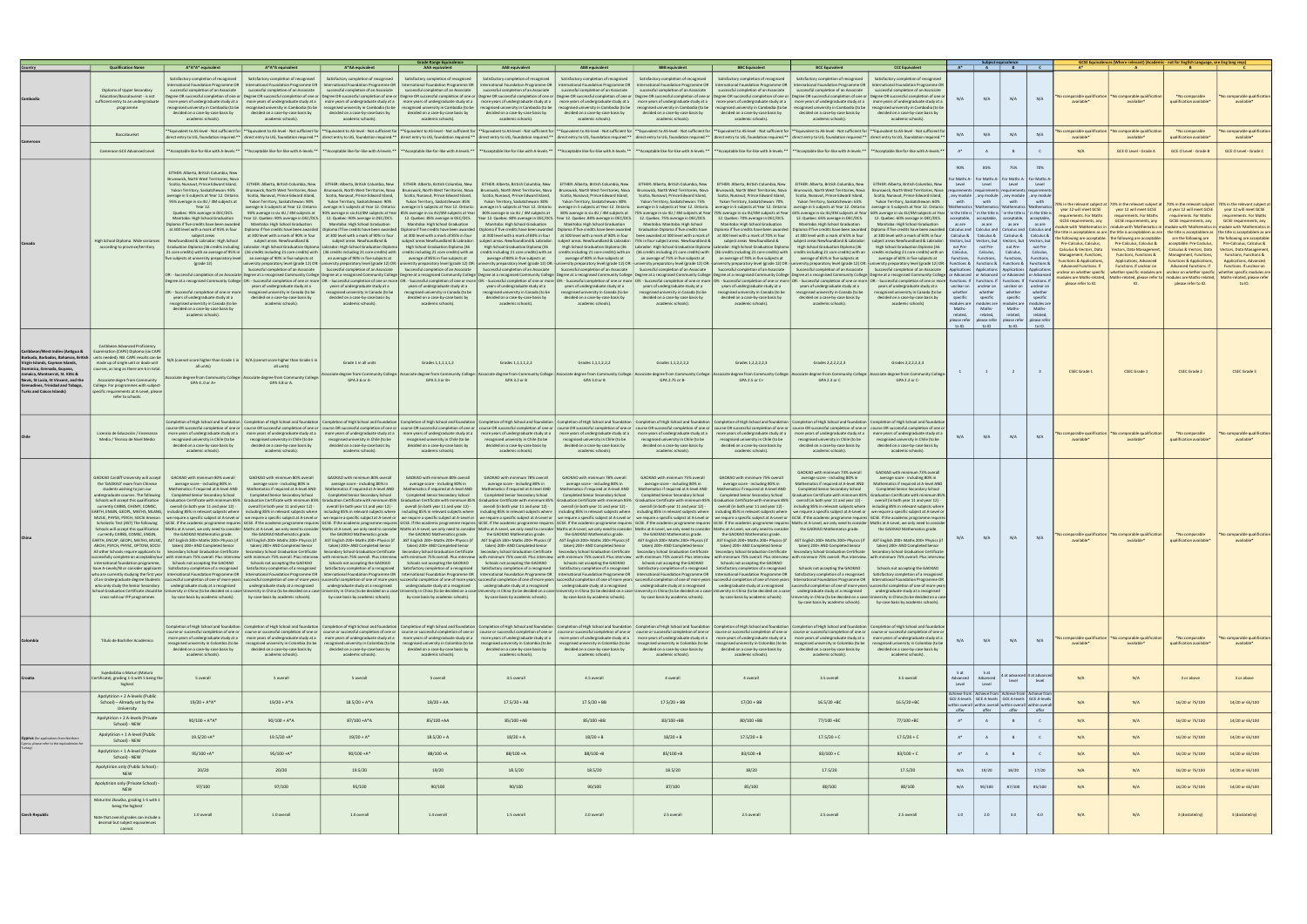|                                                                        |                                                                                   |                                                                                                                                                                                                                                                                                                                     |                                                                                       |                                                                                                                                                                                                                                                                                                                       | Grade Range Equivalence                                                               |                                                                                                                                                                                                                                |                                                                                                                                 |                                                                                                                                                                       |                                                                                         |                                                                                                                                                                                                                                                                                                                                                                                                                                                                  |                                                                                                                             |                       |                       |                                                                                 |                         |                                                           | GCSE Equivalences (Where relevant) (Academic - not for English Language, see Eng lang reqs                                                                                               |                                                                       |                                                            |
|------------------------------------------------------------------------|-----------------------------------------------------------------------------------|---------------------------------------------------------------------------------------------------------------------------------------------------------------------------------------------------------------------------------------------------------------------------------------------------------------------|---------------------------------------------------------------------------------------|-----------------------------------------------------------------------------------------------------------------------------------------------------------------------------------------------------------------------------------------------------------------------------------------------------------------------|---------------------------------------------------------------------------------------|--------------------------------------------------------------------------------------------------------------------------------------------------------------------------------------------------------------------------------|---------------------------------------------------------------------------------------------------------------------------------|-----------------------------------------------------------------------------------------------------------------------------------------------------------------------|-----------------------------------------------------------------------------------------|------------------------------------------------------------------------------------------------------------------------------------------------------------------------------------------------------------------------------------------------------------------------------------------------------------------------------------------------------------------------------------------------------------------------------------------------------------------|-----------------------------------------------------------------------------------------------------------------------------|-----------------------|-----------------------|---------------------------------------------------------------------------------|-------------------------|-----------------------------------------------------------|------------------------------------------------------------------------------------------------------------------------------------------------------------------------------------------|-----------------------------------------------------------------------|------------------------------------------------------------|
|                                                                        | <b>Qualification Name</b>                                                         | A*A*A* equivalent                                                                                                                                                                                                                                                                                                   | A*A*A equivalent                                                                      | A*AA equivalent                                                                                                                                                                                                                                                                                                       | <b>AAA</b> equivalent                                                                 | <b>AAB</b> equivalent                                                                                                                                                                                                          | <b>ABB</b> equivalent                                                                                                           | <b>BBB</b> equivalent                                                                                                                                                 | <b>BBC Equivalent</b>                                                                   | <b>BCC Equivalent</b>                                                                                                                                                                                                                                                                                                                                                                                                                                            | <b>CCC Equivalen</b>                                                                                                        |                       |                       | $A^*$ $A$ $B$                                                                   |                         |                                                           |                                                                                                                                                                                          |                                                                       |                                                            |
|                                                                        |                                                                                   | Satisfactory completion of recognised                                                                                                                                                                                                                                                                               | Satisfactory completion of recognised                                                 | Satisfactory completion of recognised                                                                                                                                                                                                                                                                                 | Satisfactory completion of recognised                                                 | Satisfactory completion of recognised                                                                                                                                                                                          | Satisfactory completion of recognised                                                                                           | Satisfactory completion of recognised                                                                                                                                 | Satisfactory completion of recognised                                                   | Satisfactory completion of recognised                                                                                                                                                                                                                                                                                                                                                                                                                            | Satisfactory completion of recognised                                                                                       |                       |                       |                                                                                 |                         |                                                           |                                                                                                                                                                                          |                                                                       |                                                            |
|                                                                        |                                                                                   | nternational Foundation Programme OR                                                                                                                                                                                                                                                                                | International Foundation Programme OR                                                 |                                                                                                                                                                                                                                                                                                                       | International Foundation Programme OR   International Foundation Programme OR         |                                                                                                                                                                                                                                |                                                                                                                                 | International Foundation Programme OR   International Foundation Programme OR   International Foundation Programme OR                                                 | International Foundation Programme OR                                                   |                                                                                                                                                                                                                                                                                                                                                                                                                                                                  | International Foundation Programme OR   International Foundation Programme OR                                               |                       |                       |                                                                                 |                         |                                                           |                                                                                                                                                                                          |                                                                       |                                                            |
|                                                                        | Diploma of Upper Secondary                                                        | successful completion of an Associate                                                                                                                                                                                                                                                                               | successful completion of an Associate                                                 | successful completion of an Associate                                                                                                                                                                                                                                                                                 | successful completion of an Associate                                                 | successful completion of an Associate                                                                                                                                                                                          | successful completion of an Associate                                                                                           | successful completion of an Associate                                                                                                                                 | successful completion of an Associate                                                   | successful completion of an Associate                                                                                                                                                                                                                                                                                                                                                                                                                            | successful completion of an Associate                                                                                       |                       |                       |                                                                                 |                         |                                                           |                                                                                                                                                                                          |                                                                       |                                                            |
|                                                                        | Education/Baccalaureat - is not                                                   |                                                                                                                                                                                                                                                                                                                     |                                                                                       |                                                                                                                                                                                                                                                                                                                       |                                                                                       |                                                                                                                                                                                                                                |                                                                                                                                 |                                                                                                                                                                       |                                                                                         | Degree OR successful completion of one or   Degree OR successful completion of one or   Degree OR successful completion of one or   Degree OR successful completion of one or   Degree OR successful completion of one or   De                                                                                                                                                                                                                                   |                                                                                                                             | N/A                   | N/A                   | N/A                                                                             | N/A                     | lo comparable qualificatio                                | lo comparable qualificatio                                                                                                                                                               | *No comparable                                                        | No comparable qualification                                |
|                                                                        | sufficient entry to an undergraduate                                              |                                                                                                                                                                                                                                                                                                                     | more vears of undergraduate study at a l more years of undergraduate study at a l     |                                                                                                                                                                                                                                                                                                                       |                                                                                       | more years of undergraduate study at a   more years of undergraduate study at a   more years of undergraduate study at a   more years of undergraduate study at a   more years of undergraduate study at a   more years of und |                                                                                                                                 |                                                                                                                                                                       |                                                                                         |                                                                                                                                                                                                                                                                                                                                                                                                                                                                  | more vears of undergraduate study at a   more years of undergraduate study at a                                             |                       |                       |                                                                                 |                         | available*                                                | available*                                                                                                                                                                               | qualification available*                                              | available*                                                 |
|                                                                        | programme                                                                         | ecognised university in Cambodia (to be<br>decided on a case-by-case basis by                                                                                                                                                                                                                                       | ecognised university in Cambodia (to be                                               | ecognised university in Cambodia (to be<br>decided on a case-by-case basis by                                                                                                                                                                                                                                         | recognised university in Cambodia (to be                                              | ecognised university in Cambodia (to be                                                                                                                                                                                        | recognised university in Cambodia (to be<br>decided on a case-by-case basis by                                                  | recognised university in Cambodia (to be                                                                                                                              | ecognised university in Cambodia (to be                                                 | ecognised university in Cambodia (to be<br>decided on a case-by-case basis by                                                                                                                                                                                                                                                                                                                                                                                    | cognised university in Cambodia (to b<br>decided on a case-by-case basis by                                                 |                       |                       |                                                                                 |                         |                                                           |                                                                                                                                                                                          |                                                                       |                                                            |
|                                                                        |                                                                                   | academic schools).                                                                                                                                                                                                                                                                                                  | decided on a case-by-case basis by<br>academic schools).                              | academic schools).                                                                                                                                                                                                                                                                                                    | decided on a case-by-case basis by<br>academic schools).                              | decided on a case-by-case basis by<br>academic schools).                                                                                                                                                                       | academic schools).                                                                                                              | decided on a case-by-case basis by<br>academic schools).                                                                                                              | decided on a case-by-case basis by<br>academic schools).                                | academic schools).                                                                                                                                                                                                                                                                                                                                                                                                                                               | academic schools).                                                                                                          |                       |                       |                                                                                 |                         |                                                           |                                                                                                                                                                                          |                                                                       |                                                            |
|                                                                        |                                                                                   |                                                                                                                                                                                                                                                                                                                     |                                                                                       |                                                                                                                                                                                                                                                                                                                       |                                                                                       |                                                                                                                                                                                                                                |                                                                                                                                 |                                                                                                                                                                       |                                                                                         |                                                                                                                                                                                                                                                                                                                                                                                                                                                                  |                                                                                                                             |                       |                       |                                                                                 |                         |                                                           |                                                                                                                                                                                          |                                                                       |                                                            |
|                                                                        |                                                                                   |                                                                                                                                                                                                                                                                                                                     |                                                                                       |                                                                                                                                                                                                                                                                                                                       |                                                                                       |                                                                                                                                                                                                                                |                                                                                                                                 |                                                                                                                                                                       |                                                                                         | *Equivalent to AS-level - Not sufficient for   **Equivalent to AS-level - Not sufficient for   **Equivalent to AS-level - Not sufficient for   **Equivalent to AS-level - Not sufficient for   **Equivalent to AS-level - Not                                                                                                                                                                                                                                    |                                                                                                                             |                       |                       |                                                                                 |                         | omparable qualification                                   | lo comparable qualification                                                                                                                                                              | *No comparable                                                        | omparable qualification                                    |
|                                                                        | Baccalauréa                                                                       |                                                                                                                                                                                                                                                                                                                     |                                                                                       |                                                                                                                                                                                                                                                                                                                       |                                                                                       |                                                                                                                                                                                                                                |                                                                                                                                 |                                                                                                                                                                       |                                                                                         | direct entry to UG, foundation required.**   direct entry to UG, foundation required.**   direct entry to UG, foundation required.**   direct entry to UG, foundation required.**   direct entry to UG, foundation required.**                                                                                                                                                                                                                                   |                                                                                                                             | N/A                   | N/A                   | N/A                                                                             | N/A                     | available*                                                | available*                                                                                                                                                                               | qualification available                                               | available*                                                 |
|                                                                        |                                                                                   |                                                                                                                                                                                                                                                                                                                     |                                                                                       |                                                                                                                                                                                                                                                                                                                       |                                                                                       |                                                                                                                                                                                                                                |                                                                                                                                 |                                                                                                                                                                       |                                                                                         |                                                                                                                                                                                                                                                                                                                                                                                                                                                                  |                                                                                                                             |                       |                       |                                                                                 |                         |                                                           |                                                                                                                                                                                          |                                                                       |                                                            |
|                                                                        | Cameroon GCE Advanced Level                                                       | *Acceptable like-for-like with A-levels.**                                                                                                                                                                                                                                                                          | ** Acceptable like-for-like with A-levels.**                                          |                                                                                                                                                                                                                                                                                                                       |                                                                                       | **Acceptable like-for-like with A-levels.**  **Acceptable like-for-like with A-levels.**  **Acceptable like-for-like with A-levels.**  **Acceptable like-for-like with A-levels.**  **Acceptable like-for-like with A-levels.* |                                                                                                                                 |                                                                                                                                                                       |                                                                                         | **Acceptable like-for-like with A-levels.**   **Acceptable like-for-like with A-levels.*                                                                                                                                                                                                                                                                                                                                                                         |                                                                                                                             | $A^*$                 | A                     | B                                                                               | $\mathsf{C}$            | N/A                                                       | <b>GCE O Level - Grade A</b>                                                                                                                                                             | <b>GCE O Level - Grade B</b>                                          | GCE O Level - Grade C                                      |
|                                                                        |                                                                                   |                                                                                                                                                                                                                                                                                                                     |                                                                                       |                                                                                                                                                                                                                                                                                                                       |                                                                                       |                                                                                                                                                                                                                                |                                                                                                                                 |                                                                                                                                                                       |                                                                                         |                                                                                                                                                                                                                                                                                                                                                                                                                                                                  |                                                                                                                             |                       |                       |                                                                                 |                         |                                                           |                                                                                                                                                                                          |                                                                       |                                                            |
|                                                                        |                                                                                   |                                                                                                                                                                                                                                                                                                                     |                                                                                       |                                                                                                                                                                                                                                                                                                                       |                                                                                       |                                                                                                                                                                                                                                |                                                                                                                                 |                                                                                                                                                                       |                                                                                         |                                                                                                                                                                                                                                                                                                                                                                                                                                                                  |                                                                                                                             | 90%                   | 85%                   | 75%                                                                             | 70%                     |                                                           |                                                                                                                                                                                          |                                                                       |                                                            |
|                                                                        |                                                                                   | EITHER: Alberta, British Columbia, New                                                                                                                                                                                                                                                                              |                                                                                       |                                                                                                                                                                                                                                                                                                                       |                                                                                       |                                                                                                                                                                                                                                |                                                                                                                                 |                                                                                                                                                                       |                                                                                         |                                                                                                                                                                                                                                                                                                                                                                                                                                                                  |                                                                                                                             |                       |                       |                                                                                 |                         |                                                           |                                                                                                                                                                                          |                                                                       |                                                            |
|                                                                        |                                                                                   | Brunswick, North West Territories, Nova                                                                                                                                                                                                                                                                             |                                                                                       |                                                                                                                                                                                                                                                                                                                       |                                                                                       |                                                                                                                                                                                                                                |                                                                                                                                 |                                                                                                                                                                       |                                                                                         |                                                                                                                                                                                                                                                                                                                                                                                                                                                                  |                                                                                                                             |                       |                       | or Maths A-   For Maths A-   For Maths A-   For Maths A                         |                         |                                                           |                                                                                                                                                                                          |                                                                       |                                                            |
|                                                                        |                                                                                   | Scotia, Nunavut, Prince Edward Island,<br>Yukon Territory, Saskatchewan: 95%                                                                                                                                                                                                                                        | EITHER: Alberta, British Columbia, New                                                | EITHER: Alberta, British Columbia, New<br>Brunswick, North West Territories, Nova Brunswick, North West Territories, Nova Brunswick, North West Territories, Nova                                                                                                                                                     | EITHER: Alberta, British Columbia, New                                                | EITHER: Alberta, British Columbia, New                                                                                                                                                                                         | EITHER: Alberta, British Columbia, New                                                                                          | EITHER: Alberta, British Columbia, New<br>Brunswick, North West Territories, Nova   Brunswick, North West Territories, Nova   Brunswick, North West Territories, Nova | EITHER: Alberta, British Columbia, New<br>Brunswick, North West Territories, Nova       | EITHER: Alberta, British Columbia, New                                                                                                                                                                                                                                                                                                                                                                                                                           | EITHER: Alberta, British Columbia, New<br>Brunswick, North West Territories, Nova   Brunswick, North West Territories, Nova | Level                 | Level                 | Level                                                                           | Level                   |                                                           |                                                                                                                                                                                          |                                                                       |                                                            |
|                                                                        |                                                                                   | average in 5 subjects at Year 12. Ontario:                                                                                                                                                                                                                                                                          | Scotia, Nunavut, Prince Edward Island,                                                | Scotia, Nunavut, Prince Edward Island,                                                                                                                                                                                                                                                                                | Scotia, Nunavut, Prince Edward Island,                                                | Scotia, Nunavut, Prince Edward Island,                                                                                                                                                                                         | Scotia, Nunavut, Prince Edward Island,                                                                                          | Scotia, Nunavut, Prince Edward Island,                                                                                                                                | Scotia, Nunavut, Prince Edward Island,                                                  | Scotia, Nunavut, Prince Edward Island,                                                                                                                                                                                                                                                                                                                                                                                                                           | Scotia, Nunavut, Prince Edward Island,                                                                                      |                       |                       | any module   , any module   , any module   , any modul                          |                         |                                                           |                                                                                                                                                                                          |                                                                       |                                                            |
|                                                                        |                                                                                   | 95% average in six 4U / 4M subjects at                                                                                                                                                                                                                                                                              | Yukon Territory, Saskatchewan: 90%                                                    | Yukon Territory, Saskatchewan: 90%                                                                                                                                                                                                                                                                                    | Yukon Territory, Saskatchewan: 85%                                                    | Yukon Territory, Saskatchewan: 80%                                                                                                                                                                                             | Yukon Territory, Saskatchewan: 80%                                                                                              | Yukon Territory, Saskatchewan: 75%                                                                                                                                    | Yukon Territory, Saskatchewan: 70%                                                      | Yukon Territory, Saskatchewan: 65%                                                                                                                                                                                                                                                                                                                                                                                                                               | Yukon Territory, Saskatchewan: 60%                                                                                          | with                  | with                  | with                                                                            | with                    |                                                           |                                                                                                                                                                                          |                                                                       |                                                            |
|                                                                        |                                                                                   | Year 12.                                                                                                                                                                                                                                                                                                            |                                                                                       | verage in 5 subjects at Year 12. Ontario:   average in 5 subjects at Year 12. Ontario:   average in 5 subjects at Year 12. Ontario:                                                                                                                                                                                   |                                                                                       | average in 5 subjects at Year 12. Ontario.                                                                                                                                                                                     |                                                                                                                                 | average in 5 subjects at Year 12. Ontario. Average in 5 subjects at Year 12. Ontario.                                                                                 | average in 5 subjects at Year 12. Ontario:                                              |                                                                                                                                                                                                                                                                                                                                                                                                                                                                  | average in 5 subjects at Year 12. Ontario:   average in 5 subjects at Year 12. Ontario:                                     |                       |                       | Mathematics   'Mathematics   'Mathematics   'Mathema                            |                         | % in the relevant subject at<br>year 12 will meet GCSE    | 70% in the relevant subject at<br>year 12 will meet GCSE                                                                                                                                 | 70% in the relevant subject<br>at year 12 will meet GCSE              | 70% in the relevant subject at<br>year 12 will meet GCSE   |
|                                                                        |                                                                                   | Quebec: 95% average in DEC/DCS.                                                                                                                                                                                                                                                                                     | 90% average in six 4U / 4M subjects at                                                |                                                                                                                                                                                                                                                                                                                       | 90% average in six 4U/4M subjects at Year   85% average in six 4U/4M subjects at Year | 80% average in six 4U / 4M subjects at                                                                                                                                                                                         | 80% average in six 4U / 4M subjects at                                                                                          |                                                                                                                                                                       | 75% average in six 4U / 4M subjects at Year   70% average in six 4U/4M subjects at Year |                                                                                                                                                                                                                                                                                                                                                                                                                                                                  | 55% average in six 4U/4M subjects at Year   60% average in six 4U/4M subjects at Year                                       |                       |                       | in the title is  'in the title is  'in the title is  'in the title              |                         | equirements, For Maths                                    | requirements. For Maths                                                                                                                                                                  | requiremnts, For Maths                                                | requirements, For Maths                                    |
|                                                                        |                                                                                   | Manitoba: High School Graduation<br>Diploma if five credits have been awarded                                                                                                                                                                                                                                       | Year 12. Quebec: 90% average in DEC/DCS.<br>Manitoba: High School Graduation          | 12. Quebec: 90% average in DEC/DCS.<br>Manitoba: High School Graduation                                                                                                                                                                                                                                               | 12. Quebec: 85% average in DEC/DCS.<br>Manitoba: High School Graduation               | Year 12. Quebec. 80% average in DEC/DCS. Year 12. Quebec .80% average in DEC/DCS. 12. Quebec. 75% average in DEC/DCS.<br>Manitoba: High School Graduation                                                                      | Manitoba: High School Graduation                                                                                                | Manitoba: Manitoba: High School                                                                                                                                       | 12. Quebec: 70% average in DEC/DCS.<br>Manitoba: High School Graduation                 | Manitoba: High School Graduation                                                                                                                                                                                                                                                                                                                                                                                                                                 | 12. Quebec: 65% average in DEC/DCS.   12. Quebec: 60% average in DEC/DCS.<br>Manitoba: High School Graduation               | as are                | as are                | acceptable, acceptable, acceptable, acceptable<br>as are                        | as are                  | <b>GCSE</b> requirements, any                             | GCSE requirements, any                                                                                                                                                                   | GCSE requirements, any                                                | GCSE requirements, any                                     |
|                                                                        |                                                                                   | at 300 level with a mark of 95% in four                                                                                                                                                                                                                                                                             |                                                                                       | Diploma if five credits have been awarded   Diploma if five credits have been awarded   Diploma if five credits have been awarded                                                                                                                                                                                     |                                                                                       |                                                                                                                                                                                                                                | Diploma if five credits have been awarded   Diploma if five credits have been awarded   Graduation Diploma if five credits have |                                                                                                                                                                       | Diploma if five credits have been awarded                                               |                                                                                                                                                                                                                                                                                                                                                                                                                                                                  | Diploma if five credits have been awarded Diploma if five credits have been awarded                                         |                       |                       | Calculus and   Calculus and   Calculus and   Calculus and                       |                         |                                                           | dule with 'Mathematics in   module with 'Mathematics in                                                                                                                                  | module with 'Mathematics in module with 'Mathematics in               |                                                            |
|                                                                        |                                                                                   | subject areas                                                                                                                                                                                                                                                                                                       | at 300 level with a mark of 90% in four                                               | at 300 level with a mark of 90% in four                                                                                                                                                                                                                                                                               | at 300 level with a mark of 85% in four                                               | at 300 level with a mark of 80% in four                                                                                                                                                                                        | at 300 level with a mark of 80% in four                                                                                         | been awarded at 300 level with a mark of                                                                                                                              | at 300 level with a mark of 70% in four                                                 | at 300 level with a mark of 65% in four                                                                                                                                                                                                                                                                                                                                                                                                                          | at 300 level with a mark of 60% in four                                                                                     |                       |                       | Calculus &   Calculus &   Calculus &   Calculus &                               |                         |                                                           | title is acceptablem as are the title is acceptablem as are the title is acceptablem as the title is acceptablem as are<br>e following are acceptable: I the following are acceptable: I | are the following are                                                 | the following are acceptable:                              |
|                                                                        | High School Diploma. Wide variances                                               | Newfoundland & Labrador: High School                                                                                                                                                                                                                                                                                | subject areas Newfoundland &                                                          | subject areas Newfoundland &                                                                                                                                                                                                                                                                                          | subject areas Newfoundland & Labrador:                                                | subject areas. Newfoundland & Labrador:                                                                                                                                                                                        |                                                                                                                                 | subject areas. Newfoundland & Labrador: 75% in four subject areas. Newfoundland &                                                                                     | subject areas Newfoundland &                                                            | subiect areas Newfoundland & Labrador:                                                                                                                                                                                                                                                                                                                                                                                                                           | subject areas Newfoundland & Labrador:                                                                                      |                       |                       | Vectors, but   Vectors, but   Vectors, but   Vectors, but                       |                         | Pre-Calculus, Calculus,                                   | Pre-Calculus, Calculus &                                                                                                                                                                 | acceptable: Pre-Caclulus,                                             | Pre-Calculus, Calculus &                                   |
|                                                                        | according to province/territory                                                   |                                                                                                                                                                                                                                                                                                                     |                                                                                       | Graduation Diploma (36 credits including   Labrador: High School Graduation Diploma   Labrador: High School Graduation Diploma  <br>21 core credits) with an average of 95% in   (36 credits including 21 core credits) with   (36 credits including 21 core credits) with credits including 21 core credits) with an | High School Graduation Diploma (36                                                    | High School Graduation Diploma (36<br>credits including 21 core credits) with an                                                                                                                                               | High School Graduation Diploma (36                                                                                              | credits including 21 core credits) with an   (36 credits including 21 core credits) with   (36 credits including 21 core credits) with                                | Labrador: High School Graduation Diploma   Labrador: High School Graduation Diploma     | High School Graduation Diploma (36<br>credits including 21 core credits) with an                                                                                                                                                                                                                                                                                                                                                                                 | High School Graduation Diploma (36<br>credits including 21 core credits) with an                                            | not Pre-<br>Calculus, | not Pre-<br>Calculus, | not Pre-<br>Calculus,                                                           | not Pre-<br>Calculus    | Calculus & Vectors, Data                                  | Vectors, Data Management.                                                                                                                                                                | Calculus & Vectors, Data                                              | <b>Vectors, Data Management</b>                            |
|                                                                        |                                                                                   |                                                                                                                                                                                                                                                                                                                     | five subjects at university preparatory level   an average of 90% in five subjects at | an average of 90% in five subjects at                                                                                                                                                                                                                                                                                 | average of 85% in five subjects at                                                    | average of 80% in five subjects at                                                                                                                                                                                             | average of 80% in five subjects at                                                                                              |                                                                                                                                                                       | an average of 75% in five subjects at an average of 70% in five subjects at             | average of 65% in five subjects at                                                                                                                                                                                                                                                                                                                                                                                                                               | average of 60% in five subjects at                                                                                          | Functions,            | Functions.            | Functions,                                                                      | Function                | lanagement, Functions,                                    | <b>Functions, Functions &amp;</b>                                                                                                                                                        | Management, Functions,                                                | <b>Functions, Functions &amp;</b>                          |
|                                                                        |                                                                                   | $(grade 12)$                                                                                                                                                                                                                                                                                                        |                                                                                       |                                                                                                                                                                                                                                                                                                                       |                                                                                       |                                                                                                                                                                                                                                |                                                                                                                                 |                                                                                                                                                                       |                                                                                         | niversity preparatory level (grade 12) OR: - university preparatory level (grade 12) OR: - university preparatory level (grade 12) OR: - university preparatory level (grade 12) OR: - university preparatory level (grade 12)                                                                                                                                                                                                                                   |                                                                                                                             |                       |                       | Functions & Functions & Functions &                                             | Functions               | unctions & Applications,<br><b>Advanced Functions. If</b> | Applications, Advanced<br>Functions. If unclear on                                                                                                                                       | <b>Functions &amp; Applications,</b><br><b>Advanced Functions. If</b> | Applications, Advanced<br>Functions. If unclear on         |
|                                                                        |                                                                                   |                                                                                                                                                                                                                                                                                                                     | Successful completion of an Associate                                                 | Successful completion of an Associate                                                                                                                                                                                                                                                                                 | Successful completion of an Associate                                                 | Successful completion of an Associate                                                                                                                                                                                          | Successful completion of an Associate                                                                                           |                                                                                                                                                                       | Successful completion of an Associate   Successful completion of an Associate           | Successful completion of an Associate                                                                                                                                                                                                                                                                                                                                                                                                                            | Successful completion of an Associate                                                                                       |                       |                       | Applications   Applications   Applications   Applicatio                         |                         | clear on whether specific                                 | whether specific modules are                                                                                                                                                             |                                                                       | unclear on whether specific   whether specific modules are |
|                                                                        |                                                                                   |                                                                                                                                                                                                                                                                                                                     |                                                                                       |                                                                                                                                                                                                                                                                                                                       |                                                                                       |                                                                                                                                                                                                                                |                                                                                                                                 |                                                                                                                                                                       |                                                                                         | OR: - Successful completion of an Associate   Degree at a recognised Community College   Degree at a recognised Community College   Degree at a recognised Community College   Degree at a recognised Community College   Degr<br>Degree at a recognised Community College   OR: - Successful completion of one or more  OR: - Successful completion of one or more  OR: - Successful completion of one or more   OR: - Successful completion of one or more  OR |                                                                                                                             |                       |                       | or Advanced   or Advanced   or Advanced   or Advance                            |                         | odules are Maths-related,                                 | ths-related, please refer to                                                                                                                                                             |                                                                       | modules are Maths-related,   Maths-related, please refer   |
|                                                                        |                                                                                   |                                                                                                                                                                                                                                                                                                                     | years of undergraduate study at a                                                     | years of undergraduate study at a                                                                                                                                                                                                                                                                                     | years of undergraduate study at a                                                     | years of undergraduate study at a                                                                                                                                                                                              | years of undergraduate study at a                                                                                               | years of undergraduate study at a                                                                                                                                     | years of undergraduate study at a                                                       | years of undergraduate study at a                                                                                                                                                                                                                                                                                                                                                                                                                                | years of undergraduate study at a                                                                                           |                       |                       | unclear on   unclear on   unclear on   unclear or                               |                         | please refer to IO.                                       |                                                                                                                                                                                          | please refer to IO.                                                   |                                                            |
|                                                                        |                                                                                   | OR: - Successful completion of one or more                                                                                                                                                                                                                                                                          | recognised university in Canada (to be                                                | recognised university in Canada (to be                                                                                                                                                                                                                                                                                | recognised university in Canada (to be                                                | recognised university in Canada (to be                                                                                                                                                                                         | recognised university in Canada (to be                                                                                          | recognised university in Canada (to be                                                                                                                                | recognised university in Canada (to be                                                  | recognised university in Canada (to be                                                                                                                                                                                                                                                                                                                                                                                                                           | recognised university in Canada (to be                                                                                      | whether               | whether               | whether                                                                         | whether                 |                                                           |                                                                                                                                                                                          |                                                                       |                                                            |
|                                                                        |                                                                                   | years of undergraduate study at a                                                                                                                                                                                                                                                                                   | decided on a case-by-case basis by                                                    | decided on a case-by-case basis by                                                                                                                                                                                                                                                                                    | decided on a case-by-case basis by                                                    | decided on a case-by-case basis by                                                                                                                                                                                             | decided on a case-by-case basis by                                                                                              | decided on a case-by-case basis by                                                                                                                                    | decided on a case-by-case basis by                                                      | decided on a case-by-case basis by                                                                                                                                                                                                                                                                                                                                                                                                                               | decided on a case-by-case basis by                                                                                          | specific              | specific              | specific                                                                        | specific                |                                                           |                                                                                                                                                                                          |                                                                       |                                                            |
|                                                                        |                                                                                   | recognised university in Canada (to be<br>decided on a case-by-case basis by                                                                                                                                                                                                                                        | academic schools).                                                                    | academic schools).                                                                                                                                                                                                                                                                                                    | academic schools).                                                                    | academic schools).                                                                                                                                                                                                             | academic schools).                                                                                                              | academic schools).                                                                                                                                                    | academic schools).                                                                      | academic schools).                                                                                                                                                                                                                                                                                                                                                                                                                                               | academic schools)                                                                                                           | Maths-                | Maths-                | modules are   modules are   modules are   modules are<br>Maths-                 | Maths-                  |                                                           |                                                                                                                                                                                          |                                                                       |                                                            |
|                                                                        |                                                                                   | academic schools).                                                                                                                                                                                                                                                                                                  |                                                                                       |                                                                                                                                                                                                                                                                                                                       |                                                                                       |                                                                                                                                                                                                                                |                                                                                                                                 |                                                                                                                                                                       |                                                                                         |                                                                                                                                                                                                                                                                                                                                                                                                                                                                  |                                                                                                                             | related,              | related,              | related,                                                                        | related,                |                                                           |                                                                                                                                                                                          |                                                                       |                                                            |
|                                                                        |                                                                                   |                                                                                                                                                                                                                                                                                                                     |                                                                                       |                                                                                                                                                                                                                                                                                                                       |                                                                                       |                                                                                                                                                                                                                                |                                                                                                                                 |                                                                                                                                                                       |                                                                                         |                                                                                                                                                                                                                                                                                                                                                                                                                                                                  |                                                                                                                             |                       |                       | please refer   please refer   please refer   please refer                       |                         |                                                           |                                                                                                                                                                                          |                                                                       |                                                            |
|                                                                        |                                                                                   |                                                                                                                                                                                                                                                                                                                     |                                                                                       |                                                                                                                                                                                                                                                                                                                       |                                                                                       |                                                                                                                                                                                                                                |                                                                                                                                 |                                                                                                                                                                       |                                                                                         |                                                                                                                                                                                                                                                                                                                                                                                                                                                                  |                                                                                                                             | to IO.                | to IO                 | to IO.                                                                          | to IO.                  |                                                           |                                                                                                                                                                                          |                                                                       |                                                            |
|                                                                        |                                                                                   |                                                                                                                                                                                                                                                                                                                     |                                                                                       |                                                                                                                                                                                                                                                                                                                       |                                                                                       |                                                                                                                                                                                                                                |                                                                                                                                 |                                                                                                                                                                       |                                                                                         |                                                                                                                                                                                                                                                                                                                                                                                                                                                                  |                                                                                                                             |                       |                       |                                                                                 |                         |                                                           |                                                                                                                                                                                          |                                                                       |                                                            |
|                                                                        |                                                                                   |                                                                                                                                                                                                                                                                                                                     |                                                                                       |                                                                                                                                                                                                                                                                                                                       |                                                                                       |                                                                                                                                                                                                                                |                                                                                                                                 |                                                                                                                                                                       |                                                                                         |                                                                                                                                                                                                                                                                                                                                                                                                                                                                  |                                                                                                                             |                       |                       |                                                                                 |                         |                                                           |                                                                                                                                                                                          |                                                                       |                                                            |
|                                                                        | Caribbean Advanced Proficiency                                                    |                                                                                                                                                                                                                                                                                                                     |                                                                                       |                                                                                                                                                                                                                                                                                                                       |                                                                                       |                                                                                                                                                                                                                                |                                                                                                                                 |                                                                                                                                                                       |                                                                                         |                                                                                                                                                                                                                                                                                                                                                                                                                                                                  |                                                                                                                             |                       |                       |                                                                                 |                         |                                                           |                                                                                                                                                                                          |                                                                       |                                                            |
| Caribbean/West Indies (Antigua &                                       | Examination (CAPE) Diploma (six CAPE                                              |                                                                                                                                                                                                                                                                                                                     |                                                                                       |                                                                                                                                                                                                                                                                                                                       |                                                                                       |                                                                                                                                                                                                                                |                                                                                                                                 |                                                                                                                                                                       |                                                                                         |                                                                                                                                                                                                                                                                                                                                                                                                                                                                  |                                                                                                                             |                       |                       |                                                                                 |                         |                                                           |                                                                                                                                                                                          |                                                                       |                                                            |
| Barbuda, Barbados, Bahamas, British<br>Virgin Islands, Cayman Islands, | ts needed). NB. CAPE results can be<br>made up of single unit or doub-unit        | N/A (cannot score higher than Grade 1 in   N/A (cannot score higher than Grade 1 in                                                                                                                                                                                                                                 |                                                                                       | Grade 1 in all units                                                                                                                                                                                                                                                                                                  | Grades 1, 1, 1, 1, 1, 2                                                               | Grades 1, 1, 1, 1, 2, 2                                                                                                                                                                                                        | Grades 1,1,1,2,2,2                                                                                                              | Grades 1,1,2,2,2,2                                                                                                                                                    | Grades 1.2.2.2.2.3                                                                      | Grades 2.2.2.2.2.3                                                                                                                                                                                                                                                                                                                                                                                                                                               | Grades 2.2.2.2.3.3                                                                                                          |                       |                       |                                                                                 |                         |                                                           |                                                                                                                                                                                          |                                                                       |                                                            |
| Dominica, Grenada, Guyana,                                             | courses, as long as there are 6 in total.                                         | all units)                                                                                                                                                                                                                                                                                                          | all units)                                                                            |                                                                                                                                                                                                                                                                                                                       |                                                                                       |                                                                                                                                                                                                                                |                                                                                                                                 |                                                                                                                                                                       |                                                                                         |                                                                                                                                                                                                                                                                                                                                                                                                                                                                  |                                                                                                                             |                       |                       |                                                                                 |                         |                                                           |                                                                                                                                                                                          |                                                                       |                                                            |
| Jamaica, Montserrat, St. Kitts &                                       |                                                                                   |                                                                                                                                                                                                                                                                                                                     | ciate degree from Community College: Associate degree from Community College          |                                                                                                                                                                                                                                                                                                                       | e degree from Community College: Associate degree from Community College: Associate   |                                                                                                                                                                                                                                |                                                                                                                                 | degree from Community College: Associate degree from Community College: Associate degree from Community College: Associ                                               | degree from Community College                                                           |                                                                                                                                                                                                                                                                                                                                                                                                                                                                  | Associate degree from Community College: Associate degree from Community College:                                           |                       | <sup>1</sup>          | $\overline{2}$                                                                  | $\overline{\mathbf{3}}$ | <b>CSEC Grade:</b>                                        | <b>CSEC Grade 1</b>                                                                                                                                                                      | <b>CSEC Grade 2</b>                                                   | CSEC Grade 3                                               |
| Nevis, St Lucia, St Vincent, and the                                   | Associate degre from Community                                                    | GPA 40 or A+                                                                                                                                                                                                                                                                                                        | GPA 3.8 or A.                                                                         | GPA 3.6 or A-                                                                                                                                                                                                                                                                                                         | GPA 3.3 or B+                                                                         | GPA 3.2 or B                                                                                                                                                                                                                   | GPA 3.0 or B                                                                                                                    | GPA 2.75 or B-                                                                                                                                                        | GPA 2.5 or C+                                                                           | GPA 2.3 or C                                                                                                                                                                                                                                                                                                                                                                                                                                                     | GPA 2.2 or C-                                                                                                               |                       |                       |                                                                                 |                         |                                                           |                                                                                                                                                                                          |                                                                       |                                                            |
| Grenadines, Trinidad and Tobago,<br><b>Turks and Caicos Islands)</b>   | College. For programmes with subject-<br>specific requirements at A-Level, please |                                                                                                                                                                                                                                                                                                                     |                                                                                       |                                                                                                                                                                                                                                                                                                                       |                                                                                       |                                                                                                                                                                                                                                |                                                                                                                                 |                                                                                                                                                                       |                                                                                         |                                                                                                                                                                                                                                                                                                                                                                                                                                                                  |                                                                                                                             |                       |                       |                                                                                 |                         |                                                           |                                                                                                                                                                                          |                                                                       |                                                            |
|                                                                        | refer to schools.                                                                 |                                                                                                                                                                                                                                                                                                                     |                                                                                       |                                                                                                                                                                                                                                                                                                                       |                                                                                       |                                                                                                                                                                                                                                |                                                                                                                                 |                                                                                                                                                                       |                                                                                         |                                                                                                                                                                                                                                                                                                                                                                                                                                                                  |                                                                                                                             |                       |                       |                                                                                 |                         |                                                           |                                                                                                                                                                                          |                                                                       |                                                            |
|                                                                        |                                                                                   |                                                                                                                                                                                                                                                                                                                     |                                                                                       |                                                                                                                                                                                                                                                                                                                       |                                                                                       |                                                                                                                                                                                                                                |                                                                                                                                 |                                                                                                                                                                       |                                                                                         |                                                                                                                                                                                                                                                                                                                                                                                                                                                                  |                                                                                                                             |                       |                       |                                                                                 |                         |                                                           |                                                                                                                                                                                          |                                                                       |                                                            |
|                                                                        |                                                                                   |                                                                                                                                                                                                                                                                                                                     |                                                                                       |                                                                                                                                                                                                                                                                                                                       |                                                                                       |                                                                                                                                                                                                                                |                                                                                                                                 |                                                                                                                                                                       |                                                                                         |                                                                                                                                                                                                                                                                                                                                                                                                                                                                  |                                                                                                                             |                       |                       |                                                                                 |                         |                                                           |                                                                                                                                                                                          |                                                                       |                                                            |
|                                                                        |                                                                                   |                                                                                                                                                                                                                                                                                                                     |                                                                                       |                                                                                                                                                                                                                                                                                                                       |                                                                                       |                                                                                                                                                                                                                                |                                                                                                                                 |                                                                                                                                                                       |                                                                                         |                                                                                                                                                                                                                                                                                                                                                                                                                                                                  |                                                                                                                             |                       |                       |                                                                                 |                         |                                                           |                                                                                                                                                                                          |                                                                       |                                                            |
|                                                                        |                                                                                   |                                                                                                                                                                                                                                                                                                                     |                                                                                       |                                                                                                                                                                                                                                                                                                                       |                                                                                       |                                                                                                                                                                                                                                |                                                                                                                                 |                                                                                                                                                                       |                                                                                         | ompletion of High School and foundation   Completion of High School and foundation   Completion of High School and foundation   Completion of High School and foundation   Completion of High School and foundation   Completi<br>course OR successful completion of one or   course OR successful completion of one or   course OR successful completion of one or   course OR successful completion of one or   course OR successful completion of one or   co |                                                                                                                             |                       |                       |                                                                                 |                         |                                                           |                                                                                                                                                                                          |                                                                       |                                                            |
|                                                                        | Licencia de Educación / Ensenanza                                                 | more years of undergraduate study at a                                                                                                                                                                                                                                                                              | more years of undergraduate study at a                                                |                                                                                                                                                                                                                                                                                                                       | more vears of undergraduate study at a nore vears of undergraduate study at a         | more years of undergraduate study at a                                                                                                                                                                                         |                                                                                                                                 | more years of undergraduate study at a   more years of undergraduate study at a                                                                                       | more years of undergraduate study at a                                                  |                                                                                                                                                                                                                                                                                                                                                                                                                                                                  | more vears of undergraduate study at a   more years of undergraduate study at a                                             |                       |                       |                                                                                 |                         | comparable qualificatio                                   | omparable qualificatio                                                                                                                                                                   | *No comparable                                                        | lo comparable qualification                                |
|                                                                        | Media / Técnico de Nivel Medio                                                    | recognised university in Chile (to be                                                                                                                                                                                                                                                                               | recognised university in Chile (to be                                                 | recognised university in Chile (to be                                                                                                                                                                                                                                                                                 | recognised university in Chile (to be                                                 | recognised university in Chile (to be                                                                                                                                                                                          | recognised university in Chile (to be                                                                                           | recognised university in Chile (to be                                                                                                                                 | recognised university in Chile (to be                                                   | recognised university in Chile (to be                                                                                                                                                                                                                                                                                                                                                                                                                            | recognised university in Chile (to be                                                                                       | N/A                   | N/A                   | N/A                                                                             | N/A                     | available*                                                | available*                                                                                                                                                                               | qualification available'                                              | available*                                                 |
|                                                                        |                                                                                   | decided on a case-by-case basis by                                                                                                                                                                                                                                                                                  | decided on a case-by-case basis by                                                    | decided on a case-by-case basis by                                                                                                                                                                                                                                                                                    | decided on a case-by-case basis by                                                    | decided on a case-by-case basis by                                                                                                                                                                                             | decided on a case-by-case basis by                                                                                              | decided on a case-by-case basis by                                                                                                                                    | decided on a case-by-case basis by                                                      | decided on a case-by-case basis by                                                                                                                                                                                                                                                                                                                                                                                                                               | decided on a case-by-case basis by                                                                                          |                       |                       |                                                                                 |                         |                                                           |                                                                                                                                                                                          |                                                                       |                                                            |
|                                                                        |                                                                                   | academic schools).                                                                                                                                                                                                                                                                                                  | academic schools).                                                                    | academic schools).                                                                                                                                                                                                                                                                                                    | academic schools).                                                                    | academic schools).                                                                                                                                                                                                             | academic schools).                                                                                                              | academic schools).                                                                                                                                                    | academic schools).                                                                      | academic schools).                                                                                                                                                                                                                                                                                                                                                                                                                                               | academic schools).                                                                                                          |                       |                       |                                                                                 |                         |                                                           |                                                                                                                                                                                          |                                                                       |                                                            |
|                                                                        |                                                                                   |                                                                                                                                                                                                                                                                                                                     |                                                                                       |                                                                                                                                                                                                                                                                                                                       |                                                                                       |                                                                                                                                                                                                                                |                                                                                                                                 |                                                                                                                                                                       |                                                                                         |                                                                                                                                                                                                                                                                                                                                                                                                                                                                  |                                                                                                                             |                       |                       |                                                                                 |                         |                                                           |                                                                                                                                                                                          |                                                                       |                                                            |
|                                                                        |                                                                                   |                                                                                                                                                                                                                                                                                                                     |                                                                                       |                                                                                                                                                                                                                                                                                                                       |                                                                                       |                                                                                                                                                                                                                                |                                                                                                                                 |                                                                                                                                                                       |                                                                                         |                                                                                                                                                                                                                                                                                                                                                                                                                                                                  |                                                                                                                             |                       |                       |                                                                                 |                         |                                                           |                                                                                                                                                                                          |                                                                       |                                                            |
|                                                                        |                                                                                   |                                                                                                                                                                                                                                                                                                                     |                                                                                       |                                                                                                                                                                                                                                                                                                                       |                                                                                       |                                                                                                                                                                                                                                |                                                                                                                                 |                                                                                                                                                                       |                                                                                         | GAOKAO with minimum 73% overall                                                                                                                                                                                                                                                                                                                                                                                                                                  | GAOKAO with minimum 73% overall                                                                                             |                       |                       |                                                                                 |                         |                                                           |                                                                                                                                                                                          |                                                                       |                                                            |
|                                                                        | <b>GAOKAO Cardiff University will accent</b><br>the 'GAOKAO' exam from Chinese    | GAOKAO with minimum 80% overall<br>average score - including 80% in                                                                                                                                                                                                                                                 | GAOKAO with minimum 80% overall<br>average score - including 80% in                   | GAOKAO with minimum 80% overall<br>average score - including 80% in                                                                                                                                                                                                                                                   | GAOKAO with minimum 80% overall<br>average score - including 80% in                   | GAOKAO with minimum 78% overall<br>average score - including 80% in                                                                                                                                                            | GAOKAO with minimum 78% overall<br>average score - including 80% in                                                             | GAOKAO with minimum 75% overall<br>average score - including 80% in                                                                                                   | GAOKAO with minimum 75% overall<br>average score - including 80% in                     | average score - including 80% in<br>Mathematics if required at A-level AND                                                                                                                                                                                                                                                                                                                                                                                       | average score - including 80% in<br>Mathematics if required at A-level AND                                                  |                       |                       |                                                                                 |                         |                                                           |                                                                                                                                                                                          |                                                                       |                                                            |
|                                                                        | students wishing to join our                                                      | Aathematics if required at A-level AND                                                                                                                                                                                                                                                                              | Mathematics if required at A-level AND                                                | Mathematics if required at A-level AND                                                                                                                                                                                                                                                                                | Mathematics if required at A-level AND                                                | Mathematics if required at A-level AND                                                                                                                                                                                         | Mathematics if required at A-level AND                                                                                          | Mathematics if required at A-level AND                                                                                                                                | Mathematics if required at A-level AND                                                  | Completed Senior Secondary School                                                                                                                                                                                                                                                                                                                                                                                                                                | Completed Senior Secondary School                                                                                           |                       |                       |                                                                                 |                         |                                                           |                                                                                                                                                                                          |                                                                       |                                                            |
|                                                                        | undergraduate courses. The following                                              | Completed Senior Secondary School                                                                                                                                                                                                                                                                                   | Completed Senior Secondary School                                                     | Completed Senior Secondary School                                                                                                                                                                                                                                                                                     | Completed Senior Secondary School                                                     | Completed Senior Secondary School                                                                                                                                                                                              | Completed Senior Secondary School                                                                                               | Completed Senior Secondary School                                                                                                                                     | Completed Senior Secondary School                                                       |                                                                                                                                                                                                                                                                                                                                                                                                                                                                  | Fraduation Certificate with minimum 85% Graduation Certificate with minimum 85%                                             |                       |                       |                                                                                 |                         |                                                           |                                                                                                                                                                                          |                                                                       |                                                            |
|                                                                        | Schools will accept this qualification                                            |                                                                                                                                                                                                                                                                                                                     | overall (in both year 11 and year 12) -                                               | Graduation Certificate with minimum 85% Graduation Certificate with minimum 85% Graduation Certificate with minimum 85% Graduation Certificate with minimum 85% Graduation Certificate with minimum 85% Graduation Certificate                                                                                        |                                                                                       |                                                                                                                                                                                                                                |                                                                                                                                 |                                                                                                                                                                       |                                                                                         |                                                                                                                                                                                                                                                                                                                                                                                                                                                                  | overall (in both year 11 and year 12) -   overall (in both year 11 and year 12) -                                           |                       |                       |                                                                                 |                         |                                                           |                                                                                                                                                                                          |                                                                       |                                                            |
|                                                                        | currently CARBS, CHEMY, COMSC.                                                    | overall (in both year 11 and year 12) -<br>EARTH, ENGIN, GEOPL, MATHS, MLANG,   including 85% in relevant subjects where                                                                                                                                                                                            | including 85% in relevant subjects where                                              | overall (in both year 11 and year 12) -<br>including 85% in relevant subjects where                                                                                                                                                                                                                                   | overall (in both year 11 and year 12) -<br>including 85% in relevant subjects where   | overall (in both year 11 and year 12) -<br>including 85% in relevant subjects where                                                                                                                                            | overall (in both year 11 and year 12) -<br>including 85% in relevant subjects where                                             | overall (in both year 11 and year $12$ ) - coverall (in both year 11 and year $12$ ) -                                                                                | including 85% in relevant subjects where   including 85% in relevant subjects where     | we require a specific subject at A-Level or yve require a specific subject at A-Level of                                                                                                                                                                                                                                                                                                                                                                         | including 85% in relevant subjects where   including 85% in relevant subjects where                                         |                       |                       |                                                                                 |                         |                                                           |                                                                                                                                                                                          |                                                                       |                                                            |
|                                                                        |                                                                                   |                                                                                                                                                                                                                                                                                                                     |                                                                                       |                                                                                                                                                                                                                                                                                                                       |                                                                                       |                                                                                                                                                                                                                                |                                                                                                                                 |                                                                                                                                                                       |                                                                                         | MUSIC. PHYSX. PSYCH. SOCSI Ameson we require a specific subject at A-Level or we require a specific subject at A-Level or werequire a specific subject at A-Level or werequire a specific subject at A-Level or werequire a sp                                                                                                                                                                                                                                   |                                                                                                                             |                       |                       |                                                                                 |                         |                                                           |                                                                                                                                                                                          |                                                                       |                                                            |
|                                                                        |                                                                                   |                                                                                                                                                                                                                                                                                                                     |                                                                                       |                                                                                                                                                                                                                                                                                                                       |                                                                                       |                                                                                                                                                                                                                                |                                                                                                                                 |                                                                                                                                                                       |                                                                                         | Scholastic Test (AST) The following  GCSE. If the academic programme requires  GCSE. If the academic programme requires  GCSE. If the academic programme requires  GCSE. If the academic programme requires  GCSE. If the acad                                                                                                                                                                                                                                   |                                                                                                                             |                       |                       |                                                                                 |                         |                                                           |                                                                                                                                                                                          |                                                                       |                                                            |
|                                                                        | Schools will accept this qualification                                            |                                                                                                                                                                                                                                                                                                                     |                                                                                       | Maths at A-Level, we only need to consider   Maths at A-Level, we only need to consider   Maths at A-Level, we only need to consider   Maths at A-Level, we only need to consider   Maths at A-Level, we only need to consider                                                                                        |                                                                                       |                                                                                                                                                                                                                                |                                                                                                                                 |                                                                                                                                                                       |                                                                                         | the GAOKAO Mathematics grade.                                                                                                                                                                                                                                                                                                                                                                                                                                    | the GAOKAO Mathematics grade.                                                                                               |                       |                       |                                                                                 |                         |                                                           |                                                                                                                                                                                          |                                                                       |                                                            |
|                                                                        | currently CARBS, COMSC, ENGIN,                                                    | the GAOKAO Mathematics grade.                                                                                                                                                                                                                                                                                       | the GAOKAO Mathematics grade.                                                         | the GAOKAO Mathematics grade.                                                                                                                                                                                                                                                                                         | the GAOKAO Mathematics grade.                                                         | the GAOKAO Mathematics grade.                                                                                                                                                                                                  | the GAOKAO Mathematics grade.                                                                                                   | the GAOKAO Mathematics grade.                                                                                                                                         | the GAOKAO Mathematics grade.                                                           | EARTH, ENCAP, GEOPL, MATHS, MUSIC, AST English 200+ Maths 200+ Physics (if AST English 200+ Maths 200+ Physics (if AST English 200+ Maths 200+ Physics (if AST English 200+ Maths 200+ Physics (if AST English 200+ Maths 200+                                                                                                                                                                                                                                   |                                                                                                                             | N/A                   | N/A                   | N/A                                                                             | N/A                     | comparable qualificatio<br>available*                     | comparable qualificatio<br>available*                                                                                                                                                    | *No comparable<br>qualification available*                            | Vo comparable qualification<br>available*                  |
|                                                                        | ARCHL PSYCH, PHYSC, OPTOM, SOCSL                                                  |                                                                                                                                                                                                                                                                                                                     |                                                                                       | taken) 200+ AND Completed Senior   taken) 200+ AND Completed Senior   taken) 200+ AND Completed Senior   taken) 200+ AND Completed Senior   taken) 200+ AND Completed Senior   taken) 200+ AND Completed Senior   taken) 200+                                                                                         |                                                                                       |                                                                                                                                                                                                                                |                                                                                                                                 |                                                                                                                                                                       |                                                                                         |                                                                                                                                                                                                                                                                                                                                                                                                                                                                  | taken) 200+ AND Completed Senior                                                                                            |                       |                       |                                                                                 |                         |                                                           |                                                                                                                                                                                          |                                                                       |                                                            |
|                                                                        |                                                                                   |                                                                                                                                                                                                                                                                                                                     |                                                                                       |                                                                                                                                                                                                                                                                                                                       |                                                                                       |                                                                                                                                                                                                                                |                                                                                                                                 |                                                                                                                                                                       |                                                                                         | All other Schools require applicants to   Secondary School Graduation Certificate   Secondary School Graduation Certificate   Secondary School Graduation Certificate   Secondary School Graduation Certificate   Secondary Sc                                                                                                                                                                                                                                   |                                                                                                                             |                       |                       |                                                                                 |                         |                                                           |                                                                                                                                                                                          |                                                                       |                                                            |
|                                                                        |                                                                                   |                                                                                                                                                                                                                                                                                                                     |                                                                                       |                                                                                                                                                                                                                                                                                                                       |                                                                                       |                                                                                                                                                                                                                                |                                                                                                                                 |                                                                                                                                                                       |                                                                                         | successfully complete an acceptable/our   with minimum 75% overall. Plus interview   with minimum 75% overall. Plus interview   with minimum 75% overall. Plus interview   with minimum 75% overall. Plus interview   with min                                                                                                                                                                                                                                   |                                                                                                                             |                       |                       |                                                                                 |                         |                                                           |                                                                                                                                                                                          |                                                                       |                                                            |
|                                                                        | international foundation programme,                                               | Schools not accepting the GAOKAO                                                                                                                                                                                                                                                                                    | Schools not accepting the GAOKAO                                                      | Schools not accepting the GAOKAO<br>Satisfactory completion of a recognised   Satisfactory completion of a recognised   Satisfactory completion of a recognised                                                                                                                                                       | Schools not accepting the GAOKAO                                                      | Schools not accepting the GAOKAO                                                                                                                                                                                               | Schools not accepting the GAOKAO                                                                                                | Schools not accepting the GAOKAO<br>Satisfactory completion of a recognised   Satisfactory completion of a recognised   Satisfactory completion of a recognised       | Schools not accepting the GAOKAO                                                        | Schools not accepting the GAOKAO                                                                                                                                                                                                                                                                                                                                                                                                                                 | Schools not accenting the GAOKAO                                                                                            |                       |                       |                                                                                 |                         |                                                           |                                                                                                                                                                                          |                                                                       |                                                            |
|                                                                        |                                                                                   | have A-Levels/IB or consider applicants   Satisfactory completion of a recognised<br>who are currently studying the first year   International Foundation Programme OR   International Foundation Programme OR   International Foundation Programme OR   International Foundation Programme OR   International Foun |                                                                                       |                                                                                                                                                                                                                                                                                                                       |                                                                                       |                                                                                                                                                                                                                                |                                                                                                                                 |                                                                                                                                                                       | Satisfactory completion of a recognised                                                 | Satisfactory completion of a recognised   Satisfactory completion of a recognised                                                                                                                                                                                                                                                                                                                                                                                |                                                                                                                             |                       |                       |                                                                                 |                         |                                                           |                                                                                                                                                                                          |                                                                       |                                                            |
|                                                                        |                                                                                   |                                                                                                                                                                                                                                                                                                                     |                                                                                       |                                                                                                                                                                                                                                                                                                                       |                                                                                       |                                                                                                                                                                                                                                |                                                                                                                                 |                                                                                                                                                                       |                                                                                         | of an Undergraduate degree Students  successful completion of more years successful completion of one of more years successful completion of one of more years successful completion of one of more years successful completio                                                                                                                                                                                                                                   |                                                                                                                             |                       |                       |                                                                                 |                         |                                                           |                                                                                                                                                                                          |                                                                       |                                                            |
|                                                                        |                                                                                   |                                                                                                                                                                                                                                                                                                                     |                                                                                       |                                                                                                                                                                                                                                                                                                                       |                                                                                       |                                                                                                                                                                                                                                |                                                                                                                                 |                                                                                                                                                                       |                                                                                         | who only study the Senior Secondary   undergraduate study at a recognised   undergraduate study at a recognised   undergraduate study at a recognised   undergraduate study at a recognised   undergraduate study at a recogni                                                                                                                                                                                                                                   |                                                                                                                             |                       |                       |                                                                                 |                         |                                                           |                                                                                                                                                                                          |                                                                       |                                                            |
|                                                                        |                                                                                   |                                                                                                                                                                                                                                                                                                                     |                                                                                       |                                                                                                                                                                                                                                                                                                                       |                                                                                       |                                                                                                                                                                                                                                |                                                                                                                                 |                                                                                                                                                                       |                                                                                         | School Graduation Certificate should be University in China (to be decided on a case University in China (to be decided on a case University in China (to be decided on a case University in China (to be decided on a case Un                                                                                                                                                                                                                                   | undergraduate study at a recognised                                                                                         |                       |                       |                                                                                 |                         |                                                           |                                                                                                                                                                                          |                                                                       |                                                            |
|                                                                        | cross-sold our IFP programmes                                                     |                                                                                                                                                                                                                                                                                                                     | by-case basis by academic schools).   by-case basis by academic schools).             |                                                                                                                                                                                                                                                                                                                       | by-case basis by academic schools). by-case basis by academic schools).               |                                                                                                                                                                                                                                |                                                                                                                                 | by-case basis by academic schools).   by-case basis by academic schools).   by-case basis by academic schools).   by-case basis by academic schools).                 |                                                                                         | University in China (to be decided on a case-University in China (to be decided on a cas<br>by-case basis by academic schools).<br>by-case basis by academic schools by-case basis by academic schools).                                                                                                                                                                                                                                                         |                                                                                                                             |                       |                       |                                                                                 |                         |                                                           |                                                                                                                                                                                          |                                                                       |                                                            |
|                                                                        |                                                                                   |                                                                                                                                                                                                                                                                                                                     |                                                                                       |                                                                                                                                                                                                                                                                                                                       |                                                                                       |                                                                                                                                                                                                                                |                                                                                                                                 |                                                                                                                                                                       |                                                                                         |                                                                                                                                                                                                                                                                                                                                                                                                                                                                  |                                                                                                                             |                       |                       |                                                                                 |                         |                                                           |                                                                                                                                                                                          |                                                                       |                                                            |
|                                                                        |                                                                                   |                                                                                                                                                                                                                                                                                                                     |                                                                                       |                                                                                                                                                                                                                                                                                                                       |                                                                                       |                                                                                                                                                                                                                                |                                                                                                                                 |                                                                                                                                                                       |                                                                                         |                                                                                                                                                                                                                                                                                                                                                                                                                                                                  |                                                                                                                             |                       |                       |                                                                                 |                         |                                                           |                                                                                                                                                                                          |                                                                       |                                                            |
|                                                                        |                                                                                   |                                                                                                                                                                                                                                                                                                                     |                                                                                       |                                                                                                                                                                                                                                                                                                                       |                                                                                       |                                                                                                                                                                                                                                |                                                                                                                                 |                                                                                                                                                                       |                                                                                         | Completion of High School and foundation   Completion of High School and foundation   Completion of High School and foundation   Completion of High School and foundation   Completion of High School and foundation   Complet                                                                                                                                                                                                                                   |                                                                                                                             |                       |                       |                                                                                 |                         |                                                           |                                                                                                                                                                                          |                                                                       |                                                            |
|                                                                        |                                                                                   |                                                                                                                                                                                                                                                                                                                     |                                                                                       |                                                                                                                                                                                                                                                                                                                       |                                                                                       |                                                                                                                                                                                                                                |                                                                                                                                 |                                                                                                                                                                       |                                                                                         | course or successful completion of one or   course or successful completion of one or   course or successful completion of one or   course or successful completion of one or   course or successful completion of one or   co                                                                                                                                                                                                                                   |                                                                                                                             |                       |                       |                                                                                 |                         |                                                           |                                                                                                                                                                                          |                                                                       |                                                            |
|                                                                        |                                                                                   |                                                                                                                                                                                                                                                                                                                     |                                                                                       | more years of undergraduate study at a   more years of undergraduate study at a   more years of undergraduate study at a   more years of undergraduate study at a   more years of undergraduate study at a   more years of und                                                                                        |                                                                                       |                                                                                                                                                                                                                                |                                                                                                                                 |                                                                                                                                                                       |                                                                                         |                                                                                                                                                                                                                                                                                                                                                                                                                                                                  | more years of undergraduate study at a   more years of undergraduate study at a                                             |                       |                       |                                                                                 |                         | No comparable qualification                               | No comparable qualification                                                                                                                                                              | *No comparable                                                        | No comparable qualification                                |
|                                                                        | Título de Bachiller Académico                                                     | cognised university in Colombia (to be                                                                                                                                                                                                                                                                              | ecognised university in Colombia (to be                                               | ecognised university in Colombia (to be                                                                                                                                                                                                                                                                               | recognised university in Colombia (to be                                              | recognised university in Colombia (to be                                                                                                                                                                                       | recognised university in Colombia (to be                                                                                        | recognised university in Colombia (to be                                                                                                                              | recognised university in Colombia (to be                                                | ecognised university in Colombia (to be                                                                                                                                                                                                                                                                                                                                                                                                                          | ecognised university in Colombia (to be                                                                                     | N/A                   | N/A                   | N/A                                                                             | N/A                     | available*                                                | available*                                                                                                                                                                               | qualification available <sup>®</sup>                                  | available*                                                 |
|                                                                        |                                                                                   | decided on a case-by-case basis by                                                                                                                                                                                                                                                                                  | decided on a case-by-case basis by                                                    | decided on a case-by-case basis by                                                                                                                                                                                                                                                                                    | decided on a case-by-case basis by                                                    | decided on a case-by-case basis by                                                                                                                                                                                             | decided on a case-by-case basis by                                                                                              | decided on a case-by-case basis by                                                                                                                                    | decided on a case-by-case basis by                                                      | decided on a case-by-case basis by                                                                                                                                                                                                                                                                                                                                                                                                                               | decided on a case-by-case basis by                                                                                          |                       |                       |                                                                                 |                         |                                                           |                                                                                                                                                                                          |                                                                       |                                                            |
|                                                                        |                                                                                   | academic schools).                                                                                                                                                                                                                                                                                                  | academic schools).                                                                    | academic schools).                                                                                                                                                                                                                                                                                                    | academic schools).                                                                    | academic schools).                                                                                                                                                                                                             | academic schools).                                                                                                              | academic schools).                                                                                                                                                    | academic schools).                                                                      | academic schools).                                                                                                                                                                                                                                                                                                                                                                                                                                               | academic schools).                                                                                                          |                       |                       |                                                                                 |                         |                                                           |                                                                                                                                                                                          |                                                                       |                                                            |
|                                                                        |                                                                                   |                                                                                                                                                                                                                                                                                                                     |                                                                                       |                                                                                                                                                                                                                                                                                                                       |                                                                                       |                                                                                                                                                                                                                                |                                                                                                                                 |                                                                                                                                                                       |                                                                                         |                                                                                                                                                                                                                                                                                                                                                                                                                                                                  |                                                                                                                             |                       |                       |                                                                                 |                         |                                                           |                                                                                                                                                                                          |                                                                       |                                                            |
|                                                                        | Sviedodzba o Maturi (Matura                                                       |                                                                                                                                                                                                                                                                                                                     |                                                                                       |                                                                                                                                                                                                                                                                                                                       |                                                                                       |                                                                                                                                                                                                                                |                                                                                                                                 |                                                                                                                                                                       |                                                                                         |                                                                                                                                                                                                                                                                                                                                                                                                                                                                  |                                                                                                                             | 5 at                  | 5 at                  | 4 at advanced 4 at advance                                                      |                         |                                                           |                                                                                                                                                                                          |                                                                       |                                                            |
|                                                                        | Certificate), grading 1-5 with 5 being the                                        | 5 overall                                                                                                                                                                                                                                                                                                           | 5 overall                                                                             | 5 overall                                                                                                                                                                                                                                                                                                             | 5 overall                                                                             | 4.5 overall                                                                                                                                                                                                                    | 4.5 overall                                                                                                                     | 4 overall                                                                                                                                                             | 4 overall                                                                               | 3.5 overall                                                                                                                                                                                                                                                                                                                                                                                                                                                      | 3.5 overall                                                                                                                 | Advanced              | Advanced              | level                                                                           | level                   | N/A                                                       | N/A                                                                                                                                                                                      | 3 or above                                                            | 3 or above                                                 |
|                                                                        | highest                                                                           |                                                                                                                                                                                                                                                                                                                     |                                                                                       |                                                                                                                                                                                                                                                                                                                       |                                                                                       |                                                                                                                                                                                                                                |                                                                                                                                 |                                                                                                                                                                       |                                                                                         |                                                                                                                                                                                                                                                                                                                                                                                                                                                                  |                                                                                                                             | Level                 | Level                 |                                                                                 |                         |                                                           |                                                                                                                                                                                          |                                                                       |                                                            |
|                                                                        | Apolytirion + 2 A-levels (Public                                                  |                                                                                                                                                                                                                                                                                                                     |                                                                                       |                                                                                                                                                                                                                                                                                                                       |                                                                                       |                                                                                                                                                                                                                                |                                                                                                                                 |                                                                                                                                                                       |                                                                                         |                                                                                                                                                                                                                                                                                                                                                                                                                                                                  |                                                                                                                             |                       |                       | chieve from LAchieve from LAchieve from LAchieve                                |                         |                                                           |                                                                                                                                                                                          |                                                                       |                                                            |
|                                                                        | School) - Already set by the                                                      | $19/20 + A^*A^*$                                                                                                                                                                                                                                                                                                    | $19/20 + A^*A$                                                                        | $18.5/20 + A^*A$                                                                                                                                                                                                                                                                                                      | $18/20 + AA$                                                                          | $17.5/20 + AB$                                                                                                                                                                                                                 | $17.5/20 + BB$                                                                                                                  | $17.5/20 + BB$                                                                                                                                                        | $17/20 + BB$                                                                            | $16.5/20 + BC$                                                                                                                                                                                                                                                                                                                                                                                                                                                   | $16.5/20 + BC$                                                                                                              |                       |                       | GCE A-levels   GCE A-levels   GCE A-levels   GCE A-leve                         |                         | N/A                                                       | N/A                                                                                                                                                                                      | 16/20 or 75/100                                                       | 14/20 or 65/100                                            |
|                                                                        | University                                                                        |                                                                                                                                                                                                                                                                                                                     |                                                                                       |                                                                                                                                                                                                                                                                                                                       |                                                                                       |                                                                                                                                                                                                                                |                                                                                                                                 |                                                                                                                                                                       |                                                                                         |                                                                                                                                                                                                                                                                                                                                                                                                                                                                  |                                                                                                                             | offer                 |                       | within overall within overall within overall within overal<br>offer offer offer |                         |                                                           |                                                                                                                                                                                          |                                                                       |                                                            |
|                                                                        | Apolytirion + 2 A-levels (Private                                                 |                                                                                                                                                                                                                                                                                                                     |                                                                                       |                                                                                                                                                                                                                                                                                                                       |                                                                                       |                                                                                                                                                                                                                                |                                                                                                                                 |                                                                                                                                                                       |                                                                                         |                                                                                                                                                                                                                                                                                                                                                                                                                                                                  |                                                                                                                             |                       |                       |                                                                                 |                         |                                                           |                                                                                                                                                                                          |                                                                       |                                                            |
|                                                                        | School) - NEW                                                                     | $90/100 + A^*A^*$                                                                                                                                                                                                                                                                                                   | $90/100 + A^*A$                                                                       | $87/100 + A^*A$                                                                                                                                                                                                                                                                                                       | 85/100 + AA                                                                           | 85/100 + AB                                                                                                                                                                                                                    | $85/100 + BB$                                                                                                                   | $83/100 + BB$                                                                                                                                                         | $80/100 + BB$                                                                           | 77/100 +BC                                                                                                                                                                                                                                                                                                                                                                                                                                                       | $77/100 + BC$                                                                                                               | $A^*$                 | A                     | B                                                                               | $\mathsf{C}$            | N/A                                                       | N/A                                                                                                                                                                                      | 16/20 or 75/100                                                       | 14/20 or 65/100                                            |
|                                                                        |                                                                                   |                                                                                                                                                                                                                                                                                                                     |                                                                                       |                                                                                                                                                                                                                                                                                                                       |                                                                                       |                                                                                                                                                                                                                                |                                                                                                                                 |                                                                                                                                                                       |                                                                                         |                                                                                                                                                                                                                                                                                                                                                                                                                                                                  |                                                                                                                             |                       |                       |                                                                                 |                         |                                                           |                                                                                                                                                                                          |                                                                       |                                                            |
| Cyprus (for applications from Northern                                 | Apolytirion + 1 A-level (Public                                                   | $19.5/20 + A^*$                                                                                                                                                                                                                                                                                                     | $19.5/20 + A*$                                                                        | $19/20 + A^*$                                                                                                                                                                                                                                                                                                         | $18.5/20+A$                                                                           | $18/20 + A$                                                                                                                                                                                                                    | $18/20 + B$                                                                                                                     | $18/20 + B$                                                                                                                                                           | $17.5/20 + B$                                                                           | $17.5/20 + C$                                                                                                                                                                                                                                                                                                                                                                                                                                                    | $17.5/20 + C$                                                                                                               | $A^*$                 | A                     | B                                                                               | $\mathsf{C}$            | N/A                                                       | N/A                                                                                                                                                                                      | 16/20 or 75/100                                                       | 14/20 or 65/100                                            |
| Cyprus, please refer to the equivalencies for                          | School) - NEW                                                                     |                                                                                                                                                                                                                                                                                                                     |                                                                                       |                                                                                                                                                                                                                                                                                                                       |                                                                                       |                                                                                                                                                                                                                                |                                                                                                                                 |                                                                                                                                                                       |                                                                                         |                                                                                                                                                                                                                                                                                                                                                                                                                                                                  |                                                                                                                             |                       |                       |                                                                                 |                         |                                                           |                                                                                                                                                                                          |                                                                       |                                                            |
|                                                                        | Apolytirion + 1 A-level (Private                                                  | $95/100+A*$                                                                                                                                                                                                                                                                                                         | $95/100+A*$                                                                           | $90/100+A*$                                                                                                                                                                                                                                                                                                           | $88/100+A$                                                                            | $88/100 + A$                                                                                                                                                                                                                   | $88/100 + B$                                                                                                                    | $85/100 + B$                                                                                                                                                          | $83/100 + B$                                                                            | $83/100 + C$                                                                                                                                                                                                                                                                                                                                                                                                                                                     | $83/100 + C$                                                                                                                | $A^*$                 | A.                    | B                                                                               | $\mathsf{C}$            | N/A                                                       | N/A                                                                                                                                                                                      | 16/20 or 75/100                                                       | 14/20 or 65/100                                            |
|                                                                        | School) - NEW                                                                     |                                                                                                                                                                                                                                                                                                                     |                                                                                       |                                                                                                                                                                                                                                                                                                                       |                                                                                       |                                                                                                                                                                                                                                |                                                                                                                                 |                                                                                                                                                                       |                                                                                         |                                                                                                                                                                                                                                                                                                                                                                                                                                                                  |                                                                                                                             |                       |                       |                                                                                 |                         |                                                           |                                                                                                                                                                                          |                                                                       |                                                            |
|                                                                        | Apolytirion only (Public School) -                                                | 20/20                                                                                                                                                                                                                                                                                                               | 20/20                                                                                 | 19.5/20                                                                                                                                                                                                                                                                                                               | 19/20                                                                                 | 18.5/20                                                                                                                                                                                                                        | 18.5/20                                                                                                                         | 18.5/20                                                                                                                                                               | 18/20                                                                                   | 17.5/20                                                                                                                                                                                                                                                                                                                                                                                                                                                          | 17.5/20                                                                                                                     | N/A                   | 19/20                 | 18/20                                                                           | 17/20                   | N/A                                                       | N/A                                                                                                                                                                                      | 16/20 or 75/100                                                       | 14/20 or 65/100                                            |
|                                                                        | <b>NEW</b>                                                                        |                                                                                                                                                                                                                                                                                                                     |                                                                                       |                                                                                                                                                                                                                                                                                                                       |                                                                                       |                                                                                                                                                                                                                                |                                                                                                                                 |                                                                                                                                                                       |                                                                                         |                                                                                                                                                                                                                                                                                                                                                                                                                                                                  |                                                                                                                             |                       |                       |                                                                                 |                         |                                                           |                                                                                                                                                                                          |                                                                       |                                                            |
|                                                                        | Apolytirion only (Private School)<br><b>NEW</b>                                   | 97/100                                                                                                                                                                                                                                                                                                              | 97/100                                                                                | 95/100                                                                                                                                                                                                                                                                                                                | 90/100                                                                                | 90/100                                                                                                                                                                                                                         | 90/100                                                                                                                          | 87/100                                                                                                                                                                | 85/100                                                                                  | 80/100                                                                                                                                                                                                                                                                                                                                                                                                                                                           | 80/100                                                                                                                      | N/A                   | 90/100                | 87/100                                                                          | 85/100                  | N/A                                                       | N/A                                                                                                                                                                                      | 16/20 or 75/100                                                       | 14/20 or 65/100                                            |
|                                                                        | Maturitní Zkouška, grading 1-5 with 1                                             |                                                                                                                                                                                                                                                                                                                     |                                                                                       |                                                                                                                                                                                                                                                                                                                       |                                                                                       |                                                                                                                                                                                                                                |                                                                                                                                 |                                                                                                                                                                       |                                                                                         |                                                                                                                                                                                                                                                                                                                                                                                                                                                                  |                                                                                                                             |                       |                       |                                                                                 |                         |                                                           |                                                                                                                                                                                          |                                                                       |                                                            |
|                                                                        | being the highest                                                                 |                                                                                                                                                                                                                                                                                                                     |                                                                                       |                                                                                                                                                                                                                                                                                                                       |                                                                                       |                                                                                                                                                                                                                                |                                                                                                                                 |                                                                                                                                                                       |                                                                                         |                                                                                                                                                                                                                                                                                                                                                                                                                                                                  |                                                                                                                             |                       |                       |                                                                                 |                         |                                                           |                                                                                                                                                                                          |                                                                       |                                                            |
| <b>Czech Republic</b>                                                  |                                                                                   | 1.0 overall                                                                                                                                                                                                                                                                                                         | 1.0 overall                                                                           | 1.0 overall                                                                                                                                                                                                                                                                                                           | 1.4 overall                                                                           | 1.5 overall                                                                                                                                                                                                                    | 2.0 overall                                                                                                                     | 2.5 overall                                                                                                                                                           | 2.5 overall                                                                             | 2.5 overall                                                                                                                                                                                                                                                                                                                                                                                                                                                      | 2.5 overall                                                                                                                 | 1.0                   | 2.0                   | 3.0                                                                             | 4.0                     | N/A                                                       | N/A                                                                                                                                                                                      | 3 (dostatečný)                                                        | 3 (dostatečný)                                             |
|                                                                        | Note that overall grades can include a                                            |                                                                                                                                                                                                                                                                                                                     |                                                                                       |                                                                                                                                                                                                                                                                                                                       |                                                                                       |                                                                                                                                                                                                                                |                                                                                                                                 |                                                                                                                                                                       |                                                                                         |                                                                                                                                                                                                                                                                                                                                                                                                                                                                  |                                                                                                                             |                       |                       |                                                                                 |                         |                                                           |                                                                                                                                                                                          |                                                                       |                                                            |
|                                                                        | decimal but subject equivalences<br>cannot.                                       |                                                                                                                                                                                                                                                                                                                     |                                                                                       |                                                                                                                                                                                                                                                                                                                       |                                                                                       |                                                                                                                                                                                                                                |                                                                                                                                 |                                                                                                                                                                       |                                                                                         |                                                                                                                                                                                                                                                                                                                                                                                                                                                                  |                                                                                                                             |                       |                       |                                                                                 |                         |                                                           |                                                                                                                                                                                          |                                                                       |                                                            |
|                                                                        |                                                                                   |                                                                                                                                                                                                                                                                                                                     |                                                                                       |                                                                                                                                                                                                                                                                                                                       |                                                                                       |                                                                                                                                                                                                                                |                                                                                                                                 |                                                                                                                                                                       |                                                                                         |                                                                                                                                                                                                                                                                                                                                                                                                                                                                  |                                                                                                                             |                       |                       |                                                                                 |                         |                                                           |                                                                                                                                                                                          |                                                                       |                                                            |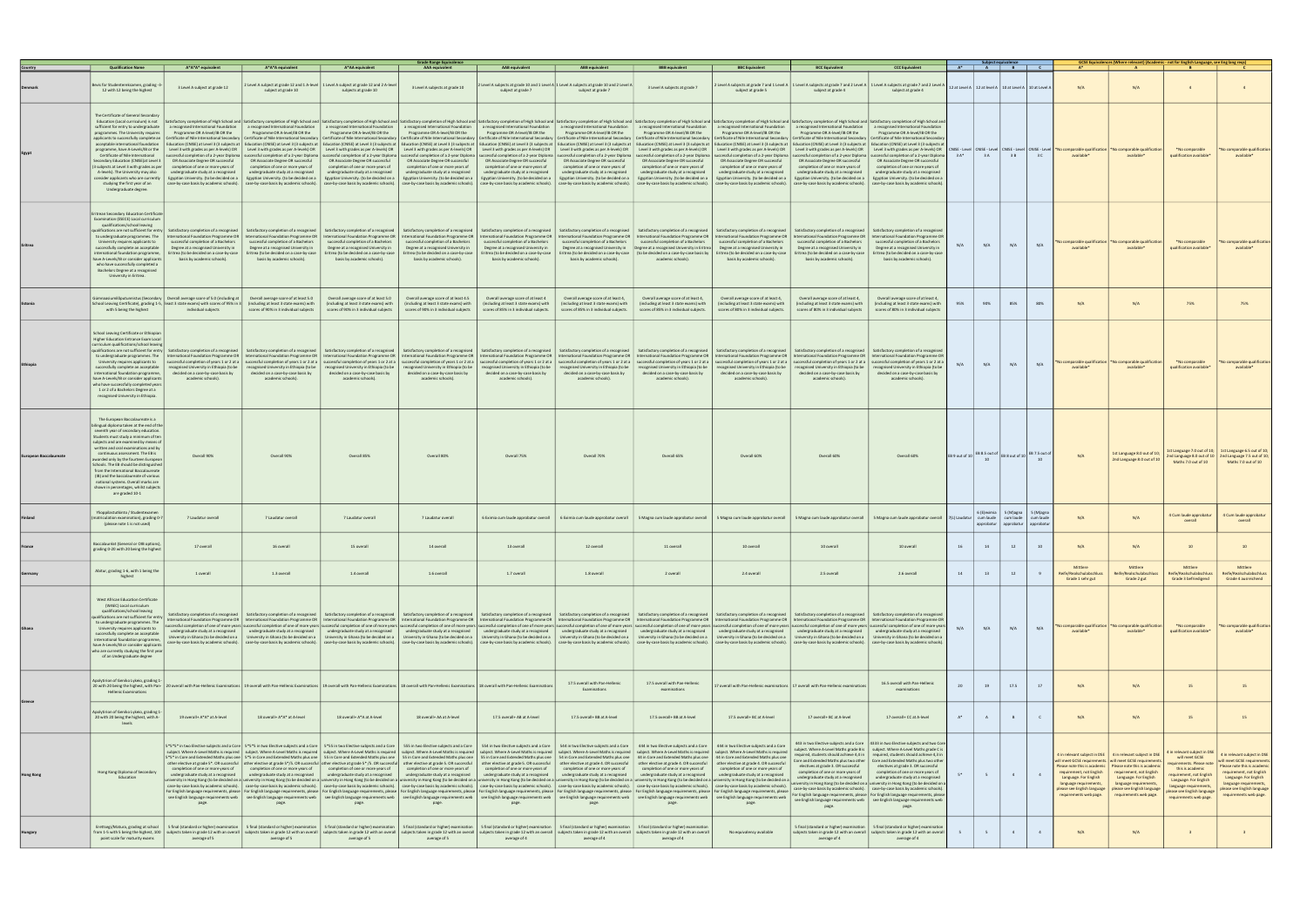|                  |                                                                                                                                                                                                                                                                                                                                                                                                                                                                                                                                                           |                                                                                                                                                                                                                                                                                                                                                                                                                                                                                                                                                                          |                                                                                                                                                                                                                                       |                                                                                                                                                                                                                                                                                                                                                                                                                                                                                                                                                                                                                                       | <b>Grade Range Equivalence</b>                                                                                                                                                                                                                                                    |                                                                                                                                                                                                                                       |                                                                                                                                                                                                                                                                                                                                                                                                                                                                                                                                                                                                                                                                                                                                                                                                                                                                                                                                                                                                                                                                                                                                                                                                                                                                                                                                                                                                                                                                                                                                                                          |                                                                                                                                                                                                                                                                                         |                                                                                                                                                                                                                                                                                                                                                                             |                                                                                                                                                                                                                                                                                                                                                                            |                                                                                                                                                                                                                                                                                                                                                                                                                                                                                                                                                                                                                                                                                                                                                                                                                                           |                                             |              | $A^*$ $A$ $B$ $C$                                             |                                   | $A^*$                                                                                                                                                                                                                                                         | GCSE Equivalences (Where relevant) (Academic - not for English Language, see Eng lang reqs<br>$\mathbf{A}$                                                                                           |                                                                                                                                                                                                                                     |                                                                                                                                                                                                                                     |
|------------------|-----------------------------------------------------------------------------------------------------------------------------------------------------------------------------------------------------------------------------------------------------------------------------------------------------------------------------------------------------------------------------------------------------------------------------------------------------------------------------------------------------------------------------------------------------------|--------------------------------------------------------------------------------------------------------------------------------------------------------------------------------------------------------------------------------------------------------------------------------------------------------------------------------------------------------------------------------------------------------------------------------------------------------------------------------------------------------------------------------------------------------------------------|---------------------------------------------------------------------------------------------------------------------------------------------------------------------------------------------------------------------------------------|---------------------------------------------------------------------------------------------------------------------------------------------------------------------------------------------------------------------------------------------------------------------------------------------------------------------------------------------------------------------------------------------------------------------------------------------------------------------------------------------------------------------------------------------------------------------------------------------------------------------------------------|-----------------------------------------------------------------------------------------------------------------------------------------------------------------------------------------------------------------------------------------------------------------------------------|---------------------------------------------------------------------------------------------------------------------------------------------------------------------------------------------------------------------------------------|--------------------------------------------------------------------------------------------------------------------------------------------------------------------------------------------------------------------------------------------------------------------------------------------------------------------------------------------------------------------------------------------------------------------------------------------------------------------------------------------------------------------------------------------------------------------------------------------------------------------------------------------------------------------------------------------------------------------------------------------------------------------------------------------------------------------------------------------------------------------------------------------------------------------------------------------------------------------------------------------------------------------------------------------------------------------------------------------------------------------------------------------------------------------------------------------------------------------------------------------------------------------------------------------------------------------------------------------------------------------------------------------------------------------------------------------------------------------------------------------------------------------------------------------------------------------------|-----------------------------------------------------------------------------------------------------------------------------------------------------------------------------------------------------------------------------------------------------------------------------------------|-----------------------------------------------------------------------------------------------------------------------------------------------------------------------------------------------------------------------------------------------------------------------------------------------------------------------------------------------------------------------------|----------------------------------------------------------------------------------------------------------------------------------------------------------------------------------------------------------------------------------------------------------------------------------------------------------------------------------------------------------------------------|-------------------------------------------------------------------------------------------------------------------------------------------------------------------------------------------------------------------------------------------------------------------------------------------------------------------------------------------------------------------------------------------------------------------------------------------------------------------------------------------------------------------------------------------------------------------------------------------------------------------------------------------------------------------------------------------------------------------------------------------------------------------------------------------------------------------------------------------|---------------------------------------------|--------------|---------------------------------------------------------------|-----------------------------------|---------------------------------------------------------------------------------------------------------------------------------------------------------------------------------------------------------------------------------------------------------------|------------------------------------------------------------------------------------------------------------------------------------------------------------------------------------------------------|-------------------------------------------------------------------------------------------------------------------------------------------------------------------------------------------------------------------------------------|-------------------------------------------------------------------------------------------------------------------------------------------------------------------------------------------------------------------------------------|
|                  | <b>Qualification Nam</b>                                                                                                                                                                                                                                                                                                                                                                                                                                                                                                                                  | A*A*A* equivalent                                                                                                                                                                                                                                                                                                                                                                                                                                                                                                                                                        | A*A*A equivalen                                                                                                                                                                                                                       | A*AA equivalen                                                                                                                                                                                                                                                                                                                                                                                                                                                                                                                                                                                                                        | <b>AAA</b> equivalent                                                                                                                                                                                                                                                             |                                                                                                                                                                                                                                       |                                                                                                                                                                                                                                                                                                                                                                                                                                                                                                                                                                                                                                                                                                                                                                                                                                                                                                                                                                                                                                                                                                                                                                                                                                                                                                                                                                                                                                                                                                                                                                          |                                                                                                                                                                                                                                                                                         | <b>BBC Equivalent</b>                                                                                                                                                                                                                                                                                                                                                       |                                                                                                                                                                                                                                                                                                                                                                            |                                                                                                                                                                                                                                                                                                                                                                                                                                                                                                                                                                                                                                                                                                                                                                                                                                           |                                             |              |                                                               |                                   |                                                                                                                                                                                                                                                               |                                                                                                                                                                                                      |                                                                                                                                                                                                                                     |                                                                                                                                                                                                                                     |
|                  | Bevis for Studentereksamen, grading -<br>12 with 12 being the highest                                                                                                                                                                                                                                                                                                                                                                                                                                                                                     | 3 Level A subject at grade 12                                                                                                                                                                                                                                                                                                                                                                                                                                                                                                                                            | subject at grade 10                                                                                                                                                                                                                   | 2 Level A subject at grade 12 and 1 A-level 1 Level A subject at grade 12 and 2 A-level<br>subjects at grade 10                                                                                                                                                                                                                                                                                                                                                                                                                                                                                                                       | 3 Level A subjects at grade 10                                                                                                                                                                                                                                                    | subject at grade 7                                                                                                                                                                                                                    | Level A subjects at grade 10 and 1 Level A 1 Level A subjects at grade 10 and 2 Level A<br>subject at grade 7                                                                                                                                                                                                                                                                                                                                                                                                                                                                                                                                                                                                                                                                                                                                                                                                                                                                                                                                                                                                                                                                                                                                                                                                                                                                                                                                                                                                                                                            | 3 Level A subjects at grade 7                                                                                                                                                                                                                                                           | 2 Level A subjects at grade 7 and 1 Level A<br>subject at grade 5                                                                                                                                                                                                                                                                                                           | 1 Level A subjects at grade 7 and 2 Level A   1 Level A subjects at grade 7 and 2 Level.<br>subject at grade 4                                                                                                                                                                                                                                                             | subject at grade 4                                                                                                                                                                                                                                                                                                                                                                                                                                                                                                                                                                                                                                                                                                                                                                                                                        |                                             |              | 12 at Level A   12 at level A   10 at Level A   10 at Level / |                                   | N/A                                                                                                                                                                                                                                                           | N/A                                                                                                                                                                                                  |                                                                                                                                                                                                                                     |                                                                                                                                                                                                                                     |
|                  | The Certificate of General Secondary<br>Education (Local curriculum) is not<br>sufficient for entry to undergraduate<br>programmes. The University requires<br>acceptable international foundation<br>programme, have A-Levels/IB or the<br>Certificate of Nile International<br>Secondary Education (CNISE) at Level 3<br>(3 subjects at Level 3 with grades as per<br>A-levels). The University may also<br>consider applicants who are currently<br>studying the first year of an<br>Undergraduate degree.                                             | a recognised International Foundation<br>Programme OR A-level/IB OR the<br>applicants to successfully complete an   Certificate of Nile International Secondary   Certificate of Nile International Secondary   Certificate of Nile International Secondary   Certificate of Nile International Secondary<br>successful completion of a 2-year Diploma<br>OR Associate Degree OR successful<br>completion of one or more years of<br>undergraduate study at a recognised<br>Egyptian University. (to be decided on a<br>case-by-case basis by academic schools).         | a recognised International Foundation<br>Programme OR A-level/IB OR the<br>OR Associate Degree OR successful<br>completion of one or more years of<br>undergraduate study at a recognised<br>case-by-case basis by academic schools). | a recognised International Foundation<br>Programme OR A-level/IB OR the<br>Level 3 with grades as per A-levels) OR Level 3 with grades as per A-levels) OR Level 3 with grades as per A-levels) OR<br>successful completion of a 2-year Diploma successful completion of a 2-year Diploma successful completion of a 2-year Diploma  <br>OR Associate Degree OR successful<br>completion of one or more years of<br>undergraduate study at a recognised<br>Egyptian University. (to be decided on a Egyptian University. (to be decided on a<br>case-by-case basis by academic schools).                                              | a recognised International Foundation<br>Programme OR A-level/IB OR the<br>OR Associate Degree OR successful<br>completion of one or more years of<br>undergraduate study at a recognised<br>Egyptian University. (to be decided on a<br>case-by-case basis by academic schools). | a recognised International Foundation<br>Programme OR A-level/IB OR the<br>OR Associate Degree OR successful<br>completion of one or more years of<br>undergraduate study at a recognised<br>case-by-case basis by academic schools). | Satisfactory completion of High School and   Satisfactory completion of High School and   Satisfactory completion of High School and   Satisfactory completion of High School and   Satisfactory completion of High School and<br>a recognised International Foundation<br>Programme OR A-level/IB OR the<br>Education (CNISE) at Level 3 (3 subjects at   Education (CNISE) at Level 3 (3 subjects at   Education (CNISE) at Level 3 (3 subjects at   Education (CNISE) at Level 3 (3 subjects at   Education (CNISE) at Level 3 (3 subjec<br>Level 3 with grades as per A-levels) OR Level 3 with grades as per A-levels) OR Level 3 with grades as per A-levels) OR Level 3 with grades as per A-levels) OR  <br>successful completion of a 2-year Diploma   successful completion of a 2-year Diploma   successful completion of a 2-year Diploma<br>OR Associate Degree OR successful<br>completion of one or more years of<br>undergraduate study at a recognised<br>Egyptian University. (to be decided on a   Egyptian University. (to be decided on a<br>case-by-case basis by academic schools).                                                                                                                                                                                                                                                                                                                                                                                                                                                               | a recognised International Foundation<br>Programme OR A-level/IB OR the<br>OR Associate Degree OR successful<br>completion of one or more years of<br>undergraduate study at a recognised<br>Egyptian University. (to be decided on a<br>case-by-case basis by academic schools).       | a recognised International Foundation<br>Programme OR A-level/IB OR the<br>Education (CNISE) at Level 3 (3 subjects at<br>Level 3 with grades as per A-levels) OR<br>OR Associate Degree OR successful<br>completion of one or more years of<br>undergraduate study at a recognised<br>Egyptian University. (to be decided on a<br>case-by-case basis by academic schools). | a recognised International Foundation<br>Programme OR A-level/IB OR the<br>successful completion of a 2-year Diploma   successful completion of a 2-year Diploma   successful completion of a 2-year Diploma<br>OR Associate Degree OR successful<br>completion of one or more years of<br>undergraduate study at a recognised<br>case-by-case basis by academic schools). | a recognised International Foundation<br>Programme OR A-level/IB OR the<br>Education (CNISE) at Level 3 (3 subjects at   Education (CNISE) at Level 3 (3 subjects at<br>Level 3 with grades as per A-levels) OR $\parallel$ Level 3 with grades as per A-levels) OR<br>OR Associate Degree OR successful<br>completion of one or more years of<br>undergraduate study at a recognised<br>Egyptian University, (to be decided on a   Egyptian University, (to be decided on a<br>case-by-case basis by academic schools                                                                                                                                                                                                                                                                                                                    | $3A*$                                       | 3A           | 3 B                                                           | 3 C                               | mparable qualificati<br>available*                                                                                                                                                                                                                            | comparable qualificatio<br>available*                                                                                                                                                                | *No comparable<br>qualification available*                                                                                                                                                                                          | 'No comparable qualification<br>available*                                                                                                                                                                                          |
|                  | <b>Eritrean Secondary Education Certificat</b><br>Examination (ESECE) Local curriculum<br>qualifications/school leaving<br>to undergraduate programmes. The<br>University requires applicants to<br>successfully complete an acceptable<br>international foundation programme,<br>have A-Levels/IB or consider applicants<br>who have successfully completed a<br>Bachelors Degree at a recognised<br>University in Eritrea.                                                                                                                              | ualifications are not sufficient for entry   Satisfactory completion of a recognised<br>successful completion of a Bachelors<br>Degree at a recognised University in<br>Eritrea (to be decided on a case-by-case<br>basis by academic schools).                                                                                                                                                                                                                                                                                                                          | Satisfactory completion of a recognised<br>successful completion of a Bachelors<br>Degree at a recognised University in<br>Eritrea (to be decided on a case-by-case<br>basis by academic schools).                                    | Satisfactory completion of a recognised<br>International Foundation Programme OR   International Foundation Programme OR   International Foundation Programme OR<br>successful completion of a Bachelors<br>Degree at a recognised University in<br>Eritrea (to be decided on a case-by-case<br>basis by academic schools).                                                                                                                                                                                                                                                                                                           | Satisfactory completion of a recognised<br>International Foundation Programme OR<br>successful completion of a Bachelors<br>Degree at a recognised University in<br>Eritrea (to be decided on a case-by-case<br>basis by academic schools).                                       | Satisfactory completion of a recognised<br>successful completion of a Bachelors<br>Degree at a recognised University in<br>Eritrea (to be decided on a case-by-case<br>basis by academic schools)                                     | International Foundation Programme OR   International Foundation Programme OR   International Foundation Programme OR  <br>successful completion of a Bachelors<br>Degree at a recognised University in<br>basis by academic schools).                                                                                                                                                                                                                                                                                                                                                                                                                                                                                                                                                                                                                                                                                                                                                                                                                                                                                                                                                                                                                                                                                                                                                                                                                                                                                                                                   | Satisfactory completion of a recognised   Satisfactory completion of a recognised<br>successful completion of a Bachelors<br>Degree at a recognised University in Eritrea<br>Eritrea (to be decided on a case-by-case   (to be decided on a case-by-case basis by<br>academic schools). | Satisfactory completion of a recognised<br>International Foundation Programme OR<br>successful completion of a Bachelors<br>Degree at a recognised University in<br>Eritrea (to be decided on a case-by-case<br>basis by academic schools).                                                                                                                                 | Satisfactory completion of a recognised<br>successful completion of a Bachelors<br>Degree at a recognised University in<br>Eritrea (to be decided on a case-by-case<br>basis by academic schools).                                                                                                                                                                         | Satisfactory completion of a recognised<br>International Foundation Programme OR   International Foundation Programme OR<br>successful completion of a Bachelors<br>Degree at a recognised University in<br>Eritrea (to be decided on a case-by-case<br>basis by academic schools).                                                                                                                                                                                                                                                                                                                                                                                                                                                                                                                                                       | N/A                                         | N/A          | N/A                                                           | N/A                               | comparable qualificat<br>available <sup>®</sup>                                                                                                                                                                                                               | omparable qualificati<br>available*                                                                                                                                                                  | *No comparable<br>qualification available*                                                                                                                                                                                          | 'No comparable qualification<br>available*                                                                                                                                                                                          |
|                  | with 5 being the highest                                                                                                                                                                                                                                                                                                                                                                                                                                                                                                                                  | $Imnaasiumilõputunnistus (Secondary   Overall average score of 5.0 (including at  $<br>School Leaving Certificate), grading 1-5, least 3 state exams) with scores of 95% in 3<br>individual subjects                                                                                                                                                                                                                                                                                                                                                                     | Overall average score of at least 5.0<br>(including at least 3 state exams) with<br>scores of 90% in 3 individual subjects                                                                                                            | Overall average score of at least 5.0<br>(including at least 3 state exams) with<br>scores of 90% in 3 individual subjects                                                                                                                                                                                                                                                                                                                                                                                                                                                                                                            | Overall average score of at least 4.5<br>(including at least 3 state exams) with<br>scores of 90% in 3 individual subjects                                                                                                                                                        | Overall average score of at least 4<br>(including at least 3 state exams) with<br>scores of 85% in 3 individual subjects.                                                                                                             | Overall average score of at least 4,<br>(including at least 3 state exams) with<br>scores of 85% in 3 individual subjects.                                                                                                                                                                                                                                                                                                                                                                                                                                                                                                                                                                                                                                                                                                                                                                                                                                                                                                                                                                                                                                                                                                                                                                                                                                                                                                                                                                                                                                               | Overall average score of at least 4,<br>(including at least 3 state exams) with<br>scores of 85% in 3 individual subjects.                                                                                                                                                              | Overall average score of at least 4.<br>(including at least 3 state exams) with<br>scores of 80% in 3 individual subjects.                                                                                                                                                                                                                                                  | Overall average score of at least 4,<br>(including at least 3 state exams) with<br>scores of 80% in 3 individual subjects                                                                                                                                                                                                                                                  | Overall average score of at least 4,<br>(including at least 3 state exams) with<br>scores of 80% in 3 individual subjects                                                                                                                                                                                                                                                                                                                                                                                                                                                                                                                                                                                                                                                                                                                 | 95%                                         | 90%          | 85%                                                           | 80%                               | N/A                                                                                                                                                                                                                                                           | N/A                                                                                                                                                                                                  | 75%                                                                                                                                                                                                                                 |                                                                                                                                                                                                                                     |
|                  | School Leaving Certificate or Ethiopian<br>Higher Education Entrance Exam Local<br>urriculum qualifications/school leavi<br>University requires applicants to<br>successfully complete an acceptable<br>international foundation programme,<br>have A-Levels/IB or consider applicants<br>who have successfully completed year<br>1 or 2 of a Bachelors Degree at a<br>recognised University in Ethiopia.                                                                                                                                                 | qualifications are not sufficient for entry Satisfactory completion of a recognised Satisfactory completion of a recognised Satisfactory completion of a recognised Satisfactory completion of a recognised Satisfactory compl<br>to undergraduate programmes. The   International Foundation Programme OR   International Foundation Programme OR   International Foundation Programme OR   International Foundation Programme OR   International Foundation Pr<br>recognised University in Ethiopia (to be<br>decided on a case-by-case basis by<br>academic schools). | recognised University in Ethiopia (to be<br>decided on a case-by-case basis by<br>academic schools).                                                                                                                                  | recognised University in Ethiopia (to be<br>decided on a case-by-case basis by<br>academic schools).                                                                                                                                                                                                                                                                                                                                                                                                                                                                                                                                  | recognised University in Ethiopia (to be<br>decided on a case-by-case basis by<br>academic schools).                                                                                                                                                                              | recognised University in Ethiopia (to be<br>decided on a case-by-case basis by<br>academic schools).                                                                                                                                  | successful completion of years 1 or 2 at a   successful completion of years 1 or 2 ata   successful completion of years 1 or 2 ata   successful completion of years 1 or 2 ata   successful completion of years 1 or 2 ata   s<br>recognised University in Ethiopia (to be<br>decided on a case-by-case basis by<br>academic schools).                                                                                                                                                                                                                                                                                                                                                                                                                                                                                                                                                                                                                                                                                                                                                                                                                                                                                                                                                                                                                                                                                                                                                                                                                                   | recognised University in Ethiopia (to be<br>decided on a case-by-case basis by<br>academic schools).                                                                                                                                                                                    | Satisfactory completion of a recognised  <br>recognised University in Ethiopia (to be<br>decided on a case-by-case basis by<br>academic schools).                                                                                                                                                                                                                           | recognised University in Ethiopia (to be<br>decided on a case-by-case basis by<br>academic schools).                                                                                                                                                                                                                                                                       | Satisfactory completion of a recognised Satisfactory completion of a recognised<br>recognised University in Ethiopia (to be<br>decided on a case-by-case basis by<br>academic schools).                                                                                                                                                                                                                                                                                                                                                                                                                                                                                                                                                                                                                                                   | N/A                                         | N/A          | N/A                                                           | N/A                               | comparable qualificatio<br>available <sup>®</sup>                                                                                                                                                                                                             | comparable qualification<br>available*                                                                                                                                                               | *No comparable<br>qualification available*                                                                                                                                                                                          | No comparable qualification<br>available*                                                                                                                                                                                           |
|                  | The European Baccalaureate is a<br>bilingual diploma taken at the end of the<br>seventh year of secondary education.<br>Students must study a minimum of ter<br>subjects and are examined by means of<br>written and oral examinations and by<br>continuous assessment. The EB is<br>awarded only by the fourteen European<br>Schools. The EB should be distinguished<br>from the International Baccalaureate<br>(IB) and the baccalaureate of various<br>national systems. Overall marks are<br>shown in percentages, whilst subjects<br>are graded 10-1 | Overall 90%                                                                                                                                                                                                                                                                                                                                                                                                                                                                                                                                                              | Overall 90%                                                                                                                                                                                                                           | Overall 85%                                                                                                                                                                                                                                                                                                                                                                                                                                                                                                                                                                                                                           | Overall 80%                                                                                                                                                                                                                                                                       | Overall 75%                                                                                                                                                                                                                           | Overall 70%                                                                                                                                                                                                                                                                                                                                                                                                                                                                                                                                                                                                                                                                                                                                                                                                                                                                                                                                                                                                                                                                                                                                                                                                                                                                                                                                                                                                                                                                                                                                                              | Overall 65%                                                                                                                                                                                                                                                                             | Overall 60%                                                                                                                                                                                                                                                                                                                                                                 | Overall 60%                                                                                                                                                                                                                                                                                                                                                                | Overall 60%                                                                                                                                                                                                                                                                                                                                                                                                                                                                                                                                                                                                                                                                                                                                                                                                                               | EB 9 out of 10 EB 8.5 out of EB 8 out of 10 |              |                                                               | EB 7.5 out of                     | N/A                                                                                                                                                                                                                                                           | 1st Language 8.0 out of 10;<br>2nd Language 8.0 out of 10                                                                                                                                            | 1st Language 7.0 out of 10; 1st Language 6.5 out of 10;<br>Maths 7.0 out of 10                                                                                                                                                      | 2nd Language 8.0 out of $10$ $\vert$ 2nd Language 7.5 out of 10;<br>Maths 7.0 out of 10                                                                                                                                             |
|                  | Ylioppilastutkinto / Studentexam<br>matriculation examination), grading 0-<br>(please note 1 is not used)                                                                                                                                                                                                                                                                                                                                                                                                                                                 | 7 Laudatur overall                                                                                                                                                                                                                                                                                                                                                                                                                                                                                                                                                       | 7 Laudatur overall                                                                                                                                                                                                                    | 7 Laudatur overall                                                                                                                                                                                                                                                                                                                                                                                                                                                                                                                                                                                                                    | 7 Laudatur overall                                                                                                                                                                                                                                                                | 6 Eximia cum laude approbatur overall                                                                                                                                                                                                 | 6 Eximia cum laude approbatur overall                                                                                                                                                                                                                                                                                                                                                                                                                                                                                                                                                                                                                                                                                                                                                                                                                                                                                                                                                                                                                                                                                                                                                                                                                                                                                                                                                                                                                                                                                                                                    | 5 Magna cum laude approbatur overall                                                                                                                                                                                                                                                    | 5 Magna cum laude approbatur overall                                                                                                                                                                                                                                                                                                                                        | 5 Magna cum laude approbatur overall                                                                                                                                                                                                                                                                                                                                       | 5 Magna cum laude approbatur overall 7(L) Laudatur   cum laude   cum laude                                                                                                                                                                                                                                                                                                                                                                                                                                                                                                                                                                                                                                                                                                                                                                |                                             | 6 (E) eximia | 5 (M)agna<br>approbatur approbatur                            | 5 (M)agn<br>cum laud<br>approbatu | N/A                                                                                                                                                                                                                                                           | N/A                                                                                                                                                                                                  | 4 Cum laude approbatur<br>overall                                                                                                                                                                                                   | 4 Cum laude approbatur                                                                                                                                                                                                              |
|                  | Baccalauréat (General or OIB options)<br>grading 0-20 with 20 being the highes!                                                                                                                                                                                                                                                                                                                                                                                                                                                                           | 17 overall                                                                                                                                                                                                                                                                                                                                                                                                                                                                                                                                                               | 16 overall                                                                                                                                                                                                                            | 15 overall                                                                                                                                                                                                                                                                                                                                                                                                                                                                                                                                                                                                                            | 14 overall                                                                                                                                                                                                                                                                        | 13 overall                                                                                                                                                                                                                            | 12 overall                                                                                                                                                                                                                                                                                                                                                                                                                                                                                                                                                                                                                                                                                                                                                                                                                                                                                                                                                                                                                                                                                                                                                                                                                                                                                                                                                                                                                                                                                                                                                               | 11 overall                                                                                                                                                                                                                                                                              | 10 overall                                                                                                                                                                                                                                                                                                                                                                  | 10 overall                                                                                                                                                                                                                                                                                                                                                                 | 10 overall                                                                                                                                                                                                                                                                                                                                                                                                                                                                                                                                                                                                                                                                                                                                                                                                                                |                                             |              |                                                               |                                   | N/A                                                                                                                                                                                                                                                           | N/A                                                                                                                                                                                                  |                                                                                                                                                                                                                                     |                                                                                                                                                                                                                                     |
| Germany          | Abitur, grading 1-6, with 1 being the<br>highest                                                                                                                                                                                                                                                                                                                                                                                                                                                                                                          | 1 overall                                                                                                                                                                                                                                                                                                                                                                                                                                                                                                                                                                | 1.3 overall                                                                                                                                                                                                                           | 1.4 overall                                                                                                                                                                                                                                                                                                                                                                                                                                                                                                                                                                                                                           | 1.6 overall                                                                                                                                                                                                                                                                       | 1.7 overall                                                                                                                                                                                                                           | 1.8 overall                                                                                                                                                                                                                                                                                                                                                                                                                                                                                                                                                                                                                                                                                                                                                                                                                                                                                                                                                                                                                                                                                                                                                                                                                                                                                                                                                                                                                                                                                                                                                              | 2 overall                                                                                                                                                                                                                                                                               | 2.4 overall                                                                                                                                                                                                                                                                                                                                                                 | 2.5 overall                                                                                                                                                                                                                                                                                                                                                                | 2.6 overall                                                                                                                                                                                                                                                                                                                                                                                                                                                                                                                                                                                                                                                                                                                                                                                                                               | 14                                          | 13           | 12                                                            | 9                                 | Mittlere<br>Reife/Realschulabschluss<br>Grade 1 sehr gut                                                                                                                                                                                                      | Mittlere<br>Reife/Realschulabschlus<br>Grade 2 gut                                                                                                                                                   | Mittlere<br>Reife/Realschulabschluss<br>Grade 3 befriedigend                                                                                                                                                                        | Mittlere<br>Reife/Realschulabschluss<br>Grade 4 ausreichend                                                                                                                                                                         |
|                  | West African Education Certificate<br>(WAEC) Local curriculum<br>qualifications/school leaving<br>qualifications are not sufficient for entry<br>to undergraduate programmes. The<br>University requires applicants to<br>successfully complete an acceptable<br>international foundation programme,<br>have A-Levels/IB or consider applicants<br>who are currently studying the first yea<br>of an Undergraduate degree                                                                                                                                 | University in Ghana (to be decided on a                                                                                                                                                                                                                                                                                                                                                                                                                                                                                                                                  | undergraduate study at a recognised   undergraduate study at a recognised<br>University in Ghana (to be decided on a                                                                                                                  | undergraduate study at a recognised<br>University in Ghana (to be decided on a                                                                                                                                                                                                                                                                                                                                                                                                                                                                                                                                                        | undergraduate study at a recognised<br>University in Ghana (to be decided on a                                                                                                                                                                                                    | undergraduate study at a recognised<br>University in Ghana (to be decided on a                                                                                                                                                        | Satisfactory completion of a recognised   Satisfactory completion of a recognised   Satisfactory completion of a recognised   Satisfactory completion of a recognised   Satisfactory completion of a recognised   Satisfactory<br>International Foundation Programme OR   International Foundation Programme OR   International Foundation Programme OR   International Foundation Programme OR   International Foundation Programme OR   International Foundati<br>successful completion of one of more years  successful completion of one of more years  successful completion of one of more years  successful completion of one of more years  successful completion of one of more years  su<br>undergraduate study at a recognised<br>University in Ghana (to be decided on a<br>case-by-case basis by academic schools). ase-by-case basis by academic schools). [case-by-case basis by academic schools]. [case-by-case basis by academic schools]. [case-by-case basis by academic schools]. [case-by-case b                                                                                                                                                                                                                                                                                                                                                                                                                                                                                                                                                   | undergraduate study at a recognised<br>University in Ghana (to be decided on a                                                                                                                                                                                                          | undergraduate study at a recognised<br>University in Ghana (to be decided on a                                                                                                                                                                                                                                                                                              | undergraduate study at a recognised<br>University in Ghana (to be decided on a                                                                                                                                                                                                                                                                                             | Satisfactory completion of a recognised   Satisfactory completion of a recognised<br>undergraduate study at a recognised<br>University in Ghana (to be decided on a                                                                                                                                                                                                                                                                                                                                                                                                                                                                                                                                                                                                                                                                       | N/A                                         | N/A          | N/A                                                           | N/A                               | comparable qualification<br>available <sup>®</sup>                                                                                                                                                                                                            | omparable qualification<br>available*                                                                                                                                                                | *No comparable<br>qualification available*                                                                                                                                                                                          | No comparable qualification<br>available*                                                                                                                                                                                           |
|                  | Apolytirion of Geniko Lykeio, grading 1<br><b>Hellenic Examinations</b>                                                                                                                                                                                                                                                                                                                                                                                                                                                                                   | 20 20 with 20 being the highest, with Pan-   20 overall with Pan-Hellenic Examinations   19 overall with Pan-Hellenic Examinations   19 overall with Pan-Hellenic Examinations   18 overall with Pan-Hellenic Examinations   1                                                                                                                                                                                                                                                                                                                                           |                                                                                                                                                                                                                                       |                                                                                                                                                                                                                                                                                                                                                                                                                                                                                                                                                                                                                                       |                                                                                                                                                                                                                                                                                   |                                                                                                                                                                                                                                       | 17.5 overall with Pan-Hellenic<br>Examinations                                                                                                                                                                                                                                                                                                                                                                                                                                                                                                                                                                                                                                                                                                                                                                                                                                                                                                                                                                                                                                                                                                                                                                                                                                                                                                                                                                                                                                                                                                                           | 17.5 overall with Pan-Hellenic<br>examinations                                                                                                                                                                                                                                          |                                                                                                                                                                                                                                                                                                                                                                             | 7 overall with Pan-Hellenic examinations   17 overall with Pan-Hellenic examinatio                                                                                                                                                                                                                                                                                         | 16.5 overall with Pan-Hellenic<br>examinations                                                                                                                                                                                                                                                                                                                                                                                                                                                                                                                                                                                                                                                                                                                                                                                            |                                             | 19           | 17.5                                                          | 17                                | N/A                                                                                                                                                                                                                                                           | N/A                                                                                                                                                                                                  | 15                                                                                                                                                                                                                                  | 15                                                                                                                                                                                                                                  |
|                  | Apolytirion of Geniko Lykeio, grading :<br>20 with 20 being the highest, with A-<br>levels                                                                                                                                                                                                                                                                                                                                                                                                                                                                | 19 overall+ A*A* at A-level                                                                                                                                                                                                                                                                                                                                                                                                                                                                                                                                              | 18 overall+ A*A* at A-level                                                                                                                                                                                                           | 18 overall+ A*A at A-level                                                                                                                                                                                                                                                                                                                                                                                                                                                                                                                                                                                                            | 18 overall+ AA at A-level                                                                                                                                                                                                                                                         | 17.5 overall+ AB at A-level                                                                                                                                                                                                           | 17.5 overall+ BB at A-level                                                                                                                                                                                                                                                                                                                                                                                                                                                                                                                                                                                                                                                                                                                                                                                                                                                                                                                                                                                                                                                                                                                                                                                                                                                                                                                                                                                                                                                                                                                                              | 17.5 overall+ BB at A-level                                                                                                                                                                                                                                                             | 17.5 overall+ BC at A-level                                                                                                                                                                                                                                                                                                                                                 | 17 overall+ BC at A-level                                                                                                                                                                                                                                                                                                                                                  | 17 overall+ CC at A-level                                                                                                                                                                                                                                                                                                                                                                                                                                                                                                                                                                                                                                                                                                                                                                                                                 | $A^*$                                       | A            | B                                                             | $\mathsf{C}$                      | N/A                                                                                                                                                                                                                                                           | N/A                                                                                                                                                                                                  | 15                                                                                                                                                                                                                                  | 15                                                                                                                                                                                                                                  |
| <b>Hong Kong</b> | Hong Kong Diploma of Secondary<br>Education                                                                                                                                                                                                                                                                                                                                                                                                                                                                                                               | completion of one or more years of<br>undergraduate study at a recognised<br>page.                                                                                                                                                                                                                                                                                                                                                                                                                                                                                       | completion of one or more years of<br>undergraduate study at a recognised<br>page.                                                                                                                                                    | 5*5* in two Elective subjects and a Core   5*5*5 in two Elective subjects and a Core   5*55 in two Elective subjects and a Core   555 in two Elective subjects and a Core  <br>subject. Where A-Level Maths is required   subject. Where A-Level Maths is required   subject. Where A-Level Maths is required   subject. Where A-Level Maths is required  <br>other elective at grade 5*. OR successful   other elective at grade 5*/5. OR successful   other elective at grade 5* /5. OR successful   other elective at grade 5. OR successful<br>completion of one or more years of<br>undergraduate study at a recognised<br>page. | completion of one or more years of<br>undergraduate study at a recognised<br>page.                                                                                                                                                                                                | completion of one or more years of<br>undergraduate study at a recognised<br>page.                                                                                                                                                    | 554 in two Elective subjects and a Core 544 in two Elective subjects and a Core<br>subject. Where A-Level Maths is required   subject. Where A-Level Maths is required   subject. Where A-Level Maths is required<br>5*5* in Core and Extended Maths plus one   5*5 in Core and Extended Maths plus one   55 in Core and Extended Maths plus one   55 in Core and Extended Maths plus one   55 in Core and Extended Maths plus one   55 in Core and<br>other elective at grade 5. OR successful   other elective at grade 4. OR successful<br>completion of one or more years of<br>undergraduate study at a recognised<br>niversity in Hong Kong (to be decided on a university in Hong Kong (to be decided on a university in Hong Kong (to be decided on a university in Hong Kong (to be decided on a university in Hong Kong (to be decided on a lun<br>case-by-case basis by academic schools).   case-by-case basis by academic schools).   case-by-case basis by academic schools).   case-by-case basis by academic schools).   case-by-case basis by academic schools).   case-by<br>For English language requirements, please   For English language requirements, please   For English language requirements, please   For English language requirements, please   For English language requirements, please   Fo<br>see English language requirements web see English language requirements web see English language requirements web see English language requirements web see English language requirements web see English language requirement<br>page. | 444 in two Elective subjects and a Core<br>other elective at grade 4. OR successful<br>completion of one or more years of<br>undergraduate study at a recognised<br>page.                                                                                                               | 444 in two Elective subjects and a Core<br>subject. Where A-Level Maths is required<br>other elective at grade 4. OR successful<br>completion of one or more years of<br>undergraduate study at a recognised<br>page.                                                                                                                                                       | electives at grade 3. OR successful<br>completion of one or more years of<br>undergraduate study at a recognised<br>page.                                                                                                                                                                                                                                                  | 443 in two Elective subjects and a Core   4333 in two Elective subjects and two Core<br>subject. Where A-Level Maths grade B is   subject. Where A-Level Maths grade C i<br>required, students should achieve 4,4 in   required, students should achieve 4,3 in<br>Core and Extended Maths plus two other   Core and Extended Maths plus two other<br>electives at grade 3. OR successful<br>completion of one or more years of<br>undergraduate study at a recognised<br>iniversity in Hong Kong (to be decided on a university in Hong Kong (to be decided on a<br>case-by-case basis by academic schools).   case-by-case basis by academic schools<br>For English language requirements, please   For English language requirements, please<br>see English language requirements web   see English language requirements web<br>page. |                                             | 5            | 4                                                             | $\overline{a}$                    | 4 in relevant subject in DSE<br>will meet GCSE requirements. will meet GCSE requirements<br>lease note this is academic<br>equirement, not English<br>Language. For English<br>language requirements,<br>lease see English language<br>requirements web page. | 4 in relevant subject in DSE<br>Please note this is academic<br>requirement, not English<br>Language. For English<br>language requirements,<br>please see English language<br>requirements web page. | in relevant subject in DSE<br>will meet GCSE<br>requirements, Please note<br>this is academic<br>equirement, not English<br>Language. For English<br>language requirements<br>blease see English language<br>requirements web page. | 4 in relevant subject in DSE<br>will meet GCSE requirements.<br>lease note this is academic<br>requirement, not English<br>Language. For English<br>language requirements,<br>please see English language<br>requirements web page. |
|                  | Erettsegi/Matura, grading at school<br>point scale for maturity exams                                                                                                                                                                                                                                                                                                                                                                                                                                                                                     | from 1-5 with 5 being the highest, 100   subjects taken in grade 12 with an overall   subjects taken in grade 12 with an overall   subjects taken in grade 12 with an overall   subjects taken ingrade 12 with an overall   su<br>average of 5                                                                                                                                                                                                                                                                                                                           | average of 5                                                                                                                                                                                                                          | average of 5                                                                                                                                                                                                                                                                                                                                                                                                                                                                                                                                                                                                                          | average of 5                                                                                                                                                                                                                                                                      | average of 4                                                                                                                                                                                                                          | 5 final (standard or higher) examination   Sfinal (standard or higher) examination   Sfinal (standard or higher) examination   Sfinal (standard or higher) examination   Sfinal (standard or higher) examination   Sfinal (sta<br>average of 4                                                                                                                                                                                                                                                                                                                                                                                                                                                                                                                                                                                                                                                                                                                                                                                                                                                                                                                                                                                                                                                                                                                                                                                                                                                                                                                           | average of 4                                                                                                                                                                                                                                                                            | No equivalency available                                                                                                                                                                                                                                                                                                                                                    | average of 4                                                                                                                                                                                                                                                                                                                                                               | 5 final (standard or higher) examination   5 final (standard or higher) examination<br>subjects taken in grade 12 with an overall   subjects taken in grade 12 with an overall  <br>average of 4                                                                                                                                                                                                                                                                                                                                                                                                                                                                                                                                                                                                                                          |                                             | $5 -$        | $\sim$                                                        | $\overline{4}$                    | N/A                                                                                                                                                                                                                                                           | N/A                                                                                                                                                                                                  | $\overline{\mathbf{3}}$                                                                                                                                                                                                             |                                                                                                                                                                                                                                     |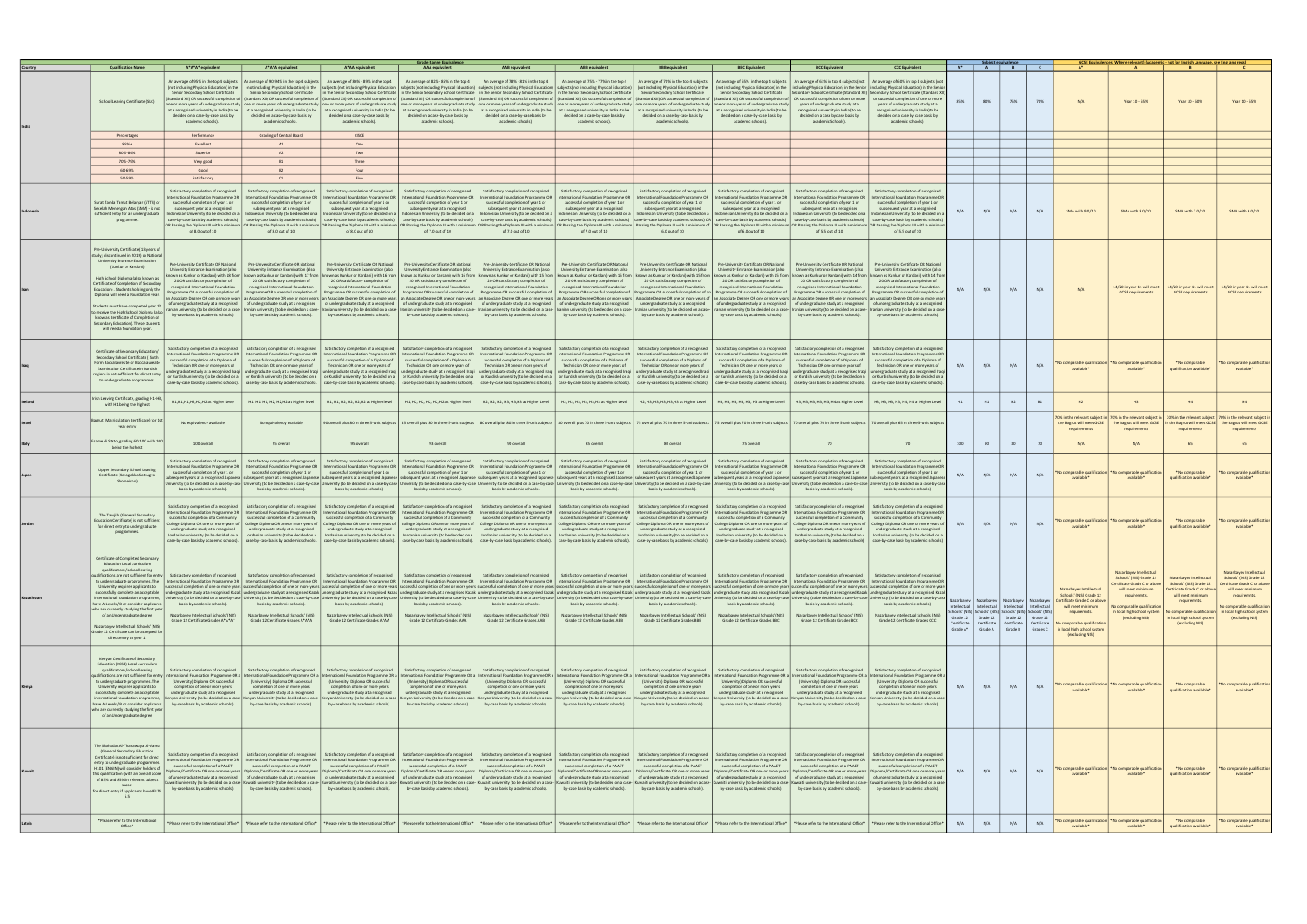|                                                                                                                                                                                                                                                                                                                                                                                                                                                                                                               |                                                                                                                                                                                                                                                                  |                                                                                                                                                                                                          |                                                                                                                                                                                                                                                                                                                                                                                                                                                                                                                                                                                                                                                                                                                                                                                                                                                                                                                                                                                                                                                                                                                                                                                                                                                                                              | Srade Range Equivalence                                                                                                                                                                                                                    |                                                                                                                                                                                                                                               |                                                                                                                                                                                                                    |                                                                                                                                                                                                                                        |                                                                                                                                                                                                                                                                                                                                                                                                                                                                                                                                             |                                                                                                                                                                                                                                                                                                                                                                                                       |                                                                                                                                                                                                                                                                                                                                                    |          |                                                 | $A^*$ $A$ $B$ $C$                                                                                                                                                                                                                     |                       |                                                                                                                                                                                                     |                                                                                                                                                                                                       | GCSE Equivalences (Where relevant) (Academic - not for English Language, see Eng lang reqs)                                                                                                            |                                                                                                                                                                                                     |
|---------------------------------------------------------------------------------------------------------------------------------------------------------------------------------------------------------------------------------------------------------------------------------------------------------------------------------------------------------------------------------------------------------------------------------------------------------------------------------------------------------------|------------------------------------------------------------------------------------------------------------------------------------------------------------------------------------------------------------------------------------------------------------------|----------------------------------------------------------------------------------------------------------------------------------------------------------------------------------------------------------|----------------------------------------------------------------------------------------------------------------------------------------------------------------------------------------------------------------------------------------------------------------------------------------------------------------------------------------------------------------------------------------------------------------------------------------------------------------------------------------------------------------------------------------------------------------------------------------------------------------------------------------------------------------------------------------------------------------------------------------------------------------------------------------------------------------------------------------------------------------------------------------------------------------------------------------------------------------------------------------------------------------------------------------------------------------------------------------------------------------------------------------------------------------------------------------------------------------------------------------------------------------------------------------------|--------------------------------------------------------------------------------------------------------------------------------------------------------------------------------------------------------------------------------------------|-----------------------------------------------------------------------------------------------------------------------------------------------------------------------------------------------------------------------------------------------|--------------------------------------------------------------------------------------------------------------------------------------------------------------------------------------------------------------------|----------------------------------------------------------------------------------------------------------------------------------------------------------------------------------------------------------------------------------------|---------------------------------------------------------------------------------------------------------------------------------------------------------------------------------------------------------------------------------------------------------------------------------------------------------------------------------------------------------------------------------------------------------------------------------------------------------------------------------------------------------------------------------------------|-------------------------------------------------------------------------------------------------------------------------------------------------------------------------------------------------------------------------------------------------------------------------------------------------------------------------------------------------------------------------------------------------------|----------------------------------------------------------------------------------------------------------------------------------------------------------------------------------------------------------------------------------------------------------------------------------------------------------------------------------------------------|----------|-------------------------------------------------|---------------------------------------------------------------------------------------------------------------------------------------------------------------------------------------------------------------------------------------|-----------------------|-----------------------------------------------------------------------------------------------------------------------------------------------------------------------------------------------------|-------------------------------------------------------------------------------------------------------------------------------------------------------------------------------------------------------|--------------------------------------------------------------------------------------------------------------------------------------------------------------------------------------------------------|-----------------------------------------------------------------------------------------------------------------------------------------------------------------------------------------------------|
| <b>Qualification Name</b><br>School Leaving Certificate (SLC)                                                                                                                                                                                                                                                                                                                                                                                                                                                 | A*A*A* equivalent<br>Senior Secondary School Certificate<br>Standard XII) OR successful completion of<br>decided on a case-by-case basis by<br>academic schools).                                                                                                | A*A*A equivalent<br>An average of 95% in the top 4 subjects An average of 90-94% in the top 4 subjects<br>decided on a case-by-case basis by<br>academic schools).                                       | A*AA equivalent<br>An average of 86% - 89% in the top 4<br>(not including Physical Education) in the   inot including Physical Education) in the   subjects (not including Physical Education)   subjects (not including Physical Education)   subjects (not including Physical Education<br>Senior Secondary School Certificate in the Senior Secondary School Certificate in the Senior Secondary School Certificate in the Senior Secondary School Certificate in the Senior Secondary School Certificate in the Senior<br>(Standard XII) OR successful completion of   (Standard XII) OR successful completion of   (Standard XII) OR successful completion of   (Standard XII) OR successful completion of   (Standard XII) OR successful completion of<br>one or more years of undergraduate study   one or more years of undergraduate study   one or more years of undergraduate study   one or more years of undergraduate study   one or more years of undergraduate study one or mo<br>at a recognised university in India (to be   at a recognised university in India (to be   at a recognised university in India (to be   at a recognised university in India (to be   at a recognised university in India (to be<br>decided on a case-by-case basis by<br>academic schools). | <b>AAA</b> equivalent<br>An average of 82%-85% in the top 4<br>decided on a case-by-case basis by<br>academic schools).                                                                                                                    | <b>AAB</b> equivalent<br>An average of 78% - 81% in the top 4<br>decided on a case-by-case basis by<br>academic schools).                                                                                                                     | <b>ABB</b> equivalent<br>An average of 75% - 77% in the top 4<br>decided on a case-by-case basis by<br>academic schools).                                                                                          | <b>BBB</b> equivalent<br>An average of 70% in the top 4 subjects<br>decided on a case-by-case basis by<br>academic schools).                                                                                                           | <b>BBC</b> Equivalent<br>An average of 65% in the top 4 subjects<br>Senior Secondary School Certificate<br>decided on a case-by-case basis by<br>academic schools).                                                                                                                                                                                                                                                                                                                                                                         | <b>BCC Equivalent</b><br>An average of 63% in top 4 subjects (not   An average of 60% in top 4 subjects (no<br>Secondary School Certificate (Standard XII) Secondary School Certificate (Standard XII)<br>years of undergraduate study at a<br>recognised university in India (to be<br>decided on a case by case basis by<br>academic Schools).                                                      | <b>CCC Equivalent</b><br>OR successful completion of one or more   or succesful completion of one or more<br>years of undergraduate study at a<br>recognised university in India)to be<br>decided on a case by case basis by<br>academic schools).                                                                                                 | 85%      | 80%                                             | 75%                                                                                                                                                                                                                                   | 70%                   | N/A                                                                                                                                                                                                 | Year 10 - 65%                                                                                                                                                                                         | Year 10 - 60%                                                                                                                                                                                          | Year 10 - 55%                                                                                                                                                                                       |
| Percentages                                                                                                                                                                                                                                                                                                                                                                                                                                                                                                   | Performance                                                                                                                                                                                                                                                      | <b>Grading of Central Board</b>                                                                                                                                                                          | <b>CISCE</b>                                                                                                                                                                                                                                                                                                                                                                                                                                                                                                                                                                                                                                                                                                                                                                                                                                                                                                                                                                                                                                                                                                                                                                                                                                                                                 |                                                                                                                                                                                                                                            |                                                                                                                                                                                                                                               |                                                                                                                                                                                                                    |                                                                                                                                                                                                                                        |                                                                                                                                                                                                                                                                                                                                                                                                                                                                                                                                             |                                                                                                                                                                                                                                                                                                                                                                                                       |                                                                                                                                                                                                                                                                                                                                                    |          |                                                 |                                                                                                                                                                                                                                       |                       |                                                                                                                                                                                                     |                                                                                                                                                                                                       |                                                                                                                                                                                                        |                                                                                                                                                                                                     |
| 85%+                                                                                                                                                                                                                                                                                                                                                                                                                                                                                                          | Excellent                                                                                                                                                                                                                                                        | A1                                                                                                                                                                                                       | One                                                                                                                                                                                                                                                                                                                                                                                                                                                                                                                                                                                                                                                                                                                                                                                                                                                                                                                                                                                                                                                                                                                                                                                                                                                                                          |                                                                                                                                                                                                                                            |                                                                                                                                                                                                                                               |                                                                                                                                                                                                                    |                                                                                                                                                                                                                                        |                                                                                                                                                                                                                                                                                                                                                                                                                                                                                                                                             |                                                                                                                                                                                                                                                                                                                                                                                                       |                                                                                                                                                                                                                                                                                                                                                    |          |                                                 |                                                                                                                                                                                                                                       |                       |                                                                                                                                                                                                     |                                                                                                                                                                                                       |                                                                                                                                                                                                        |                                                                                                                                                                                                     |
| 80%-84%                                                                                                                                                                                                                                                                                                                                                                                                                                                                                                       | Superior                                                                                                                                                                                                                                                         | A2                                                                                                                                                                                                       | Two                                                                                                                                                                                                                                                                                                                                                                                                                                                                                                                                                                                                                                                                                                                                                                                                                                                                                                                                                                                                                                                                                                                                                                                                                                                                                          |                                                                                                                                                                                                                                            |                                                                                                                                                                                                                                               |                                                                                                                                                                                                                    |                                                                                                                                                                                                                                        |                                                                                                                                                                                                                                                                                                                                                                                                                                                                                                                                             |                                                                                                                                                                                                                                                                                                                                                                                                       |                                                                                                                                                                                                                                                                                                                                                    |          |                                                 |                                                                                                                                                                                                                                       |                       |                                                                                                                                                                                                     |                                                                                                                                                                                                       |                                                                                                                                                                                                        |                                                                                                                                                                                                     |
| 70%-79%                                                                                                                                                                                                                                                                                                                                                                                                                                                                                                       | Very good                                                                                                                                                                                                                                                        | <b>B1</b>                                                                                                                                                                                                | Three                                                                                                                                                                                                                                                                                                                                                                                                                                                                                                                                                                                                                                                                                                                                                                                                                                                                                                                                                                                                                                                                                                                                                                                                                                                                                        |                                                                                                                                                                                                                                            |                                                                                                                                                                                                                                               |                                                                                                                                                                                                                    |                                                                                                                                                                                                                                        |                                                                                                                                                                                                                                                                                                                                                                                                                                                                                                                                             |                                                                                                                                                                                                                                                                                                                                                                                                       |                                                                                                                                                                                                                                                                                                                                                    |          |                                                 |                                                                                                                                                                                                                                       |                       |                                                                                                                                                                                                     |                                                                                                                                                                                                       |                                                                                                                                                                                                        |                                                                                                                                                                                                     |
| 60-69%<br>50-59%                                                                                                                                                                                                                                                                                                                                                                                                                                                                                              | Good<br>Satisfactory                                                                                                                                                                                                                                             | <b>B2</b><br>C1                                                                                                                                                                                          | Four<br>Five                                                                                                                                                                                                                                                                                                                                                                                                                                                                                                                                                                                                                                                                                                                                                                                                                                                                                                                                                                                                                                                                                                                                                                                                                                                                                 |                                                                                                                                                                                                                                            |                                                                                                                                                                                                                                               |                                                                                                                                                                                                                    |                                                                                                                                                                                                                                        |                                                                                                                                                                                                                                                                                                                                                                                                                                                                                                                                             |                                                                                                                                                                                                                                                                                                                                                                                                       |                                                                                                                                                                                                                                                                                                                                                    |          |                                                 |                                                                                                                                                                                                                                       |                       |                                                                                                                                                                                                     |                                                                                                                                                                                                       |                                                                                                                                                                                                        |                                                                                                                                                                                                     |
| Surat Tanda Tamat Belanjar (STTB) or<br>Sekelah Menengah Atas (SMA) - is not<br>sufficient entry for an undergraduate<br>programme.                                                                                                                                                                                                                                                                                                                                                                           | Satisfactory completion of recognised<br>ernational Foundation Programme OR<br>successful completion of year 1 or<br>subsequent year at a recognised<br>Indonesian University (to be decided on a<br>case-by-case basis by academic schools)<br>of 8.0 out of 10 | Satisfactory completion of recognised<br>ternational Foundation Programme OR<br>successful completion of year 1 or<br>subsequent year at a recognised<br>of 8.0 out of 10                                | Satisfactory completion of recognised<br>International Foundation Programme OR<br>successful completion of year 1 or<br>subsequent year at a recognised<br>Indonesian University (to be decided on a lindonesian University (to be decided on a lindonesian University (to be decided on a<br>case-by-case basis by academic schools) case-by-case basis by academic schools)<br>OR Passing the Diploma III with a minimum  OR Passing the Diploma III with a minimum  OR Passing the Diploma III with a minimum  OR Passing the Diploma III with a minimum  OR Passing the Diploma III with a minimum  OR Pass<br>of 8.0 out of 10                                                                                                                                                                                                                                                                                                                                                                                                                                                                                                                                                                                                                                                          | Satisfactory completion of recognised<br>International Foundation Programme OR<br>successful completion of year 1 or<br>subsequent year at a recognised<br>case-by-case basis by academic schools)<br>of 7.0 out of 10                     | Satisfactory completion of recognised<br>ternational Foundation Programme OR<br>successful completion of year 1 or<br>subsequent year at a recognised<br>of 7.0 out of 10                                                                     | Satisfactory completion of recognised<br>International Foundation Programme OR<br>successful completion of year 1 or<br>subsequent year at a recognised<br>of 7.0 out of 10                                        | Satisfactory completion of recognised<br>International Foundation Programme OR<br>successful completion of year 1 or<br>subsequent year at a recognised<br>6.0 out of 10                                                               | Satisfactory completion of recognised<br><b>International Foundation Programme OR</b><br>successful completion of year 1 or<br>subsequent year at a recognised<br>Indonesian University (to be decided on a   Indonesian University (to be decided on a   Indonesian University (to be decided on a   Indonesian University (to be decided on a  <br>case-by-case basis by academic schools) case-by-case basis by academic schools) case-by-case basis by academic schools) OR case-by-case basis by academic schools)<br>of 6.0 out of 10 | Satisfactory completion of recognised<br>nternational Foundation Programme OR<br>successful completion of year 1 or<br>subsequent year at a recognised<br>of 5.5 out of 10                                                                                                                                                                                                                            | Satisfactory completion of recognised<br>ernational Foundation Programme O<br>successful completion of year 1 or<br>subsequent year at a recognised<br>Indonesian University (to be decided on a   Indonesian University (to be decided on a<br>case-by-case basis by academic schools) case-by-case basis by academic schools<br>of 5.5 out of 10 | N/A      | N/A                                             | N/A                                                                                                                                                                                                                                   | N/A                   | SMA with 9.0/10                                                                                                                                                                                     | SMA with 8.0/10                                                                                                                                                                                       | SMA with 7.0/10                                                                                                                                                                                        | SMA with 6.0/10                                                                                                                                                                                     |
| Pre-University Certificate (13 years o<br>study: discontinued in 2019) or Nationa<br>University Entrance Examination<br>(Kunkur or Kardani)<br>High School Diploma (also known as<br>Certificate of Completion of Secondary<br>Education). Students holding only the<br>Diploma will need a Foundation year<br>Students must have completed year 1<br>o receive the High School Diploma (also<br>know as Certificate of Completion of<br>Secondary Education). These student<br>will need a foundatoin year.  | Pre-University Certificate OR National<br>University Entrance Examination (also<br>20 OR satisfactory completion of<br>recognised International Foundation<br>rogramme OR successful completion of<br>by-case basis by academic schools).                        | Pre-University Certificate OR National<br>University Entrance Examination (also<br>20 OR satisfactory completion of<br>recognised International Foundation<br>by-case basis by academic schools).        | Pre-University Certificate OR National<br>University Entrance Examination (also<br>known as Kunkur or Kardani) with 18 from   known as Kunkur or Kardani) with 17 from   known as Kunkur or Kardani) with 16 from   known as Kunkur or Kardani) with 19 from   known as Kunkur or Kardani) with 15 from   known a<br>20 OR satisfactory completion of<br>recognised International Foundation<br>Programme OR successful completion of Programme OR successful completion of<br>an Associate Degree OR one or more years   an Associate Degree OR one or more years   an Associate Degree OR one or more years   an Associate Degree OR one or more years   an Associate Degree OR one or more years   an Asso<br>of undergraduate study at a recognised of undergraduate study at a recognised of undergraduate study at a recognised of undergraduate study at a recognised of undergraduate study at a recognised of undergraduate study at a<br>Iranian university (to be decided on a case-   ranian university (to be decided on a case-   Iranian university (to be decided on a case-   Iranian university (to be decided on a case-   Iranian university (to be decided o<br>by-case basis by academic schools).                                                                     | Pre-University Certificate OR National<br>University Entrance Examination (also<br>20 OR satisfactory completion of<br>recognised International Foundation<br>Programme OR successful completion of<br>by-case basis by academic schools). | Pre-University Certificate OR National<br>University Entrance Examination (also<br>20 OR satisfactory completion of<br>recognised International Foundation<br>Programme OR successful completion of<br>by-case basis by academic schools).    | Pre-University Certificate OR National<br>University Entrance Examination (also<br>20 OR satisfactory completion of<br>recognised International Foundation<br>by-case basis by academic schools).                  | Pre-University Certificate OR National<br>University Entrance Examination (also<br>20 OR satisfactory completion of<br>recognised International Foundation                                                                             | Pre-University Certificate OR National<br>University Entrance Examination (also<br>20 OR satisfactory completion of<br>recognised International Foundation<br>Programme OR successful completion of Programme OR successful completion of an Programme OR successful completion of<br>by-case basis by academic schools).   by-case basis by academic schools).                                                                                                                                                                             | Pre-University Certificate OR National<br>University Entrance Examination (also<br>20 OR satisfactory completion of<br>recognised International Foundation<br>Programme OR successful completion of<br>by-case basis by academic schools).                                                                                                                                                            | Pre-University Certificate OR National<br><b>University Entrance Examination (also</b><br>20 OR satisfactory completion of<br>recognised International Foundation<br>Programme OR successful completion of<br>by-case basis by academic schools).                                                                                                  | N/A      | N/A                                             | N/A                                                                                                                                                                                                                                   | N/A                   | N/A                                                                                                                                                                                                 | 14/20 in year 11 will meet<br><b>GCSE</b> requirements                                                                                                                                                | 14/20 in year 11 will meet<br><b>GCSE</b> requirements                                                                                                                                                 | 14/20 in year 11 will meet<br><b>GCSE</b> requirements                                                                                                                                              |
| Certificate of Secondary Education/<br>Secondary School Certificate ( Sixth<br>Form Baccalaureate or Baccalaureate<br><b>Examination Certificate in Kurdish</b><br>region) is not sufficient for direct entry<br>to undergraduate programmes.                                                                                                                                                                                                                                                                 | satisfactory completion of a recognised<br>International Foundation Programme OR<br>successful completion of a Diploma of<br>Technician OR one or more years of<br>ndergraduate study at a recognised Iraqi                                                      | Satisfactory completion of a recognised<br>successful completion of a Diploma of<br>Technician OR one or more years of                                                                                   | Satisfactory completion of a recognised<br>International Foundation Programme OR   International Foundation Programme OR   International Foundation Programme OR<br>successful completion of a Diploma of<br>Technician OR one or more years of<br>undergraduate study at a recognised Iraqi   undergraduate study at a recognised Iraqi   undergraduate study at a recognised Iraqi  <br>or Kurdish university (to be decided on a   or Kurdish university (to be decided on a   or Kurdish university (to be decided on a   or Kurdish university (to be decided on a   or Kurdish university (to be decided on a   or<br>case-by-case basis by academic schools). case-by-case basis by academic schools). case-by-case basis by academic schools). case-by-case basis by academic schools). case-by-case basis by academic schools). case-by-case basi                                                                                                                                                                                                                                                                                                                                                                                                                                   | Satisfactory completion of a recognised<br>successful completion of a Diploma of<br>Technician OR one or more years of                                                                                                                     | Satisfactory completion of a recognised<br>successful completion of a Diploma of<br>Technician OR one or more years of                                                                                                                        | Satisfactory completion of a recognised<br>Technician OR one or more years of<br>undergraduate study at a recognised Iraqi   undergraduate study at a recognised Iraqi   undergraduate study at a recognised Iraqi | Satisfactory completion of a recognised<br>successful completion of a Diploma of   successful completion of a Diploma of<br>Technician OR one or more years of                                                                         | Satisfactory completion of a recognised<br>successful completion of a Diploma of<br>Technician OR one or more years of<br>undergraduate study at a recognised Iragi                                                                                                                                                                                                                                                                                                                                                                         | Satisfactory completion of a recognised<br>International Foundation Programme OR   International Foundation Programme OR   International Foundation Programme OR   International Foundation Programme OR   International Foundation Programme OR   International Foundati<br>successful completion of a Diploma of<br>Technician OR one or more years of<br>undergraduate study at a recognised Iraqi | Satisfactory completion of a recognise<br>successful completion of a Diploma of<br>Technician OR one or more years of<br>undergraduate study at a recognised Iraq                                                                                                                                                                                  | N/A      | N/A                                             | N/A                                                                                                                                                                                                                                   | N/A                   | o comparable qualification<br>available <sup>®</sup>                                                                                                                                                | lo comparable qualificatio<br>available*                                                                                                                                                              | *No comparable<br>qualification available <sup>®</sup>                                                                                                                                                 | No comparable qualification<br>available*                                                                                                                                                           |
| Irish Leaving Certificate, grading H1-H<br>with H1 being the highest                                                                                                                                                                                                                                                                                                                                                                                                                                          | H1,H1,H1,H2,H2,H2 at Higher Level                                                                                                                                                                                                                                | H1, H1, H1, H2, H2, H2 at Higher level                                                                                                                                                                   | H1, H1, H2, H2, H2, H2 at Higher level                                                                                                                                                                                                                                                                                                                                                                                                                                                                                                                                                                                                                                                                                                                                                                                                                                                                                                                                                                                                                                                                                                                                                                                                                                                       | H1, H2, H2, H2, H2, H2 at Higher level                                                                                                                                                                                                     | H2, H2, H2, H3, H3, H3 at Higher Level                                                                                                                                                                                                        | H2, H2, H3, H3, H3, H3 at Higher Level                                                                                                                                                                             | H2, H3, H3, H3, H3, H3 at Higher Level                                                                                                                                                                                                 | H3, H3, H3, H3, H3, H3 at Higher Level                                                                                                                                                                                                                                                                                                                                                                                                                                                                                                      | H3, H3, H3, H3, H3, H4 at Higher Level                                                                                                                                                                                                                                                                                                                                                                | H3, H3, H3, H3, H4, H4 at Higher Level                                                                                                                                                                                                                                                                                                             | H1       | H1                                              | H2                                                                                                                                                                                                                                    | <b>B1</b>             | H2                                                                                                                                                                                                  | H3                                                                                                                                                                                                    | H4                                                                                                                                                                                                     | H4                                                                                                                                                                                                  |
| Bagrut (Matriculation Certificate) for 1:<br>year entry                                                                                                                                                                                                                                                                                                                                                                                                                                                       | No equivalency available                                                                                                                                                                                                                                         | No equivalency available                                                                                                                                                                                 |                                                                                                                                                                                                                                                                                                                                                                                                                                                                                                                                                                                                                                                                                                                                                                                                                                                                                                                                                                                                                                                                                                                                                                                                                                                                                              |                                                                                                                                                                                                                                            |                                                                                                                                                                                                                                               |                                                                                                                                                                                                                    |                                                                                                                                                                                                                                        |                                                                                                                                                                                                                                                                                                                                                                                                                                                                                                                                             | 90 overall plus 80 in three 5-unit subjects  85 overall plus 80 in three 5-unit subjects  80 overall plus 80 in three 5-unit subjects  80 overall plus 80 in three 5-unit subjects  80 overall plus 70 in three 5-unit subject                                                                                                                                                                        |                                                                                                                                                                                                                                                                                                                                                    |          |                                                 |                                                                                                                                                                                                                                       |                       | 70% in the relevant subject in<br>the Bagrut will meet GCSE<br>requirements                                                                                                                         | requirements                                                                                                                                                                                          | 70% in the relevant subject in   70% in the relevant subject   70% in the relevant subject in<br>the Bagrut will meet GCSE   in the Bagrut will meet GCSE  <br>requirements                            | the Bagrut will meet GCSE<br>requirements                                                                                                                                                           |
| Esame di Stato, grading 60-100 with 100<br>being the highest                                                                                                                                                                                                                                                                                                                                                                                                                                                  | 100 overall                                                                                                                                                                                                                                                      | 95 overall                                                                                                                                                                                               | 95 overall                                                                                                                                                                                                                                                                                                                                                                                                                                                                                                                                                                                                                                                                                                                                                                                                                                                                                                                                                                                                                                                                                                                                                                                                                                                                                   | 93 overall                                                                                                                                                                                                                                 | 90 overall                                                                                                                                                                                                                                    | 85 overall                                                                                                                                                                                                         | 80 overall                                                                                                                                                                                                                             | 75 overall                                                                                                                                                                                                                                                                                                                                                                                                                                                                                                                                  | 70                                                                                                                                                                                                                                                                                                                                                                                                    | 70                                                                                                                                                                                                                                                                                                                                                 | 100      | 90                                              | 80                                                                                                                                                                                                                                    | 70                    | N/A                                                                                                                                                                                                 | N/A                                                                                                                                                                                                   | 65                                                                                                                                                                                                     |                                                                                                                                                                                                     |
| Upper Secondary School Leaving<br>Certificate (Kotogakko Sotsugyo<br>Shomeisho)                                                                                                                                                                                                                                                                                                                                                                                                                               | Satisfactory completion of recognised<br>ernational Foundation Programme OR<br>successful completion of year 1 or<br>ersity (to be decided on a case-by-case<br>basis by academic schools).                                                                      | Satisfactory completion of recognised<br><b>International Foundation Programme OR</b><br>successful completion of year 1 or<br>niversity (to be decided on a case-by-case<br>basis by academic schools). | Satisfactory completion of recognised<br>International Foundation Programme OR<br>successful completion of year 1 or<br>equent years at a recognised Japanese   subsequent years at a recognised Japanese   subsequent years at a recognised Japanese   subsequent years at a recognised Japanese   subsequent years at a recognised Japanese   subseq<br>iversity (to be decided on a case-by-case Ur<br>hasis by academic schools).                                                                                                                                                                                                                                                                                                                                                                                                                                                                                                                                                                                                                                                                                                                                                                                                                                                        | Satisfactory completion of recognised<br>International Foundation Programme OR<br>successful completion of year 1 or<br>basis by academic schools).                                                                                        | Satisfactory completion of recognised<br>International Foundation Programme OR<br>successful completion of year 1 or<br>versity (to be decided on a case-by-case University (to be decided on a case-by-case  <br>basis by academic schools). | Satisfactory completion of recognised<br>successful completion of year 1 or<br>basis by academic schools).                                                                                                         | Satisfactory completion of recognised<br>International Foundation Programme OR   International Foundation Programme OR<br>successful completion of year 1 or<br>basis by academic schools).                                            | Satisfactory completion of recognised<br>International Foundation Programme OR<br>successful completion of year 1 or<br>versity (to be decided on a case-by-case   University (to be decided on a case-by-case   University (to be decided on a case-by-case<br>basis by academic schools).                                                                                                                                                                                                                                                 | Satisfactory completion of recognised<br>International Foundation Programme OR<br>successful completion of year 1 or<br>versity (to be decided on a case-by-case II<br>basis by academic schools).                                                                                                                                                                                                    | Satisfactory completion of recognised<br>nternational Foundation Programme OF<br>successful completion of year 1 or<br>ersity (to be decided on a case-by-case<br>basis by academic schools).                                                                                                                                                      | N/A      | N/A                                             | N/A                                                                                                                                                                                                                                   | N/A                   | comparable qualificatio<br>available <sup>*</sup>                                                                                                                                                   | comparable qualificatio<br>available*                                                                                                                                                                 | *No comparable<br>qualification available*                                                                                                                                                             | o comparable qualification<br>available*                                                                                                                                                            |
| The Tawjihi (General Secondary<br><b>Education Certificate) is not sufficient</b><br>for direct entry to undergraduate<br>programmes.                                                                                                                                                                                                                                                                                                                                                                         | Satisfactory completion of a recognised<br>International Foundation Programme OR<br>successful completion of a Community<br>undergraduate study at a recognised<br>Jordanian university (to be decided on a                                                      | Satisfactory completion of a recognised<br>successful completion of a Community<br>undergraduate study at a recognised                                                                                   | Satisfactory completion of a recognised<br>International Foundation Programme OR   International Foundation Programme OR   International Foundation Programme OR<br>successful completion of a Community<br>College Diploma OR one or more years of   College Diploma OR one or more years of   College Diploma OR one or more years of   College Diploma OR one or more years of   College Diploma OR one or more years of   College Dipl<br>undergraduate study at a recognised<br>Jordanian university (to be decided on a   Jordanian university (to be decided on a   Jordanian university (to be decided on a   Jordanian university (to be decided on a   Jordanian university (to be decided on a   Jordani<br>case-by-case basis by academic schools).   case-by-case basis by academic schools).   case-by-case basis by academic schools).   case-by-case basis by academic schools).   case-by-case basis by academic schools).   case-by                                                                                                                                                                                                                                                                                                                                        | Satisfactory completion of a recognised<br>successful completion of a Community<br>undergraduate study at a recognised                                                                                                                     | Satisfactory completion of a recognised<br>successful completion of a Community<br>undergraduate study at a recognised                                                                                                                        | Satisfactory completion of a recognised<br>undergraduate study at a recognised                                                                                                                                     | Satisfactory completion of a recognised<br>successful completion of a Community   successful completion of a Community<br>undergraduate study at a recognised                                                                          | Satisfactory completion of a recognised<br>successful completion of a Community<br>undergraduate study at a recognised                                                                                                                                                                                                                                                                                                                                                                                                                      | Satisfactory completion of a recognised<br>International Foundation Programme OR   International Foundation Programme OR   International Foundation Programme OR   International Foundation Programme OR   International Foundation Programme OR   International Foundati<br>successful completion of a Community<br>undergraduate study at a recognised                                              | Satisfactory completion of a recognise<br>successful completion of a Community<br>undergraduate study at a recognised<br>Jordanian university (to be decided on a   Jordanian university (to be decided on a                                                                                                                                       | N/A      | N/A                                             | N/A                                                                                                                                                                                                                                   | N/A                   | No comparable qualification<br>available <sup>®</sup>                                                                                                                                               | No comparable qualificatio<br>available*                                                                                                                                                              | *No comparable<br>qualification available'                                                                                                                                                             | No comparable qualification<br>available*                                                                                                                                                           |
| Certificate of Completed Secondary<br><b>Education Local curriculum</b><br>qualifications/school leaving<br>alifications are not sufficient for entr<br>University requires applicants to<br>successfully complete an acceptable<br>international foundation programme,<br>have A-Levels/IB or consider applicants<br>who are currently studying the first year<br>of an Undergraduate degree<br>Nazarbayev Intellectual Schools' (NIS<br>Grade 12 Certificate can be accepted for<br>direct entry to year 1. | basis by academic schools).<br>Nazarbayev Intellectual Schools' (NIS)<br>Grade 12 Certificate Grades A*A*A*                                                                                                                                                      | basis by academic schools).<br>Nazarbayev Intellectual Schools' (NIS)<br>Grade 12 Certificate Grades A*A*A                                                                                               | Satisfactory completion of recognised Satisfactory completion of recognised Satisfactory completion of recognised Satisfactory completion of recognised Satisfactory completion of recognised Satisfactory completion of recog<br>to undergraduate programmes. The International Foundation Programme OR International Foundation Programme OR International Foundation Programme OR International Foundation Programme OR International Foundation Programme OR<br>successful completion of one or more years successful completion of one or more years successful completion of one or more years successful completion of one or more years successful completion of one or more years success<br>ndergraduate study at a recognised Kazak   undergraduate study at a recognised Kazak   undergraduate study ata recognised Kazak   undergraduate study ata recognised Kazak   undergraduate study ata recognised Kazak   underg<br>University (to be decided on a case-by-case   University (to be decided on a case-by-case   University (to be decided on a case-by-case   University (to be decided on a case-by-case   University (to be decided on a case-by<br>basis by academic schools).<br>Nazarbayev Intellectual Schools' (NIS)<br>Grade 12 Certificate Grades A*AA          | basis by academic schools).<br>Nazarbayev Intellectual Schools' (NIS)<br>Grade 12 Certificate Grades AAA                                                                                                                                   | basis by academic schools).<br>Nazarbayev Intellectual Schools' (NIS)<br>Grade 12 Certificate Grades AAB                                                                                                                                      | basis by academic schools).<br>Nazarbayev Intellectual Schools' (NIS)<br>Grade 12 Certificate Grades ABB                                                                                                           | basis by academic schools).<br>Nazarbayev Intellectual Schools' (NIS)<br>Grade 12 Certificate Grades BBB                                                                                                                               | basis by academic schools).<br>Nazarbayev Intellectual Schools' (NIS)<br>Grade 12 Certificate Grades BBC                                                                                                                                                                                                                                                                                                                                                                                                                                    | Satisfactory completion of recognised<br>basis by academic schools).<br>Nazarbayev Intellectual Schools' (NIS)<br>Grade 12 Certificate Grades BCC                                                                                                                                                                                                                                                     | Satisfactory completion of recognised<br>basis by academic schools).<br>Nazarbayev Intellectual Schools' (NIS)<br>Grade 12 Certificate Grades CCC                                                                                                                                                                                                  | Grade A* | Nazarbayev   Nazarbayev   Nazarbayev<br>Grade A | Intellectual   Intellectual   Intellectual   Intellectual<br>hools' (NIS) Schools' (NIS) Schools' (NIS) Schools' (NI<br>Grade 12   Grade 12   Grade 12   Grade 12<br>Certificate   Certificate   Certificate   Certificate<br>Grade B | Nazarbaye<br>Grades C | Nazarbayev Intellectua<br>Schools' (NIS) Grade 12<br>Certificate Grade C or above<br>will meet minimum<br>requiremnts.<br>comparable qualificatio<br>in local high school system<br>(excluding NIS) | Nazarbayev Intellectual<br>Schools' (NIS) Grade 12<br>ertificate Grade C or above<br>will meet minimum<br>requiremnts.<br>o comparable qualification<br>n local high school system<br>(excluding NIS) | Nazarbayev Intellectual<br>Schools' (NIS) Grade 12<br>Certificate Grade C or above<br>will meet minimum<br>requiremnts.<br>o comparable qualificatio<br>in local high school system<br>(excluding NIS) | Nazarbayev Intellectua<br>Schools' (NIS) Grade 12<br>Certificate Grade C or abov<br>will meet minimum<br>requiremnts.<br>comparable qualification<br>in local high school system<br>(excluding NIS) |
| Kenvan Certificate of Secondary<br>Education (KCSE) Local curriculum<br>qualifications/school leaving<br>to undergraduate programmes. The<br>University requires applicants to<br>successfully complete an acceptable<br>have A-Levels/IB or consider applicants<br>who are currently studying the first yea<br>of an Undergraduate degree                                                                                                                                                                    | Satisfactory completion of recognised<br>(University) Diploma OR successful<br>completion of one or more years<br>undergraduate study at a recognised<br>by-case basis by academic schools).                                                                     | Satisfactory completion of recognised<br>(University) Diploma OR successful<br>completion of one or more years<br>undergraduate study at a recognised<br>by-case basis by academic schools).             | ualifications are not sufficient for entry   International Foundation Programme ORa  International Foundation Programme ORa  International Foundation Programme ORa  International Foundation Programme ORa  International Fou<br>(University) Diploma OR successful<br>completion of one or more years<br>undergraduate study at a recognised<br>international foundation programme. Kenvan University (to be decided on a case- Kenvan University (to be decided on a case- Kenvan University (to be decided on a case- Kenvan University (to be decided on a case- Kenvan Uni<br>by-case basis by academic schools).                                                                                                                                                                                                                                                                                                                                                                                                                                                                                                                                                                                                                                                                      | Satisfactory completion of recognised Satisfactory completion of recognised<br>(University) Diploma OR successful<br>completion of one or more years<br>undergraduate study at a recognised<br>by-case basis by academic schools).         | Satisfactory completion of recognised<br>(University) Diploma OR successful<br>completion of one or more years<br>undergraduate study at a recognised<br>by-case basis by academic schools).                                                  | (University) Diploma OR successful<br>completion of one or more years<br>undergraduate study at a recognised<br>by-case basis by academic schools).                                                                | Satisfactory completion of recognised   Satisfactory completion of recognised  <br>(University) Diploma OR successful<br>completion of one or more years<br>undergraduate study at a recognised<br>by-case basis by academic schools). | Satisfactory completion of recognised<br>(University) Diploma OR successful<br>completion of one or more years<br>undergraduate study at a recognised<br>by-case basis by academic schools).                                                                                                                                                                                                                                                                                                                                                | Satisfactory completion of recognised<br>(University) Diploma OR successful<br>completion of one or more years<br>undergraduate study at a recognised<br>by-case basis by academic schools).                                                                                                                                                                                                          | Satisfactory completion of recognised<br>(University) Diploma OR successful<br>completion of one or more vears<br>undergraduate study at a recognised<br>by-case basis by academic schools).                                                                                                                                                       | N/A      | N/A                                             | N/A                                                                                                                                                                                                                                   | N/A                   | comparable qualificati<br>available <sup>®</sup>                                                                                                                                                    | omparable qualificati<br>available*                                                                                                                                                                   | *No comparable<br>qualification available*                                                                                                                                                             | o comparable qualification<br>available*                                                                                                                                                            |
| The Shahadat Al-Thanawaya Al-Aama<br>(General Secondary Education<br>Certificate) is not sufficient for direct<br>entry to undergraduate programmes<br>H101 (ENGIN) will consider holders o<br>his qualification (with an overall score<br>of 85% and 85% in relevant subject<br>areas)<br>for direct entry if applicants have IELTS<br>6.5                                                                                                                                                                   | Satisfactory completion of a recognised  <br>International Foundation Programme OR<br>successful completion of a PAAET<br>by-case basis by academic schools).                                                                                                    | by-case basis by academic schools).                                                                                                                                                                      | Satisfactory completion of a recognised satisfactory completion of a recognised satisfactory completion of a recognised satisfactory completion of a recognised satisfactory completion of a recognised satisfactory completio<br>International Foundation Programme OR   International Foundation Programme OR   International Foundation Programme OR   International Foundation Programme OR   International Foundation Programme OR   International Foundati<br>successful completion of a PAAET successful completion of a PAAET<br>Diploma/Certificate OR one or more years   Diploma/Certificate OR one or more years   Diploma/Certificate OR one or more years   Diploma/Certificate OR one or more years   Diploma/Certificate OR one or more years   Diploma<br>of undergraduate study at a recognised of undergraduate study at a recognised of undergraduate study at a recognised of undergraduate study at a recognised of undergraduate study at a recognised of undergraduate study at a<br>Kuwaiti university (to be decided on a case-  Kuwaiti university (to be decided on a case-  Kuwaiti university (to be decided on a case-  Kuwaiti university (to be decided on a case-  Kuwaiti university (to be decided on a<br>by-case basis by academic schools).           | successful completion of a PAAET<br>by-case basis by academic schools).                                                                                                                                                                    | successful completion of a PAAET<br>by-case basis by academic schools).                                                                                                                                                                       |                                                                                                                                                                                                                    | successful completion of a PAAET   successful completion of a PAAET<br>by-case basis by academic schools).<br>by-case basis by academic schools).                                                                                      | successful completion of a PAAET<br>by-case basis by academic schools).                                                                                                                                                                                                                                                                                                                                                                                                                                                                     | successful completion of a PAAET<br>by-case basis by academic schools).                                                                                                                                                                                                                                                                                                                               | successful completion of a PAAET<br>by-case basis by academic schools).                                                                                                                                                                                                                                                                            | N/A      | N/A                                             | N/A                                                                                                                                                                                                                                   | N/A                   | No comparable qualification<br>available <sup>*</sup>                                                                                                                                               | o comparable qualification<br>available*                                                                                                                                                              | *No comparable<br>qualification available*                                                                                                                                                             | lo comparable qualification<br>available*                                                                                                                                                           |
| *Please refer to the International                                                                                                                                                                                                                                                                                                                                                                                                                                                                            |                                                                                                                                                                                                                                                                  |                                                                                                                                                                                                          |                                                                                                                                                                                                                                                                                                                                                                                                                                                                                                                                                                                                                                                                                                                                                                                                                                                                                                                                                                                                                                                                                                                                                                                                                                                                                              |                                                                                                                                                                                                                                            |                                                                                                                                                                                                                                               |                                                                                                                                                                                                                    |                                                                                                                                                                                                                                        |                                                                                                                                                                                                                                                                                                                                                                                                                                                                                                                                             |                                                                                                                                                                                                                                                                                                                                                                                                       |                                                                                                                                                                                                                                                                                                                                                    |          |                                                 |                                                                                                                                                                                                                                       |                       |                                                                                                                                                                                                     | comparable qualification   *No comparable qualification                                                                                                                                               | *No comparable                                                                                                                                                                                         | No comparable qualification                                                                                                                                                                         |
| Office*                                                                                                                                                                                                                                                                                                                                                                                                                                                                                                       |                                                                                                                                                                                                                                                                  |                                                                                                                                                                                                          | *Please refer to the International Office* * *Please refer to the International Office* * Please refer to the International Office* * *Please refer to the International Office* * *Please refer to the International Office*                                                                                                                                                                                                                                                                                                                                                                                                                                                                                                                                                                                                                                                                                                                                                                                                                                                                                                                                                                                                                                                                |                                                                                                                                                                                                                                            |                                                                                                                                                                                                                                               |                                                                                                                                                                                                                    |                                                                                                                                                                                                                                        |                                                                                                                                                                                                                                                                                                                                                                                                                                                                                                                                             |                                                                                                                                                                                                                                                                                                                                                                                                       |                                                                                                                                                                                                                                                                                                                                                    | N/A      | N/A                                             | N/A                                                                                                                                                                                                                                   | N/A                   | available                                                                                                                                                                                           | available*                                                                                                                                                                                            | qualification available'                                                                                                                                                                               | available*                                                                                                                                                                                          |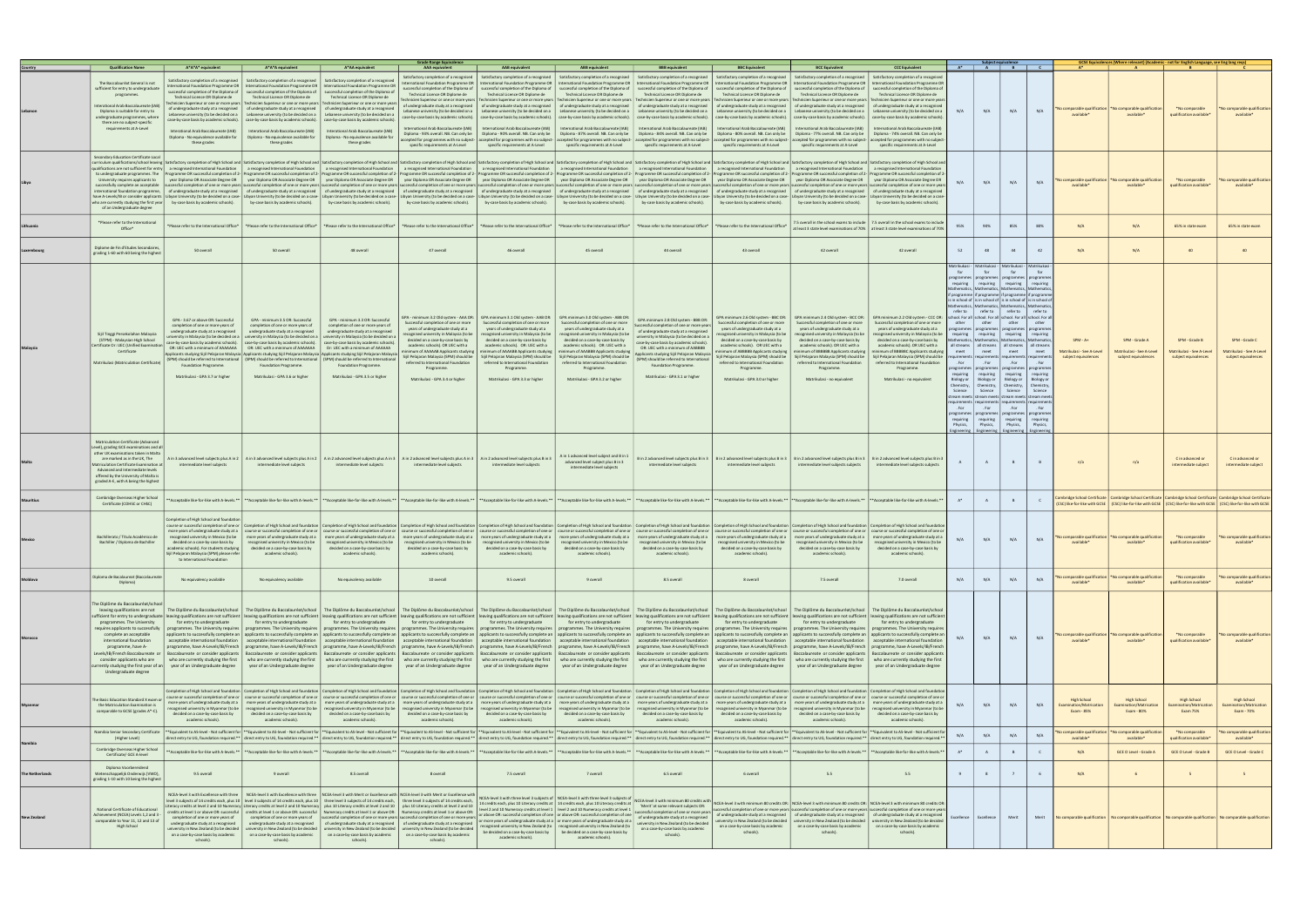|                 | <b>Qualification Name</b>                                                                                                                                                                                                                                                                                                       | A*A*A* equivalent                                                                                                                                                                                                                                                                                           | A*A*A equivalent                                                                                                                                                                                                                                                                                                                            | A*AA equivalent                                                                                                                                                                                                                                                                                                                                                                                                                                                                                                                                                                                                                                                                                                                                                                                                                                                                                                                                                                                                                                                                                                                                                                                                                                                                                                                                                                                                                                                                                                                                                                                                                                                                  | <b>Grade Range Equivalence</b><br>AAA equivalent                                                                                                                                                                                                                                                                                                                                                                                                                  | <b>AAB</b> equivalent                                                                                                                                                                                                                                                                                                                                                    | <b>ABB</b> equivalent                                                                                                                                                                                                                                                                                                                                                                                                                                                                                                                                                                                                                                                                                                                                                                                                                                               | <b>BBB</b> equivalent                                                                                                                                                                                                                                                                                                                                                                                               | <b>BBC Equivalent</b>                                                                                                                                                                                                                                                                                                                                                                                                                                                                                                                                                                                                                                                                                     | <b>BCC Equivalent</b>                                                                                                                                                                                                                                                                                                       | <b>CCC Equivalent</b>                                                                                                                                                                                                                                                                                                                                                                                                                                                                                                                                                                                                                                                                |                                                                                                                                                           |                                                                                                                                                                                                                            | $A^*$ $A$ $B$                                                                                                                                                                                                                                                                                                                                                                                                                                                                                                                                                                                                                                                                                                                                                                                                                                                              |                                                                                                                                                       |                                                                 |                                                                                                                                                                                                                                                            | - not for English Language, see Eng lang red                       |                                                                    |
|-----------------|---------------------------------------------------------------------------------------------------------------------------------------------------------------------------------------------------------------------------------------------------------------------------------------------------------------------------------|-------------------------------------------------------------------------------------------------------------------------------------------------------------------------------------------------------------------------------------------------------------------------------------------------------------|---------------------------------------------------------------------------------------------------------------------------------------------------------------------------------------------------------------------------------------------------------------------------------------------------------------------------------------------|----------------------------------------------------------------------------------------------------------------------------------------------------------------------------------------------------------------------------------------------------------------------------------------------------------------------------------------------------------------------------------------------------------------------------------------------------------------------------------------------------------------------------------------------------------------------------------------------------------------------------------------------------------------------------------------------------------------------------------------------------------------------------------------------------------------------------------------------------------------------------------------------------------------------------------------------------------------------------------------------------------------------------------------------------------------------------------------------------------------------------------------------------------------------------------------------------------------------------------------------------------------------------------------------------------------------------------------------------------------------------------------------------------------------------------------------------------------------------------------------------------------------------------------------------------------------------------------------------------------------------------------------------------------------------------|-------------------------------------------------------------------------------------------------------------------------------------------------------------------------------------------------------------------------------------------------------------------------------------------------------------------------------------------------------------------------------------------------------------------------------------------------------------------|--------------------------------------------------------------------------------------------------------------------------------------------------------------------------------------------------------------------------------------------------------------------------------------------------------------------------------------------------------------------------|---------------------------------------------------------------------------------------------------------------------------------------------------------------------------------------------------------------------------------------------------------------------------------------------------------------------------------------------------------------------------------------------------------------------------------------------------------------------------------------------------------------------------------------------------------------------------------------------------------------------------------------------------------------------------------------------------------------------------------------------------------------------------------------------------------------------------------------------------------------------|---------------------------------------------------------------------------------------------------------------------------------------------------------------------------------------------------------------------------------------------------------------------------------------------------------------------------------------------------------------------------------------------------------------------|-----------------------------------------------------------------------------------------------------------------------------------------------------------------------------------------------------------------------------------------------------------------------------------------------------------------------------------------------------------------------------------------------------------------------------------------------------------------------------------------------------------------------------------------------------------------------------------------------------------------------------------------------------------------------------------------------------------|-----------------------------------------------------------------------------------------------------------------------------------------------------------------------------------------------------------------------------------------------------------------------------------------------------------------------------|--------------------------------------------------------------------------------------------------------------------------------------------------------------------------------------------------------------------------------------------------------------------------------------------------------------------------------------------------------------------------------------------------------------------------------------------------------------------------------------------------------------------------------------------------------------------------------------------------------------------------------------------------------------------------------------|-----------------------------------------------------------------------------------------------------------------------------------------------------------|----------------------------------------------------------------------------------------------------------------------------------------------------------------------------------------------------------------------------|----------------------------------------------------------------------------------------------------------------------------------------------------------------------------------------------------------------------------------------------------------------------------------------------------------------------------------------------------------------------------------------------------------------------------------------------------------------------------------------------------------------------------------------------------------------------------------------------------------------------------------------------------------------------------------------------------------------------------------------------------------------------------------------------------------------------------------------------------------------------------|-------------------------------------------------------------------------------------------------------------------------------------------------------|-----------------------------------------------------------------|------------------------------------------------------------------------------------------------------------------------------------------------------------------------------------------------------------------------------------------------------------|--------------------------------------------------------------------|--------------------------------------------------------------------|
|                 | The Baccalauréat General is not<br>sufficient for entry to undergraduate<br>programmes.<br>Interational Arab Baccalaureate (IAB<br>Diploma is suitable for entry to<br>undergraduate programmes, where<br>there are no subject-specific<br>requirements at A-Level                                                              | atisfactory completion of a recognised<br>successful completion of the Diploma of<br>Technical Licence OR Diplome de<br>of undergraduate study at a recognised<br>ebanese university (to be decided on a<br>Interational Arab Baccalaureate (IAB)<br>Diploma - No equivalence available for<br>these grades | Satisfactory completion of a recognised<br>successful completion of the Diploma of<br>Technical Licence OR Diplome de<br>Lebanese university (to be decided on a<br>Interational Arab Baccalaureate (IAB)<br>Diploma - No equivalence available for<br>these grades                                                                         | Satisfactory completion of a recognise<br>International Foundation Programme OR   International Foundation Programme OR   International Foundation Programme OR<br>successful completion of the Diploma of<br>Technical Licence OR Diplome de<br>echnicien Superieur or one or more years   Technicien Superieur or one or more years   Technicien Superieur or one or more year<br>of undergraduate study at a recognised   of undergraduate study at a recognised<br>Lebanese university (to be decided on<br>case-by-case basis by academic schools). case-by-case basis by academic schools). case-by-case basis by academic schools).<br>Interational Arab Baccalaureate (IAB)<br>Diploma - No equivalence available for<br>these grades                                                                                                                                                                                                                                                                                                                                                                                                                                                                                                                                                                                                                                                                                                                                                                                                                                                                                                                                    | Satisfactory completion of a recognised<br>International Foundation Programme OR<br>uccessful completion of the Diploma of<br>Technical Licence OR Diplome de<br>of undergraduate study at a recognised<br>Lebanese university (to be decided on a<br>case-by-case basis by academic schools).<br>nternational Arab Baccalaureate (IAB)<br>Diploma - 93% overall. NB. Can only be<br>accepted for programmes with no subject-<br>specific requirements at A-Level | successful completion of the Diploma of<br>Technical Licence OR Diplome de<br>Lebanese university (to be decided on a<br>International Arab Baccalaureate (IAB)<br>Diploma - 90% overall. NB. Can only be<br>specific requirements at A-Level                                                                                                                            | Satisfactory completion of a recognised   Satisfactory completion of a recognised<br>successful completion of the Diploma of<br>Technical Licence OR Diplome de<br>echnicien Superieur or one or more years   Technicien Superieur or one or more years   Technicien Superieur or one or more years   Technicien Superieur or one or more years<br>of undergraduate study at a recognised   of undergraduate study at a recognised   of undergraduate study at a recognised<br>Lebanese university (to be decided on a<br>case-by-case basis by academic schools).   case-by-case basis by academic schools).<br>International Arab Baccalaureate (IAB)<br>Diploma - 87% overall. NB. Can only be<br>accepted for programmes with no subject- accepted for programmes with no subject- accepted for programmes with no subject-<br>specific requirements at A-Level | Satisfactory completion of a recognised<br>successful completion of the Diploma of<br>Technical Licence OR Diplome de<br>Lebanese university (to be decided on a<br>case-by-case basis by academic schools).<br>International Arab Baccalaureate (IAB)<br>Diploma - 84% overall. NB. Can only be<br>specific requirements at A-Level                                                                                | Satisfactory completion of a recognised<br>International Foundation Programme OR   International Foundation Programme OR   International Foundation Programme OR   International Foundation Programme OR   International Foundation Programme OR   International Foundati<br>successful completion of the Diploma of<br>Technical Licence OR Diplome de<br>Technicien Superieur or one or more years<br>of undergraduate study at a recognised<br>Lebanese university (to be decided on a<br>case-by-case basis by academic schools).<br>International Arab Baccalaureate (IAB)<br>Diploma - 80% overall. NB. Can only be<br>accepted for programmes with no subject-<br>specific requirements at A-Level | successful completion of the Diploma of<br>Technical Licence OR Diplome de<br>Lebanese university (to be decided on a<br>International Arab Baccalaureate (IAB)<br>Diploma - 77% overall. NB. Can only be<br>specific requirements at A-Level                                                                               | Satisfactory completion of a recognised   Satisfactory completion of a recognised<br>successful completion of the Diploma o<br>Technical Licence OR Diplome de<br>Fechnicien Superieur or one or more years   Technicien Superieur or one or more year<br>of undergraduate study at a recognised   of undergraduate study at a recognised<br>Lebanese university (to be decided on a<br>case-by-case basis by academic schools).   case-by-case basis by academic schools<br>International Arab Baccalaureate (IAB<br>Diploma - 74% overall, NB, Can only be<br>accepted for programmes with no subject- accepted for programmes with no subject<br>specific requirements at A-Level | N/A                                                                                                                                                       | N/A                                                                                                                                                                                                                        | N/A                                                                                                                                                                                                                                                                                                                                                                                                                                                                                                                                                                                                                                                                                                                                                                                                                                                                        | N/A                                                                                                                                                   | comparable qualificatio<br>available*                           | omparable qualification<br>available*                                                                                                                                                                                                                      | *No comparable<br>qualification available*                         | No comparable qualification<br>available*                          |
|                 | Secondary Education Certificate Loca<br>to undergraduate programmes. The<br>University requires applicants to<br>international foundation programme.<br>have A-Levels/IB or consider applicants<br>of an Undergraduate degree                                                                                                   | who are currently studying the first year   by-case basis by academic schools).   by-case basis by academic schools).                                                                                                                                                                                       |                                                                                                                                                                                                                                                                                                                                             | curriculum qualifications/school leaving   Satisfactory completion of High School and   Satisfactory completion of High School and   Satisfactory completion of High School and   Satisfactory completion of High School and  <br>qualifications are not sufficient for entry   a recognised International Foundation   a recognised International Foundation   arecognised International Foundation   a recognised International Foundation   arecognised Inter<br>Programme OR successful completion of 2- Programme OR successful completion of 2- Programme OR successful completion of 2- Programme OR successful completion of 2- Programme OR successful completion of 2- Programme OR succ<br>year Diploma OR Associate Degree OR   year Diploma OR Associate Degree OR   year Diploma OR Associate Degree OR   year Diploma OR Associate Degree OR   year Diploma OR Associate Degree OR   year Diploma OR Associate Degree<br>successfully complete an acceptable successful completion of one or more years successful completion of one or more years successfull completion of one or more years successful completion of one or more years successfull c<br>of undergraduate study at a recognised of undergraduate study at a recognised of undergraduate study at a recognised of undergraduate study at a recognised of undergraduate study at a recognised of undergraduate study at a<br>Libyan University (to be decided on a case-   Libyan University (to be decided on a case-   Libyan University (to be decided on a case-   Libyan University (to be decided on a case-   Libyan University (to be decided on a<br>by-case basis by academic schools). | by-case basis by academic schools).                                                                                                                                                                                                                                                                                                                                                                                                                               | by-case basis by academic schools).                                                                                                                                                                                                                                                                                                                                      | by-case basis by academic schools).                                                                                                                                                                                                                                                                                                                                                                                                                                                                                                                                                                                                                                                                                                                                                                                                                                 | by-case basis by academic schools).                                                                                                                                                                                                                                                                                                                                                                                 | by-case basis by academic schools).                                                                                                                                                                                                                                                                                                                                                                                                                                                                                                                                                                                                                                                                       | by-case basis by academic schools).                                                                                                                                                                                                                                                                                         | by-case basis by academic schools).                                                                                                                                                                                                                                                                                                                                                                                                                                                                                                                                                                                                                                                  |                                                                                                                                                           | N/A                                                                                                                                                                                                                        | N/A                                                                                                                                                                                                                                                                                                                                                                                                                                                                                                                                                                                                                                                                                                                                                                                                                                                                        | N/A                                                                                                                                                   | comparable qualificatio<br>available*                           | comparable qualificatio<br>available*                                                                                                                                                                                                                      | *No comparable<br>qualification available*                         | No comparable qualification<br>available*                          |
|                 | *Please refer to the International<br>$Office*$                                                                                                                                                                                                                                                                                 |                                                                                                                                                                                                                                                                                                             | *Please refer to the International Office*   *Please refer to the International Office*                                                                                                                                                                                                                                                     | *Please refer to the International Office*                                                                                                                                                                                                                                                                                                                                                                                                                                                                                                                                                                                                                                                                                                                                                                                                                                                                                                                                                                                                                                                                                                                                                                                                                                                                                                                                                                                                                                                                                                                                                                                                                                       |                                                                                                                                                                                                                                                                                                                                                                                                                                                                   |                                                                                                                                                                                                                                                                                                                                                                          | *Please refer to the International Office*  *Please refer to the International Office*  *Please refer to the International Office*  *Please refer to the International Office*                                                                                                                                                                                                                                                                                                                                                                                                                                                                                                                                                                                                                                                                                      |                                                                                                                                                                                                                                                                                                                                                                                                                     | *Please refer to the International Office*                                                                                                                                                                                                                                                                                                                                                                                                                                                                                                                                                                                                                                                                |                                                                                                                                                                                                                                                                                                                             | 7.5 overall in the school exams to include   7.5 overall in the school exams to includ<br>t least 3 state level examinations of 70%   at least 3 state level examinations of 70!                                                                                                                                                                                                                                                                                                                                                                                                                                                                                                     | 95%                                                                                                                                                       | 90%                                                                                                                                                                                                                        | 85%                                                                                                                                                                                                                                                                                                                                                                                                                                                                                                                                                                                                                                                                                                                                                                                                                                                                        | 80%                                                                                                                                                   | N/A                                                             | N/A                                                                                                                                                                                                                                                        | 65% in state exam                                                  | 65% in state exam                                                  |
|                 | Diplome de Fin d'Etudes Secondaires<br>grading 1-60 with 60 being the highest                                                                                                                                                                                                                                                   | 50 overall                                                                                                                                                                                                                                                                                                  | 50 overall                                                                                                                                                                                                                                                                                                                                  | 48 overall                                                                                                                                                                                                                                                                                                                                                                                                                                                                                                                                                                                                                                                                                                                                                                                                                                                                                                                                                                                                                                                                                                                                                                                                                                                                                                                                                                                                                                                                                                                                                                                                                                                                       | 47 overall                                                                                                                                                                                                                                                                                                                                                                                                                                                        | 46 overall                                                                                                                                                                                                                                                                                                                                                               | 45 overall                                                                                                                                                                                                                                                                                                                                                                                                                                                                                                                                                                                                                                                                                                                                                                                                                                                          | 44 overall                                                                                                                                                                                                                                                                                                                                                                                                          | 43 overall                                                                                                                                                                                                                                                                                                                                                                                                                                                                                                                                                                                                                                                                                                | 42 overall                                                                                                                                                                                                                                                                                                                  | 42 overall                                                                                                                                                                                                                                                                                                                                                                                                                                                                                                                                                                                                                                                                           | 52                                                                                                                                                        | 48                                                                                                                                                                                                                         | 44                                                                                                                                                                                                                                                                                                                                                                                                                                                                                                                                                                                                                                                                                                                                                                                                                                                                         | 42                                                                                                                                                    | N/A                                                             | N/A                                                                                                                                                                                                                                                        | 40                                                                 | 40                                                                 |
|                 | Sijil Tinggi Persekolahan Malaysia<br>(STPM) - Malaysian High School<br>Certificate Or: UEC (Unified Examin<br>Certificate<br>Matrikulasi (Matriculation Certificate)                                                                                                                                                           | GPA - 3.67 or above OR: Successful<br>completion of one or more years of<br>undergraduate study at a recognised<br>OR: UEC with a minimum of AAAAAAA<br>Foundation Programme.<br>Matrikulasi - GPA 3.7 or higher                                                                                            | GPA - minimum 3.5 OR: Successful<br>completion of one or more years of<br>undergraduate study at a recognised<br>case-by-case basis by academic schools). case-by-case basis by academic schools). case-by-case basis by academic schools)<br>OR: UEC with a minimum of AAAAAAA<br>Foundation Programme.<br>Matrikulasi - GPA 3.6 or higher | GPA - minimum 3.3 OR: Successful<br>completion of one or more years of<br>undergraduate study at a recognised<br>university in Malaysia (to be decided on a   university in Malaysia (to be decided on a   university in Malaysia (to be decided on a<br>Or: UEC with a minimum of AAAAAA<br>Applicants studying Sijil Pelajaran Malaysia Applicants studying Sijil Pelajaran Malaysia Applicants studying Sijil Pelajaran Malaysia<br>(SPM) should be referred to International   (SPM) should be referred to International   (SPM) should be referred to International<br>Foundation Programme.<br>Matrikulasi - GPA 3.5 or higher                                                                                                                                                                                                                                                                                                                                                                                                                                                                                                                                                                                                                                                                                                                                                                                                                                                                                                                                                                                                                                             | GPA - minimum 3.2 Old system - AAA OR:<br>Successful completion of one or more<br>years of undergraduate study at a<br>ecognised university in Malaysia (to be<br>decided on a case-by-case basis by<br>academic schools). OR UEC with a<br>nimum of AAAAAB Applicants studvine<br>Sijil Pelajaran Malaysia (SPM) should be<br>referred to International Foundation<br>Programme.<br>Matrikulasi - GPA 3.4 or higher                                              | GPA minimum 3.1 Old system - AAB OR:<br>Successful completion of one or more<br>years of undergraduate study at a<br>ecognised university in Malaysia (to be<br>decided on a case-by-case basis by<br>academic schools). OR: UEC with a<br>inimum of AAAABB Applicants studying<br>referred to International Foundation<br>Programme.<br>Matrikulasi - GPA 3.3 or higher | GPA minimum 3.0 Old system - ABB OR:<br>Successful completion of one or more<br>years of undergraduate study at a<br>recognised university in Malaysia (to be<br>decided on a case-by-case basis by<br>academic schools). OR: UEC with a<br>ninimum of AAABBB Applicants studyin<br>Sijil Pelajaran Malaysia (SPM) should be   Sijil Pelajaran Malaysia (SPM) should be<br>referred to International Foundation<br>Programme.<br>Matrikulasi - GPA 3.2 or higher                                                                                                                                                                                                                                                                                                                                                                                                    | GPA minimum 2.8 Old system - BBB OR:<br>Successful completion of one or more years<br>of undergraduate study at a recognised<br>university in Malaysia (to be decided on a<br>case-by-case basis by academic schools).<br>OR: UEC with a minimum of AABBBB<br>Applicants studving Siiil Pelaiaran Malaysia<br>(SPM) should be referred to International<br>Foundation Programme.<br>Matrikulasi - GPA 3.1 or higher | GPA minimum 2.6 Old system - BBC OR:<br>Successful completion of one or more<br>years of undergraduate study at a<br>ecognised university in Malaysia (to be<br>decided on a case-by-case basis by<br>academic schools). OR UEC with a<br>inimum of ABBBBB Applicants studying<br>Sijil Pelajaran Malaysia (SPM) should be<br>referred to International Foundation<br>Programme.<br>Matrikulasi - GPA 3.0 or higher                                                                                                                                                                                                                                                                                       | Successful completion of one or more<br>years of undergraduate study at a<br>ecognised university in Malaysia (to be<br>decided on a case-by-case basis by<br>academic schools). OR UEC with a<br>inimum of BBBBBB Applicants studving<br>referred to International Foundation<br>Programme.<br>Matrikulasi - no equivalent | GPA minimum 2.4 Old system - BCC OR: GPA minimum 2.2 Old system - CCC OR:<br>Successful completion of one or more<br>vears of undergraduate study at a<br>cognised university in Malaysia (to be<br>decided on a case-by-case basis by<br>academic schools). OR UEC with a<br>nimum of BBBBBC Applicants studvir<br>Sijil Pelajaran Malaysia (SPM) should be   Sijil Pelajaran Malaysia (SPM) should be<br>referred to International Foundation<br>Programme.<br>Matrikulasi - no equivalent                                                                                                                                                                                         | <b>latrikukas</b><br>refer to  <br>other<br>requiring<br>meet<br>equirem<br>. For<br>requiring<br>Biology or<br>Science<br>. For<br>requiring<br>Physics. | Matrikukasi -<br>for<br><b>Mathematics</b><br>other I other<br>athematics   Mathematics   Mathematic<br>meet<br>. For I . For<br>Biology or Biology or<br>Chemistry, Chemistry, Chemistry,<br>Science<br>. For<br>Physics, | Matrikukasi<br>for<br>programmes   programmes   programmes   programm<br>requiring requiring requiring requiring<br>if programme if programme if programme if programm<br>is in school of is in school of is in school of is in school of<br>athematics   Mathematics   Mathematics   Mathemat<br>refer to refer to<br>school, For all school, For all school, For all school, For<br>programmes   programmes   programmes   programm<br>requiring requiring<br>all streams   all streams   all streams   all stream<br>meet<br>rogrammes   programmes   programmes   programn<br>requiring requiring<br>Science<br>stream meets stream meets stream meets stream me<br>requirements requirements requirements requireme<br>. For<br>programmes   programmes   programmes   programm<br>requiring requiring<br>Physics.<br>Engineering Engineering Engineering Engineering | Matrikuka<br>for<br>refer to<br>other<br>requiring<br>meet<br>. For<br>requirin<br>Biology o<br>Chemistry<br>Science<br>. For<br>requirin<br>Physics. | $SPM - A+$<br>Matrikulasi - See A-Level<br>subject equivalences | SPM - Grade A<br>Matrikulasi - See A-Level<br>subject equivalences                                                                                                                                                                                         | SPM - Grade B<br>Matrikulasi - See A-Level<br>subject equivalences | SPM - Grade C<br>Matrikulasi - See A-Level<br>subject equivalences |
|                 | Matriculation Certificate (Advanced<br>Level), grading GCE examinations and all<br>other UK examinations taken in Malta<br>are marked as in the UK, The<br><b>Matriculation Certificate Examination at</b><br>Advanced and Intermediate levels<br>offered by the University of Malta is<br>graded A-E, with A being the highest | intermediate level subjects                                                                                                                                                                                                                                                                                 | intermediate level subjects                                                                                                                                                                                                                                                                                                                 | Ain 3 advanced level subjects plus Ain 2   Ain 3 advanced level subjects plus Ain 2   Ain 2 advanced level subjects plus Ain 3   Ain 2 advanced level subjects plus Ain 3   Ain 2 advanced level subjects plus Bin 3<br>intermediate level subjects                                                                                                                                                                                                                                                                                                                                                                                                                                                                                                                                                                                                                                                                                                                                                                                                                                                                                                                                                                                                                                                                                                                                                                                                                                                                                                                                                                                                                              | intermediate level subjects                                                                                                                                                                                                                                                                                                                                                                                                                                       | intermediate level subjects                                                                                                                                                                                                                                                                                                                                              | A in 1 advanced level subject and B in 1<br>advanced level subject plus B in 3<br>intermediate level subjects                                                                                                                                                                                                                                                                                                                                                                                                                                                                                                                                                                                                                                                                                                                                                       | intermediate level subjects                                                                                                                                                                                                                                                                                                                                                                                         | B in 2 advanced level subjects plus B in 3   B in 2 advanced level subjects plus B in 3   B in 2 advanced level subjects plus B in 3   B in 2 advanced level subjects plus B in 3<br>intermediate level subjects                                                                                                                                                                                                                                                                                                                                                                                                                                                                                          | intermediate level subjects subjects                                                                                                                                                                                                                                                                                        | intermediate level subjects subjects                                                                                                                                                                                                                                                                                                                                                                                                                                                                                                                                                                                                                                                 |                                                                                                                                                           | A                                                                                                                                                                                                                          | B                                                                                                                                                                                                                                                                                                                                                                                                                                                                                                                                                                                                                                                                                                                                                                                                                                                                          | B                                                                                                                                                     | n/a                                                             | n/a                                                                                                                                                                                                                                                        | C in advanced or<br>intermediate subject                           | C in advanced or<br>intermediate subject                           |
|                 | Cambridge Overseas Higher School<br>Certificate (COHSC or CHSC)                                                                                                                                                                                                                                                                 |                                                                                                                                                                                                                                                                                                             |                                                                                                                                                                                                                                                                                                                                             | *Acceptable like-for-like with A-levels.**  **Acceptable like-for-like with A-levels.**  **Acceptable like-for-like with A-levels.**  **Acceptable like-for-like with A-levels.**  **Acceptable like-for-like with A-levels.**                                                                                                                                                                                                                                                                                                                                                                                                                                                                                                                                                                                                                                                                                                                                                                                                                                                                                                                                                                                                                                                                                                                                                                                                                                                                                                                                                                                                                                                   |                                                                                                                                                                                                                                                                                                                                                                                                                                                                   |                                                                                                                                                                                                                                                                                                                                                                          |                                                                                                                                                                                                                                                                                                                                                                                                                                                                                                                                                                                                                                                                                                                                                                                                                                                                     |                                                                                                                                                                                                                                                                                                                                                                                                                     |                                                                                                                                                                                                                                                                                                                                                                                                                                                                                                                                                                                                                                                                                                           |                                                                                                                                                                                                                                                                                                                             |                                                                                                                                                                                                                                                                                                                                                                                                                                                                                                                                                                                                                                                                                      | $A^*$                                                                                                                                                     | A                                                                                                                                                                                                                          | B                                                                                                                                                                                                                                                                                                                                                                                                                                                                                                                                                                                                                                                                                                                                                                                                                                                                          | C                                                                                                                                                     |                                                                 | Cambridge School Certificate   Cambridge School Certificate   Cambridge School Certificate   Cambridge School Certificate<br>[CSC] like-for-like with GCSE   (CSC) like-for-like with GCSE   (CSC) like-for-like with GCSE   (CSC) like-for-like with GCSE |                                                                    |                                                                    |
|                 | Bachillerato / Título Académico de<br>Bachiller / Diploma de Bachiller                                                                                                                                                                                                                                                          | Completion of High School and foundati<br>decided on a case-by-case basis by<br>nic schools). Eor students studving<br>Sijil Pelajaran Malaysia (SPM) please refer<br>to International Foundation                                                                                                           | recognised university in Mexico (to be<br>decided on a case-by-case basis by<br>academic schools).                                                                                                                                                                                                                                          | course or successful completion of one or   Completion of High School and foundation   Completion of High School and foundation   Completion of High School and foundation   Completion of High School and foundation   Comple<br>more years of undergraduate study at a course or successful completion of one or course or successful completion of one or course or successful completion of one or course or successful completion of one or course or succe<br>recognised university in Mexico (to be more years of undergraduate study ata more years of undergraduate study ata more years of undergraduate study ata more years of undergraduate study ata more years of undergraduate stu<br>recognised university in Mexico (to be<br>decided on a case-by-case basis by<br>academic schools).                                                                                                                                                                                                                                                                                                                                                                                                                                                                                                                                                                                                                                                                                                                                                                                                                                                                         | decided on a case-by-case basis by<br>academic schools).                                                                                                                                                                                                                                                                                                                                                                                                          | recognised university in Mexico (to be   recognised university in Mexico (to be  <br>decided on a case-by-case basis by<br>academic schools).                                                                                                                                                                                                                            | decided on a case-by-case basis by<br>academic schools).                                                                                                                                                                                                                                                                                                                                                                                                                                                                                                                                                                                                                                                                                                                                                                                                            | recognised university in Mexico (to be   recognised university in Mexico (to be  <br>decided on a case-by-case basis by<br>academic schools).                                                                                                                                                                                                                                                                       | recognised university in Mexico (to be<br>decided on a case-by-case basis by<br>academic schools).                                                                                                                                                                                                                                                                                                                                                                                                                                                                                                                                                                                                        | recognised university in Mexico (to be<br>decided on a case-by-case basis by<br>academic schools)                                                                                                                                                                                                                           | recognised university in Mexico (to be<br>decided on a case-by-case basis by<br>academic schools).                                                                                                                                                                                                                                                                                                                                                                                                                                                                                                                                                                                   | N/A                                                                                                                                                       | N/A                                                                                                                                                                                                                        | N/A                                                                                                                                                                                                                                                                                                                                                                                                                                                                                                                                                                                                                                                                                                                                                                                                                                                                        | N/A                                                                                                                                                   | No comparable qualification<br>available*                       | No comparable qualification<br>available*                                                                                                                                                                                                                  | *No comparable<br>qualification available*                         | No comparable qualification<br>available*                          |
|                 | Diploma de Bacalaureat (Baccalaureat<br>Diploma)                                                                                                                                                                                                                                                                                | No equivalency available                                                                                                                                                                                                                                                                                    | No equivalency available                                                                                                                                                                                                                                                                                                                    | No equivalency available                                                                                                                                                                                                                                                                                                                                                                                                                                                                                                                                                                                                                                                                                                                                                                                                                                                                                                                                                                                                                                                                                                                                                                                                                                                                                                                                                                                                                                                                                                                                                                                                                                                         | 10 overall                                                                                                                                                                                                                                                                                                                                                                                                                                                        | 9.5 overall                                                                                                                                                                                                                                                                                                                                                              | 9 overall                                                                                                                                                                                                                                                                                                                                                                                                                                                                                                                                                                                                                                                                                                                                                                                                                                                           | 8.5 overall                                                                                                                                                                                                                                                                                                                                                                                                         | 8 overall                                                                                                                                                                                                                                                                                                                                                                                                                                                                                                                                                                                                                                                                                                 | 7.5 overall                                                                                                                                                                                                                                                                                                                 | 7.0 overall                                                                                                                                                                                                                                                                                                                                                                                                                                                                                                                                                                                                                                                                          | N/A                                                                                                                                                       | N/A                                                                                                                                                                                                                        | N/A                                                                                                                                                                                                                                                                                                                                                                                                                                                                                                                                                                                                                                                                                                                                                                                                                                                                        | N/A                                                                                                                                                   | comparable qualificatio<br>available <sup>*</sup>               | comparable qualificatio<br>available*                                                                                                                                                                                                                      | *No comparable<br>qualification available*                         | omparable qualification<br>available*                              |
|                 | The Diplôme du Baccalauréat/school<br>leaving qualifications are not<br>programmes. The University<br>requires applicants to successfully<br>complete an acceptable<br>international foundation<br>programme, have A-<br>Levels/IB/French Baccalaureate or<br>consider applicants who are<br>Undergraduate degree               | for entry to undergraduate<br>urrently studying the first year of an   year of an Undergraduate degree                                                                                                                                                                                                      | for entry to undergraduate<br>who are currently studying the first who are currently studying the first<br>year of an Undergraduate degree                                                                                                                                                                                                  | The Diplôme du Baccalauréat/school   The Diplôme du Baccalauréat/school   The Diplôme du Baccalauréat/school<br>sufficient for entry to undergraduate   leaving qualifications are not sufficient   leaving qualifications are not sufficient   leaving qualifications are not sufficient   leaving qualifications are not sufficient   leavin<br>for entry to undergraduate<br>programmes. The University requires   programmes. The University requires   programmes. The University requires<br>applicants to successfully complete an   applicants to successfully complete an   applicants to successfully complete an<br>acceptable international foundation   acceptable international foundation   acceptable international foundation<br>programme, have A-Levels/lB/French   programme, have A-Levels/lB/French   programme, have A-Levels/lB/French   programme, have A-Levels/lB/French   programme, have A-Levels/lB/French   programme, have A-Levels/lB/French  <br>Baccalaureate or consider applicants   Baccalaureate or consider applicants   Baccalaureate or consider applicants   Baccalaureate or consider applicants   Baccalaureate or consider applicants   Baccalaureate or consider a<br>who are currently studying the first<br>year of an Undergraduate degree                                                                                                                                                                                                                                                                                                                                                                                     | for entry to undergraduate<br>programmes. The University requires<br>year of an Undergraduate degree                                                                                                                                                                                                                                                                                                                                                              | for entry to undergraduate<br>year of an Undergraduate degree                                                                                                                                                                                                                                                                                                            | The Diplôme du Baccalauréat/school   The Diplôme du Baccalauréat/school   The Diplôme du Baccalauréat/school  <br>for entry to undergraduate<br>programmes. The University requires   programmes. The University requires<br>applicants to successfully complete an applicants to successfully complete an applicants to successfully complete an<br>acceptable international foundation   acceptable international foundation   acceptable international foundation<br>who are currently studying the first who are currently studying the first who are currently studying the first who are currently studying the first<br>year of an Undergraduate degree                                                                                                                                                                                                      | The Diplôme du Baccalauréat/school<br>for entry to undergraduate<br>programmes. The University requires<br>applicants to successfully complete an<br>acceptable international foundation<br>year of an Undergraduate degree                                                                                                                                                                                         | The Diplôme du Baccalauréat/school<br>for entry to undergraduate<br>programmes. The University requires<br>applicants to successfully complete an<br>acceptable international foundation<br>who are currently studying the first<br>year of an Undergraduate degree                                                                                                                                                                                                                                                                                                                                                                                                                                       | for entry to undergraduate<br>programmes. The University requires<br>year of an Undergraduate degree                                                                                                                                                                                                                        | The Diplôme du Baccalauréat/school   The Diplôme du Baccalauréat/school<br>for entry to undergraduate<br>programmes. The University require<br>applicants to successfully complete an   applicants to successfully complete an<br>acceptable international foundation   acceptable international foundation<br>who are currently studying the first   who are currently studying the first<br>year of an Undergraduate degree                                                                                                                                                                                                                                                        | N/A                                                                                                                                                       | N/A                                                                                                                                                                                                                        | N/A                                                                                                                                                                                                                                                                                                                                                                                                                                                                                                                                                                                                                                                                                                                                                                                                                                                                        | N/A                                                                                                                                                   | comparable qualificati<br>available*                            | comparable qualificati<br>available*                                                                                                                                                                                                                       | *No comparable<br>qualification available*                         | comparable qualification<br>available*                             |
|                 | The Basic Education Standard X exam or<br>the Matriculation Examination is<br>comparable to GCSE (grades A*-C).                                                                                                                                                                                                                 | ecognised university in Myanmar (to be<br>decided on a case-by-case basis by<br>academic schools).                                                                                                                                                                                                          | decided on a case-by-case basis by<br>academic schools).                                                                                                                                                                                                                                                                                    | Completion of High School and foundation   Completion of High School and foundation   Completion of High School and foundation<br>course or successful completion of one or   course or successful completion of one or   course or successful completion of one or   course or successful completion of one or   course or successful completion of one or   co<br>more years of undergraduate study at a more years of undergraduate study at a more years of undergraduate study at a more years of undergraduate study at a more years of undergraduate study at a more years of undergraduate<br>recognised university in Myanmar (to be recognised university in Myanmar (to be recognised university in Myanmar (to be<br>decided on a case-by-case basis by<br>academic schools).                                                                                                                                                                                                                                                                                                                                                                                                                                                                                                                                                                                                                                                                                                                                                                                                                                                                                        | decided on a case-by-case basis by<br>academic schools).                                                                                                                                                                                                                                                                                                                                                                                                          | decided on a case-by-case basis by<br>academic schools).                                                                                                                                                                                                                                                                                                                 | recognised university in Myanmar (to be   recognised university in Myanmar (to be   recognised university in Myanmar (to be<br>decided on a case-by-case basis by<br>academic schools).                                                                                                                                                                                                                                                                                                                                                                                                                                                                                                                                                                                                                                                                             | decided on a case-by-case basis by<br>academic schools).                                                                                                                                                                                                                                                                                                                                                            | Completion of High School and foundation   Completion of High School and foundation   Completion of High School and foundation   Completion of High School and foundation   Completion of High School and foundation<br>recognised university in Myanmar (to be<br>decided on a case-by-case basis by<br>academic schools).                                                                                                                                                                                                                                                                                                                                                                               | decided on a case-by-case basis by<br>academic schools).                                                                                                                                                                                                                                                                    | Completion of High School and foundation   Completion of High School and foundatio<br>more years of undergraduate study at a   more years of undergraduate study at a<br>recognised university in Myanmar (to be   recognised university in Myanmar (to be<br>decided on a case-by-case basis by<br>academic schools).                                                                                                                                                                                                                                                                                                                                                               | N/A                                                                                                                                                       | N/A                                                                                                                                                                                                                        | N/A                                                                                                                                                                                                                                                                                                                                                                                                                                                                                                                                                                                                                                                                                                                                                                                                                                                                        | N/A                                                                                                                                                   | <b>High School</b><br>xamination/Matrication<br>Exam - 85%      | <b>High School</b><br>mination/Matricatio<br>Exam - 80%                                                                                                                                                                                                    | <b>High School</b><br>amination/Matrication<br>Exam 75%            | <b>High School</b><br>ination/Matrication<br>Exam - 70%            |
|                 | Namibia Senior Secondary Certificate<br>(Higher Level)                                                                                                                                                                                                                                                                          |                                                                                                                                                                                                                                                                                                             |                                                                                                                                                                                                                                                                                                                                             | "Equivalent to AS-level - Not sufficient for   **Equivalent to AS-level - Not sufficient for   **Equivalent to AS-level - Not sufficient for   **Equivalent to AS-level - Not sufficient for   **Equivalent to AS-level - Not<br>direct entry to UG, foundation required.**   direct entry to UG, foundation required.**   direct entry to UG, foundation required.**  direct entry to UG, foundation required.**  direct entry to UG, foundation required.**                                                                                                                                                                                                                                                                                                                                                                                                                                                                                                                                                                                                                                                                                                                                                                                                                                                                                                                                                                                                                                                                                                                                                                                                                    |                                                                                                                                                                                                                                                                                                                                                                                                                                                                   |                                                                                                                                                                                                                                                                                                                                                                          |                                                                                                                                                                                                                                                                                                                                                                                                                                                                                                                                                                                                                                                                                                                                                                                                                                                                     |                                                                                                                                                                                                                                                                                                                                                                                                                     |                                                                                                                                                                                                                                                                                                                                                                                                                                                                                                                                                                                                                                                                                                           |                                                                                                                                                                                                                                                                                                                             |                                                                                                                                                                                                                                                                                                                                                                                                                                                                                                                                                                                                                                                                                      | N/A                                                                                                                                                       | N/A                                                                                                                                                                                                                        | N/A                                                                                                                                                                                                                                                                                                                                                                                                                                                                                                                                                                                                                                                                                                                                                                                                                                                                        | N/A                                                                                                                                                   | comparable qualification<br>available*                          | comparable qualificatio<br>available*                                                                                                                                                                                                                      | *No comparable<br>qualification available                          | comparable qualification<br>available*                             |
|                 | Cambridge Overseas Higher School<br>Certificate/ GCE A-level                                                                                                                                                                                                                                                                    |                                                                                                                                                                                                                                                                                                             | *Acceptable like-for-like with A-levels.**   **Acceptable like-for-like with A-levels.**                                                                                                                                                                                                                                                    |                                                                                                                                                                                                                                                                                                                                                                                                                                                                                                                                                                                                                                                                                                                                                                                                                                                                                                                                                                                                                                                                                                                                                                                                                                                                                                                                                                                                                                                                                                                                                                                                                                                                                  |                                                                                                                                                                                                                                                                                                                                                                                                                                                                   |                                                                                                                                                                                                                                                                                                                                                                          | **Acceptable like-for-like with A-levels.**  **Acceptable like-for-like with A-levels.**  **Acceptable like-for-like with A-levels.**  **Acceptable like-for-like with A-levels.**  **Acceptable like-for-like with A-levels.*                                                                                                                                                                                                                                                                                                                                                                                                                                                                                                                                                                                                                                      |                                                                                                                                                                                                                                                                                                                                                                                                                     |                                                                                                                                                                                                                                                                                                                                                                                                                                                                                                                                                                                                                                                                                                           | ** Acceptable like-for-like with A-levels.**                                                                                                                                                                                                                                                                                | *Acceptable like-for-like with A-levels.*                                                                                                                                                                                                                                                                                                                                                                                                                                                                                                                                                                                                                                            |                                                                                                                                                           | A                                                                                                                                                                                                                          | B                                                                                                                                                                                                                                                                                                                                                                                                                                                                                                                                                                                                                                                                                                                                                                                                                                                                          | $\epsilon$                                                                                                                                            | N/A                                                             | <b>GCE O Level - Grade A</b>                                                                                                                                                                                                                               | <b>GCE O Level - Grade B</b>                                       | <b>GCE O Level - Grade C</b>                                       |
| The Netherlands | Diploma Voorbereidend<br>Wetenschappelijk Onderwijs (VWO)<br>grading 1-10 with 10 being the highes                                                                                                                                                                                                                              | 9.5 overall                                                                                                                                                                                                                                                                                                 | 9 overall                                                                                                                                                                                                                                                                                                                                   | 8.5 overall                                                                                                                                                                                                                                                                                                                                                                                                                                                                                                                                                                                                                                                                                                                                                                                                                                                                                                                                                                                                                                                                                                                                                                                                                                                                                                                                                                                                                                                                                                                                                                                                                                                                      | 8 overall                                                                                                                                                                                                                                                                                                                                                                                                                                                         | 7.5 overall                                                                                                                                                                                                                                                                                                                                                              | 7 overall                                                                                                                                                                                                                                                                                                                                                                                                                                                                                                                                                                                                                                                                                                                                                                                                                                                           | 6.5 overall                                                                                                                                                                                                                                                                                                                                                                                                         | 6 overall                                                                                                                                                                                                                                                                                                                                                                                                                                                                                                                                                                                                                                                                                                 | 5.5                                                                                                                                                                                                                                                                                                                         | 5.5                                                                                                                                                                                                                                                                                                                                                                                                                                                                                                                                                                                                                                                                                  | 9                                                                                                                                                         | 8                                                                                                                                                                                                                          | $7^{\circ}$                                                                                                                                                                                                                                                                                                                                                                                                                                                                                                                                                                                                                                                                                                                                                                                                                                                                | 6                                                                                                                                                     | N/A                                                             | 6                                                                                                                                                                                                                                                          | -5                                                                 | 5                                                                  |
|                 | National Certificate of Educational<br>Achievement (NCEA) Levels 1.2 and 3<br>comparable to Year 11, 12 and 13 of<br><b>High School</b>                                                                                                                                                                                         | NCEA-level 3 with Excellence with three<br>completion of one or more years of<br>undergraduate study at a recognised<br>university in New Zealand (to be decided<br>on a case-by-case basis by academic<br>schools).                                                                                        | university in New Zealand (to be decided<br>on a case-by-case basis by academic<br>schools).                                                                                                                                                                                                                                                | NCEA-level 3 with Excellence with three NCEA-level 3 with Merit or Excellence with NCEA-level 3 with Merit or Excellence with<br>level 3 subjects of 14 credits each, plus 10   level 3 subjects of 14 credits each, plus 10   three level 3 subjects of 14 credits each, three level 3 subjects of 14 credits each,<br>teracy credits at level 2 and 10 Numeracy Literacy credits at level 2 and 10 Numeracy plus 10 Literacy credits at level 2 and 10 plus 10 Literacy credits at level 2 and 10<br>credits at level 1 or above OR: successful   credits at level 1 or above OR: successful   Numeracy credits at level 1 or above OR:   Numeracy credits at level 1 or above OR:<br>completion of one or more years of successful completion of one or more years successful completion of one or more years<br>undergraduate study at a recognised of undergraduate study at a recognised of undergraduate study at a recognised<br>university in New Zealand (to be decided<br>on a case-by-case basis by academic<br>schools).                                                                                                                                                                                                                                                                                                                                                                                                                                                                                                                                                                                                                                            | university in New Zealand (to be decided<br>on a case-by-case basis by academic<br>schools).                                                                                                                                                                                                                                                                                                                                                                      | be decided on a case-by-case basis by<br>academic schools).                                                                                                                                                                                                                                                                                                              | NCEA-level 3 with three level 3 subjects of   NCEA-level 3 with three level 3 subjects of<br>14 credits each, plus 10 Literacy credits at   14 credits each, plus 10 Literacy credits at  <br>level 2 and 10 Numeracy credits at level 1   level 2 and 10 Numeracy credits at level 1<br>or above OR: successful completion of one or above OR: successful completion of one<br>or more years of undergraduate study at a   or more years of undergraduate study at a  <br>recognised university in New Zealand (to Fecognised university in New Zealand (to<br>be decided on a case-by-case basis by<br>academic schools).                                                                                                                                                                                                                                         | NCEA-level 3 with minimum 80 credits with<br>'Merit' at some relevant subjects OR:<br>successful completion of one or more years<br>of undergraduate study at a recognised<br>university in New Zealand (to be decided<br>on a case-by-case basis by academic<br>schools).                                                                                                                                          | NCEA-level 3 with minimum 80 credits OR: NCEA-level 3 with minimum 80 credits OR: NCEA-level 3 with minimum 80 credits OR<br>university in New Zealand (to be decided  <br>on a case-by-case basis by academic<br>schools).                                                                                                                                                                                                                                                                                                                                                                                                                                                                               | uccessful completion of one or more years successful completion of one or more years successful completion of one or more year<br>of undergraduate study at a recognised   of undergraduate study at a recognised   of undergraduate study at a recognised<br>on a case-by-case basis by academic<br>schools).              | university in New Zealand (to be decided   university in New Zealand (to be decided<br>on a case-by-case basis by academic<br>schools).                                                                                                                                                                                                                                                                                                                                                                                                                                                                                                                                              |                                                                                                                                                           | Excellence   Excellence                                                                                                                                                                                                    | Merit                                                                                                                                                                                                                                                                                                                                                                                                                                                                                                                                                                                                                                                                                                                                                                                                                                                                      | Merit                                                                                                                                                 |                                                                 | No comparable qualification   No comparable qualification   No comparable qualification   No comparable qualification                                                                                                                                      |                                                                    |                                                                    |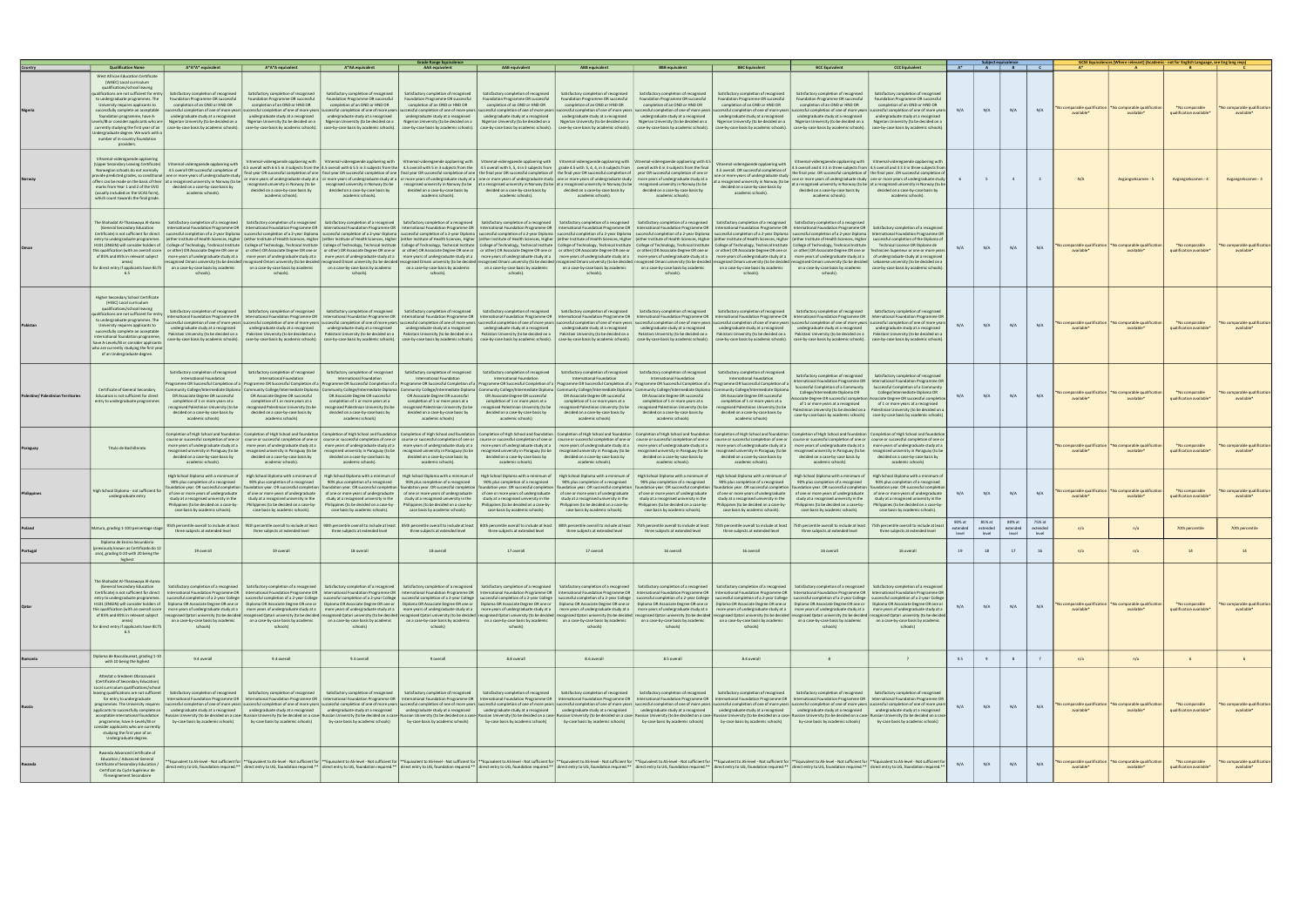|                                           | <b>Qualification Name</b>                                                                                                                                                                                                                                                                                                                                                                                                         | A*A*A* equivalent                                                                                                                                                                                                                                                                                                                                                                                     | A*A*A equivalent                                                                                                                                                                                                                                    | A*AA equivalent                                                                                                                                                                                                                                                                                                                                                                                                                                                                                                                                                                                                                                                                                                                                                                                                                                                                                                                                                                                                                                                                                                                                                                                                                                                                                                                                                                                                                                                                                                                                                                                                                                                                                                                                                                                                                                                                         | <b>Grade Range Equivalence</b><br><b>AAA</b> equivalent                                                                                                                                                                                                                                 | AAB equivalent                                                                                                                                                                                                                                      | <b>ABB</b> equivalent                                                                                                                                                                                                                              | <b>BBB</b> equivalent                                                                                                                                                                                                                                                                    | <b>BBC Equivalent</b>                                                                                                                                                                                                                              | <b>BCC Equivalent</b>                                                                                                                                                                                                                                                                            | <b>CCC Equivalent</b>                                                                                                                                                                                                                                                                                                                                                                                                                                                                                                                                                          |                   | Subject equivalence         | $A^*$ $A$ $B$ $C$           |                             |                                                  | GCSE Equivalences (Where relevant) (Academic - not for English Language, see Eng lang reqs) |                                                        |                                                  |
|-------------------------------------------|-----------------------------------------------------------------------------------------------------------------------------------------------------------------------------------------------------------------------------------------------------------------------------------------------------------------------------------------------------------------------------------------------------------------------------------|-------------------------------------------------------------------------------------------------------------------------------------------------------------------------------------------------------------------------------------------------------------------------------------------------------------------------------------------------------------------------------------------------------|-----------------------------------------------------------------------------------------------------------------------------------------------------------------------------------------------------------------------------------------------------|-----------------------------------------------------------------------------------------------------------------------------------------------------------------------------------------------------------------------------------------------------------------------------------------------------------------------------------------------------------------------------------------------------------------------------------------------------------------------------------------------------------------------------------------------------------------------------------------------------------------------------------------------------------------------------------------------------------------------------------------------------------------------------------------------------------------------------------------------------------------------------------------------------------------------------------------------------------------------------------------------------------------------------------------------------------------------------------------------------------------------------------------------------------------------------------------------------------------------------------------------------------------------------------------------------------------------------------------------------------------------------------------------------------------------------------------------------------------------------------------------------------------------------------------------------------------------------------------------------------------------------------------------------------------------------------------------------------------------------------------------------------------------------------------------------------------------------------------------------------------------------------------|-----------------------------------------------------------------------------------------------------------------------------------------------------------------------------------------------------------------------------------------------------------------------------------------|-----------------------------------------------------------------------------------------------------------------------------------------------------------------------------------------------------------------------------------------------------|----------------------------------------------------------------------------------------------------------------------------------------------------------------------------------------------------------------------------------------------------|------------------------------------------------------------------------------------------------------------------------------------------------------------------------------------------------------------------------------------------------------------------------------------------|----------------------------------------------------------------------------------------------------------------------------------------------------------------------------------------------------------------------------------------------------|--------------------------------------------------------------------------------------------------------------------------------------------------------------------------------------------------------------------------------------------------------------------------------------------------|--------------------------------------------------------------------------------------------------------------------------------------------------------------------------------------------------------------------------------------------------------------------------------------------------------------------------------------------------------------------------------------------------------------------------------------------------------------------------------------------------------------------------------------------------------------------------------|-------------------|-----------------------------|-----------------------------|-----------------------------|--------------------------------------------------|---------------------------------------------------------------------------------------------|--------------------------------------------------------|--------------------------------------------------|
|                                           | <b>West African Education Certificate</b><br>(WAEC) Local curriculum<br>qualifications/school leaving<br>to undergraduate programmes. The<br>University requires applicants to<br>successfully complete an acceptable<br>foundation programme, have A-<br>Indergraduate degree. We work with a<br>number of in-country foundation<br>providers.                                                                                   | $a$ lifications are not sufficient for entry $ $ Satisfactory completion of recognised<br>Foundation Programme OR successful<br>completion of an OND or HND OR<br>ccessful completion of one of more years<br>undergraduate study at a recognised<br>evels/IB or consider applicants who are   Nigerian University (to be decided on a                                                                | Satisfactory completion of recognised<br>Foundation Programme OR successful<br>completion of an OND or HND OR<br>uccessful completion of one of more years s<br>undergraduate study at a recognised<br>Nigerian University (to be decided on a      | Satisfactory completion of recognised<br>Foundation Programme OR successful<br>completion of an OND or HND OR<br>undergraduate study at a recognised<br>Nigerian University (to be decided on a<br>currently studying the first year of an  case-by-case basis by academic schools).  case-by-case basis by academic schools).  case-by-case basis by academic schools).  case-by-case basis by academic schools).  case-by-case                                                                                                                                                                                                                                                                                                                                                                                                                                                                                                                                                                                                                                                                                                                                                                                                                                                                                                                                                                                                                                                                                                                                                                                                                                                                                                                                                                                                                                                        | Satisfactory completion of recognised<br>Foundation Programme OR successful<br>completion of an OND or HND OR<br>uccessful completion of one of more years successful completion of one of more years<br>undergraduate study at a recognised<br>Nigerian University (to be decided on a | Satisfactory completion of recognised<br>Foundation Programme OR successful<br>completion of an OND or HND OR<br>uccessful completion of one of more years<br>undergraduate study at a recognised<br>Nigerian University (to be decided on a        | Satisfactory completion of recognised<br>Foundation Programme OR successful<br>completion of an OND or HND OR<br>undergraduate study at a recognised<br>Nigerian University (to be decided on a                                                    | Satisfactory completion of recognised<br>Foundation Programme OR successful<br>completion of an OND or HND OR<br>ccessful completion of one of more years   successful completion of one of more years<br>undergraduate study at a recognised<br>Nigerian University (to be decided on a | Satisfactory completion of recognised<br>Foundation Programme OR successful<br>completion of an OND or HND OR<br>successful completion of one of more years<br>undergraduate study at a recognised<br>Nigerian University (to be decided on a      | Satisfactory completion of recognised<br>Foundation Programme OR successful<br>completion of an OND or HND OR<br>ccessful completion of one of more years<br>undergraduate study at a recognised<br>Nigerian University (to be decided on a                                                      | Satisfactory completion of recognised<br>Foundation Programme OR successful<br>completion of an OND or HND OR<br>cessful completion of one of more years<br>undergraduate study at a recognised<br>Nigerian University (to be decided on a                                                                                                                                                                                                                                                                                                                                     | N/A               | N/A                         | N/A                         | N/A                         | o comparable qualificatio<br>available*          | o comparable qualificatio<br>available <sup>*</sup>                                         | *No comparable<br>qualification available*             | Vo comparable qualification<br>available*        |
|                                           | Vitnemal-videregaende opplaering<br>marks from Year 1 and 2 of the VVO<br>(usually included on the UCAS form)<br>which count towards the final grade.                                                                                                                                                                                                                                                                             | (Upper Secondary Leaving Certificate)   Vitnemal-videregaende opplaering with<br>Norwegian schools do not normally   4.5 overall OR successful completion of<br>provide predicted grades, so conditional one or more years of undergraduate study<br>offers can be made on the basis of their at a recognised university in Norway (to be<br>decided on a case-by-case basis by<br>academic schools). | recognised university in Norway (to be<br>decided on a case-by-case basis by<br>academic schools).                                                                                                                                                  | Vitnemal-videregaende opplaering with Vitnemal-videregaende opplaering with Vitnemal-videregaende opplaering with Vitnemal-videregaende opplaering with Vitnemal-videregaende opplaering with Vitnemal-videregaende opplaering<br>4.5 overall with 665 in 3 subjects from the 14.5 overall with 655 in 3 subjects from the 14.5 overall with 5 in 3 subjects from the 14.5 overall with 5, 5, 4 in 3 subjects from 1 and with 5, 6, 4 in 3 subjects from 1 and w<br>final year OR successful completion of one   final year OR successful completion of one   final year OR successful completion of one   the final year OR successful completion of one bread to mpletion of one or and the fina<br>or more years of undergraduate study at a or more years of undergraduate study at a or more years of undergraduate study at a one or more years of undergraduate study at a one or more years of undergraduate study at a comp<br>recognised university in Norway (to be<br>decided on a case-by-case basis by<br>academic schools).                                                                                                                                                                                                                                                                                                                                                                                                                                                                                                                                                                                                                                                                                                                                                                                                                                              | decided on a case-by-case basis by<br>academic schools).                                                                                                                                                                                                                                | recognised university in Norway (to be   at a recognised university in Norway (to be   at a recognised university in Norway (to be   recognised university in Norway (to be<br>decided on a case-by-case basis by<br>academic schools).             | decided on a case-by-case basis by<br>academic schools).                                                                                                                                                                                           | decided on a case-by-case basis by<br>academic schools).                                                                                                                                                                                                                                 | Vitnemal-videregaende opplaering with<br>4.5 overall. OR successful completion of<br>one or more years of undergraduate study<br>academic schools).                                                                                                | decided on a case-by-case basis by<br>academic schools).                                                                                                                                                                                                                                         | Vitnemal-videregaende opplaering with   Vitnemal-videregaende opplaering with<br>4.5 overall and 4 3 3 in three subjects from 4.5 overall and 3 3 3 in three subjects from<br>the final year. OR successful completion of the final year. OR successful completion of<br>one or more years of undergraduate study one or more years of undergraduate study<br>t a recognised university in Norway (to be $\left $ at a recognised university in Norway (to be $\left $ at a recognised university in Norway (to be<br>decided on a case-by-case basis by<br>academic schools). |                   |                             | 4                           | $\overline{\mathbf{3}}$     | N/A                                              | Avgangseksamen - 5                                                                          | Avgangseksamen - 4                                     | Avgangseksamen - 3                               |
|                                           | The Shahadat Al-Thanawaya Al-Aama<br>(General Secondary Education<br>areas)<br>6.5                                                                                                                                                                                                                                                                                                                                                | Satisfactory completion of a recognised<br>for direct entry if applicants have IELTS   on a case-by-case basis by academic  <br>schools).                                                                                                                                                                                                                                                             | on a case-by-case basis by academic<br>schools).                                                                                                                                                                                                    | Satisfactory completion of a recognised Satisfactory completion of a recognised Satisfactory completion of a recognised Satisfactory completion of a recognised Satisfactory completion of a recognised Satisfactory completio<br>International Foundation Programme OR   International Foundation Programme OR   International Foundation Programme OR   International Foundation Programme OR   International Foundation Programme OR   International Foundati<br>Certificate) is not sufficient for direct   successful completion of a 2-year Diploma   successful completion of a 2-year Diploma   successful completion of a 2-year Diploma   successful completion of a 2-year Diploma   su<br>entry to undergraduate programmes. (either Institute of Health Sciences, Higher (either Institute of Health Sciences, Higher (either Institute of Health Sciences, Higher (either Institute of Health Sciences, Higher (either<br>H101 (ENGIN) will consider holders of   College of Technology, Technical Institute   College of Technology, Technical Institute   College of Technology, Technical Institute   College of Technology, Technical Institute   Co<br>this qualification (with an overall score   or other) OR Associate Degree OR one or   or other) OR Associate Degree OR one or   or other) OR Associate Degree OR one or   or other) OR Associate Degree OR one or   or other)<br>of 85% and 85% in relevant subject more years of undergraduate study at a more years of undergraduate study ata more years of undergraduate study ata more years of undergraduate study ata more years of undergraduate study<br>recognised Omani university (to be decided recognised Omani university (to be decided recognised Omani university (to be decided recognised Omani university (to be decided recognised Omani university (to be decided recogni<br>schools). | schools).                                                                                                                                                                                                                                                                               | on a case-by-case basis by academic   on a case-by-case basis by academic   on a case-by-case basis by academic  <br>schools).                                                                                                                      | on a case-by-case basis by academic<br>schools).                                                                                                                                                                                                   | Satisfactory completion of a recognised<br>on a case-by-case basis by academic  <br>schools).                                                                                                                                                                                            | Satisfactory completion of a recognised  <br>on a case-by-case basis by academic  <br>schools).                                                                                                                                                    | Satisfactory completion of a recognised<br>schools)                                                                                                                                                                                                                                              | Technical Licence OR Diplome de<br>on a case-by-case basis by academic   case-by-case basis by academic schools                                                                                                                                                                                                                                                                                                                                                                                                                                                                | N/A               | N/A                         | N/A                         | N/A                         | comparable qualification<br>available*           | No comparable qualificatio<br>available*                                                    | *No comparable<br>qualification available <sup>*</sup> | No comparable qualification<br>available*        |
|                                           | <b>Higher Secondary School Certificate</b><br>(HSSC) Local curriculum<br>qualifications/school leaving<br>alifications are not sufficient for entry<br>to undergraduate programmes. The<br>University requires applicants to<br>successfully complete an acceptable<br>international foundation programme,<br>have A-Levels/IB or consider applicants<br>who are currently studying the first year<br>of an Undergraduate degree. | Satisfactory completion of recognised<br>International Foundation Programme OR<br>undergraduate study at a recognised                                                                                                                                                                                                                                                                                 | Satisfactory completion of recognised<br>case-by-case basis by academic schools). case-by-case basis by academic schools).                                                                                                                          | International Foundation Programme OR   International Foundation Programme OR   International Foundation Programme OR   International Foundation Programme OR   International Foundation Programme OR   International Foundati<br>uccessful completion of one of more years   successful completion of one of more years  successful completion of one of more years   successful completion of one of more years   successful completion of one of more years  <br>undergraduate study at a recognised condergraduate study at a recognised undergraduate study at a recognised undergraduate study at a recognised undergraduate study at a recognised undergraduate study at a recognised under<br>Pakistani University (to be decided on a Pakistani University (to be decided on a Pakistani University (to be decided on a Pakistani University (to be decided on a Pakistani University (to be decided on a Pakistani Univers                                                                                                                                                                                                                                                                                                                                                                                                                                                                                                                                                                                                                                                                                                                                                                                                                                                                                                                                                    | Satisfactory completion of recognised Satisfactory completion of recognised                                                                                                                                                                                                             | Satisfactory completion of recognised<br>case-by-case basis by academic schools). case-by-case basis by academic schools). case-by-case basis by academic schools).                                                                                 | Satisfactory completion of recognised                                                                                                                                                                                                              | Satisfactory completion of recognised  <br>  case-by-case basis by academic schools).   case-by-case basis by academic schools).                                                                                                                                                         | Satisfactory completion of recognised                                                                                                                                                                                                              | Satisfactory completion of recognised<br>International Foundation Programme OR   International Foundation Programme OR   International Foundation Programme OI<br>case-by-case basis by academic schools).   case-by-case basis by academic schools).   case-by-case basis by academic schools). | Satisfactory completion of recognised                                                                                                                                                                                                                                                                                                                                                                                                                                                                                                                                          | N/A               | N/A                         | N/A                         | N/A                         | lo comparable qualification<br>available*        | No comparable qualification<br>available*                                                   | *No comparable<br>qualification available*             | No comparable qualification<br>available*        |
| <b>Palestine/ Palestinian Territories</b> | Certificate of General Secondary<br>Education is not sufficient for direct<br>entry to undergraduate programmes                                                                                                                                                                                                                                                                                                                   | Satisfactory completion of recognised<br>International Foundation<br>OR Associate Degree OR successful<br>completion of 1 or more years at a<br>ecognised Palestinian University (to be<br>decided on a case-by-case basis by<br>academic schools)                                                                                                                                                    | Satisfactory completion of recognised<br>International Foundation<br>OR Associate Degree OR successful<br>completion of 1 or more years at a<br>ecognised Palestinian University (to be<br>decided on a case-by-case basis by<br>academic schools)  | Satisfactory completion of recognised<br>International Foundation<br>ogramme OR Successful Completion of a   Programme OR Successful Completion of a   Programme OR Successful Completion of a   Programme OR Successful Completion of a   Programme OR Successful Completion of a   Programme OR S<br>ommunity College/Intermediate Diploma   Community College/Intermediate Diploma   Community College/Intermediate Diploma   Community College/Intermediate Diploma   Community College/Intermediate Diploma   Community College/<br>OR Associate Degree OR successful<br>completion of 1 or more years at a<br>ecognised Palestinian University (to be<br>decided on a case-by-case basis by<br>academic schools)                                                                                                                                                                                                                                                                                                                                                                                                                                                                                                                                                                                                                                                                                                                                                                                                                                                                                                                                                                                                                                                                                                                                                                  | Satisfactory completion of recognised<br>International Foundation<br>OR Associate Degree OR successful<br>completion of 1 or more years at a<br>recognised Palestinian University (to be<br>decided on a case-by-case basis by<br>academic schools)                                     | Satisfactory completion of recognised<br>International Foundation<br>OR Associate Degree OR successful<br>completion of 1 or more years at a<br>recognised Palestinian University (to be<br>decided on a case-by-case basis by<br>academic schools) | Satisfactory completion of recognised<br>International Foundation<br>OR Associate Degree OR successful<br>completion of 1 or more years at a<br>ecognised Palestinian University (to be<br>decided on a case-by-case basis by<br>academic schools) | Satisfactory completion of recognised<br>International Foundation<br>OR Associate Degree OR successful<br>completion of 1 or more years at a<br>ecognised Palestinian University (to be<br>decided on a case-by-case basis by<br>academic schools)                                       | Satisfactory completion of recognised<br>International Foundation<br>OR Associate Degree OR successful<br>completion of 1 or more years at a<br>ecognised Palestinian University (to be<br>decided on a case-by-case basis by<br>academic schools) | Satisfactory completion of recognised<br>Successful Completion of a Community<br>College/Intermediate Diploma OR<br>of 1 or more years at a recognised                                                                                                                                           | Satisfactory completion of recognised<br>International Foundation Programme OR   International Foundation Programme OR<br>Successful Completion of a Community<br>College/Intermediate Diploma OR<br>ociate Degree OR successful completion   Associate Degree OR successful completion<br>of 1 or more years at a recognised<br>Palestinian University (to be decided on a   Palestinian University (to be decided on a<br>case-by-case basis by academic schools) case-by-case basis by academic schools                                                                     | N/A               | N/A                         | N/A                         | N/A                         | o comparable qualification<br>available*         | lo comparable qualificatio<br>available*                                                    | *No comparable<br>qualification available*             | lo comparable qualification<br>available*        |
|                                           | Titulo de Bachillerato                                                                                                                                                                                                                                                                                                                                                                                                            | Completion of High School and foundation<br>more years of undergraduate study at a<br>recognised university in Paraguay (to be<br>decided on a case-by-case basis by<br>academic schools).                                                                                                                                                                                                            | more years of undergraduate study at a<br>recognised university in Paraguay (to be<br>decided on a case-by-case basis by<br>academic schools).                                                                                                      | Completion of High School and foundation   Completion of High School and foundation   Completion of High School and foundation   Completion of High School and foundation   Completion of High School and foundation   Complet<br>course or successful completion of one or   course or successful completion of one or   course or successful completion of one or   course or successful completion of one or   course or successful completion of one or   co<br>more years of undergraduate study at a<br>decided on a case-by-case basis by<br>academic schools).                                                                                                                                                                                                                                                                                                                                                                                                                                                                                                                                                                                                                                                                                                                                                                                                                                                                                                                                                                                                                                                                                                                                                                                                                                                                                                                  | recognised university in Paraguay (to be   recognised university in Paraguay (to be<br>decided on a case-by-case basis by<br>academic schools).                                                                                                                                         | more years of undergraduate study at a   more years of undergraduate study at a  <br>recognised university in Paraguay (to be<br>decided on a case-by-case basis by<br>academic schools).                                                           | more years of undergraduate study at a<br>recognised university in Paraguay (to be<br>decided on a case-by-case basis by<br>academic schools).                                                                                                     | more years of undergraduate study at a<br>recognised university in Paraguay (to be<br>decided on a case-by-case basis by<br>academic schools).                                                                                                                                           | more years of undergraduate study at a<br>recognised university in Paraguay (to be<br>decided on a case-by-case basis by<br>academic schools).                                                                                                     | recognised university in Paraguay (to be<br>decided on a case-by-case basis by<br>academic schools)                                                                                                                                                                                              | Completion of High School and foundation   Completion of High School and foundation   Completion of High School and foundation<br>more years of undergraduate study at a   more years of undergraduate study at a<br>recognised university in Paraguay (to be<br>decided on a case-by-case basis by<br>academic schools)                                                                                                                                                                                                                                                       |                   |                             |                             |                             | <b>No comparable qualification</b><br>available* | No comparable qualificatio<br>available*                                                    | *No comparable<br>qualification available*             | <b>No comparable qualification</b><br>available* |
|                                           | High School Diploma - not sufficient for<br>undergraduate entry                                                                                                                                                                                                                                                                                                                                                                   | High School Diploma with a minimum of<br>90% plus completion of a recognised<br>dation year. OR successful completio<br>of one or more years of undergraduate<br>study at a recognised university in the<br>Philippines (to be decided on a case-by-<br>case basis by academic schools).                                                                                                              | High School Diploma with a minimum of<br>90% plus completion of a recognised<br>oundation year. OR successful completion<br>study at a recognised university in the<br>Philippines (to be decided on a case-by-<br>case basis by academic schools). | High School Diploma with a minimum of<br>90% plus completion of a recognised<br>undation year. OR successful completion<br>of one or more years of undergraduate of one or more years of undergraduate of one or more years of undergraduate of one or more years of undergraduate of one or more years of undergraduate of one or more years of undergra<br>study at a recognised university in the<br>Philippines (to be decided on a case-by-<br>case basis by academic schools).                                                                                                                                                                                                                                                                                                                                                                                                                                                                                                                                                                                                                                                                                                                                                                                                                                                                                                                                                                                                                                                                                                                                                                                                                                                                                                                                                                                                    | High School Diploma with a minimum of<br>90% plus completion of a recognised<br>foundation year. OR successful completion<br>study at a recognised university in the<br>Philippines (to be decided on a case-by-<br>case basis by academic schools).                                    | High School Diploma with a minimum of<br>90% plus completion of a recognised<br>oundation year. OR successful completion<br>study at a recognised university in the<br>Philippines (to be decided on a case-by-<br>case basis by academic schools). | High School Diploma with a minimum of<br>90% plus completion of a recognised<br>pundation year. OR successful completie<br>study at a recognised university in the<br>Philippines (to be decided on a case-by-<br>case basis by academic schools). | High School Diploma with a minimum of<br>90% plus completion of a recognised<br>foundation year. OR successful completion<br>study at a recognised university in the<br>Philippines (to be decided on a case-by-<br>case basis by academic schools).                                     | High School Diploma with a minimum of<br>90% plus completion of a recognised<br>oundation year. OR successful completio<br>study at a recognised university in the<br>Philippines (to be decided on a case-by-<br>case basis by academic schools). | High School Diploma with a minimum of<br>90% plus completion of a recognised<br>oundation year. OR successful completio<br>study at a recognised university in the<br>Philippines (to be decided on a case-by-<br>case basis by academic schools).                                               | High School Diploma with a minimum o<br>90% plus completion of a recognised<br>foundation year. OR successful completi<br>study at a recognised university in the<br>Philippines (to be decided on a case-by-<br>case basis by academic schools).                                                                                                                                                                                                                                                                                                                              | N/A               | N/A                         | N/A                         | N/A                         | comparable qualification<br>available*           | No comparable qualificatio<br>available*                                                    | *No comparable<br>qualification available*             | Vo comparable qualification                      |
|                                           | Matura, grading 1-100 percentage stag                                                                                                                                                                                                                                                                                                                                                                                             | 95th percentile overall to include at least<br>three subjects at extended level                                                                                                                                                                                                                                                                                                                       | three subjects at extended level                                                                                                                                                                                                                    | 95th percentile overall to include at least 90th percentile overall to include at least<br>three subjects at extended level                                                                                                                                                                                                                                                                                                                                                                                                                                                                                                                                                                                                                                                                                                                                                                                                                                                                                                                                                                                                                                                                                                                                                                                                                                                                                                                                                                                                                                                                                                                                                                                                                                                                                                                                                             | three subjects at extended level                                                                                                                                                                                                                                                        | 85th percentile overall to include at least   80th percentile overall to include at least   80th percentile overall to include at least<br>three subjects at extended level                                                                         | three subjects at extended level                                                                                                                                                                                                                   | 75th percentile overall to include at least<br>three subjects at extended level                                                                                                                                                                                                          | 75th percentile overall to include at least<br>three subjects at extended level                                                                                                                                                                    | three subjects at extended level                                                                                                                                                                                                                                                                 | 75th percentile overall to include at least 75th percentile overall to include at lea<br>three subjects at extended level                                                                                                                                                                                                                                                                                                                                                                                                                                                      | extended<br>level | 85% at<br>extended<br>level | 80% at<br>extended<br>level | 75% at<br>extended<br>level | n/a                                              | n/a                                                                                         | 70th percentile                                        | 70th percentile                                  |
|                                           | Diploma de Ensino Secundario<br>reviously known as Certificado do 12<br>ano), grading 0-20 with 20 being the<br>highest                                                                                                                                                                                                                                                                                                           |                                                                                                                                                                                                                                                                                                                                                                                                       | 19 overall                                                                                                                                                                                                                                          |                                                                                                                                                                                                                                                                                                                                                                                                                                                                                                                                                                                                                                                                                                                                                                                                                                                                                                                                                                                                                                                                                                                                                                                                                                                                                                                                                                                                                                                                                                                                                                                                                                                                                                                                                                                                                                                                                         | 18 overall                                                                                                                                                                                                                                                                              | 17 overall                                                                                                                                                                                                                                          | 17 overall                                                                                                                                                                                                                                         | 16 overall                                                                                                                                                                                                                                                                               | 16 overall                                                                                                                                                                                                                                         | 16 overall                                                                                                                                                                                                                                                                                       |                                                                                                                                                                                                                                                                                                                                                                                                                                                                                                                                                                                |                   |                             |                             |                             |                                                  |                                                                                             |                                                        |                                                  |
|                                           | The Shahadat Al-Thanawaya Al-Aam<br>(General Secondary Education<br>Certificate) is not sufficient for direct<br>areas)<br>for direct entry if applicants have IELTS<br>6.5                                                                                                                                                                                                                                                       | Satisfactory completion of a recognised<br>this qualification (with an overall score   more vears of undergraduate study at a   more vears of undergraduate study at a<br>on a case-by-case basis by academic<br>schools)                                                                                                                                                                             | on a case-by-case basis by academic<br>schools)                                                                                                                                                                                                     | Satisfactory completion of a recognised Satisfactory completion of a recognised Satisfactory completion of a recognised Satisfactory completion of a recognised Satisfactory completion of a recognised Satisfactory completio<br>International Foundation Programme OR   International Foundation Programme OR   International Foundation Programme OR   International Foundation Programme OR   International Foundation Programme OR   International Foundati<br>_entry to undergraduate programmes.   successful completion of a 2-year College   successful completion of a 2-year College   successful completion of a 2-year College   successful completion of a 2-year College   successf<br>H101 (ENGIN) will consider holders of   Diploma OR Associate Degree OR one or   Diploma OR Associate Degree OR one or   Diploma OR Associate Degree OR one or   Diploma OR Associate Degree OR one or   Diploma OR Associate D<br>of 85% and 85% in relevant subject recognised Qatari university (to be decided recognised Qatari university (to be decided recognised Qatari university (to be decided recognised Qatari university (to be decided recognised<br>on a case-by-case basis by academic<br>schools)                                                                                                                                                                                                                                                                                                                                                                                                                                                                                                                                                                                                                                                                | on a case-by-case basis by academic<br>schools)                                                                                                                                                                                                                                         | more years of undergraduate study at a more years of undergraduate study at a more years of undergraduate study at a more years of undergraduate study at a<br>on a case-by-case basis by academic<br>schools)                                      | on a case-by-case basis by academic<br>schools)                                                                                                                                                                                                    | on a case-by-case basis by academic<br>schools)                                                                                                                                                                                                                                          | more years of undergraduate study at a   more years of undergraduate study at a   more years of undergraduate study at a   more years of undergraduate study at a<br>on a case-by-case basis by academic<br>schools)                               | on a case-by-case basis by academic<br>schools)                                                                                                                                                                                                                                                  | on a case-by-case basis by academic<br>schools)                                                                                                                                                                                                                                                                                                                                                                                                                                                                                                                                | N/A               | N/A                         | N/A                         | N/A                         | o comparable qualification<br>available*         | No comparable qualification<br>available*                                                   | *No comparable<br>qualification available <sup>®</sup> | No comparable qualification<br>available*        |
|                                           | Diploma de Baccalaureat, grading 1-10<br>with 10 being the highest                                                                                                                                                                                                                                                                                                                                                                | 9.4 overall                                                                                                                                                                                                                                                                                                                                                                                           | 9.4 overall                                                                                                                                                                                                                                         | 9.3 overall                                                                                                                                                                                                                                                                                                                                                                                                                                                                                                                                                                                                                                                                                                                                                                                                                                                                                                                                                                                                                                                                                                                                                                                                                                                                                                                                                                                                                                                                                                                                                                                                                                                                                                                                                                                                                                                                             | 9 overall                                                                                                                                                                                                                                                                               | 8.8 overall                                                                                                                                                                                                                                         | 8.6 overall                                                                                                                                                                                                                                        | 8.5 overall                                                                                                                                                                                                                                                                              | 8.4 overall                                                                                                                                                                                                                                        | 8                                                                                                                                                                                                                                                                                                |                                                                                                                                                                                                                                                                                                                                                                                                                                                                                                                                                                                | 9.5               | 9                           | 8                           | 7                           | n/a                                              | n/a                                                                                         | 6                                                      | 6                                                |
|                                           | Attestat o Srednem Obrazovanii<br>(Certificate of Secondary Education)<br>Local curriculum qualifications/school<br>for entry to undergraduate<br>programme, have A-Levels/IB or<br>consider applicants who are currently<br>studying the first year of an<br>Undergraduate degree.                                                                                                                                               | leaving qualifications are not sufficient   Satisfactory completion of recognised<br>by-case basis by academic schools)                                                                                                                                                                                                                                                                               | Satisfactory completion of recognised<br>by-case basis by academic schools)                                                                                                                                                                         | International Foundation Programme OR   International Foundation Programme OR   International Foundation Programme OR   International Foundation Programme OR   International Foundation Programme OR   International Foundati<br>programmes. The University requires  successful completion ofone of more years  successful completion of once of more years  successful completion of once of more years  successful completion of once of more years  success<br>applicants to successfully complete an undergraduate study at a recognised undergraduate study at a recognised undergraduate study at a recognised undergraduate study at a recognised undergraduate study at a recognised und<br>acceptable international foundation Russian University (to be decided on a case- Russian University (to be decided on a case-Russian University (to be decided on a case-Russian University (to be decided on a case-Russian U                                                                                                                                                                                                                                                                                                                                                                                                                                                                                                                                                                                                                                                                                                                                                                                                                                                                                                                                                    |                                                                                                                                                                                                                                                                                         | Satisfactory completion of recognised Satisfactory completion of recognised Satisfactory completion of recognised<br>by-case basis by academic schools)   by-case basis by academic schools)   by-case basis by academic schools)                   |                                                                                                                                                                                                                                                    | Satisfactory completion of recognised   Satisfactory completion of recognised  <br>by-case basis by academic schools)   by-case basis by academic schools)                                                                                                                               | Satisfactory completion of recognised<br>by-case basis by academic schools)                                                                                                                                                                        | Satisfactory completion of recognised<br>by-case basis by academic schools)                                                                                                                                                                                                                      | Satisfactory completion of recognised<br>by-case basis by academic schools)                                                                                                                                                                                                                                                                                                                                                                                                                                                                                                    | N/A               | N/A                         | N/A                         | N/A                         | lo comparable qualification<br>available*        | No comparable qualification<br>available*                                                   | *No comparable<br>qualification available*             | No comparable qualification<br>available*        |
|                                           | Rwanda Advanced Certificate of<br>Education / Advanced General<br>Certificate of Secondary Education /<br>Certificat du Cycle Supérieur de<br>l'Enseignement Secondaire                                                                                                                                                                                                                                                           |                                                                                                                                                                                                                                                                                                                                                                                                       |                                                                                                                                                                                                                                                     | "Equivalent to AS-level - Not sufficient for   **Equivalent to AS-level - Not sufficient for   **Equivalent to AS-level - Not sufficient for   **Equivalent to AS-level - Not sufficient for   **Equivalent to AS-level - Not<br>direct entry to UG, foundation required.**   direct entry to UG, foundation required.**   direct entry to UG, foundation required.**  direct entry to UG, foundation required.**  direct entry to UG, foundation required.**                                                                                                                                                                                                                                                                                                                                                                                                                                                                                                                                                                                                                                                                                                                                                                                                                                                                                                                                                                                                                                                                                                                                                                                                                                                                                                                                                                                                                           |                                                                                                                                                                                                                                                                                         |                                                                                                                                                                                                                                                     |                                                                                                                                                                                                                                                    |                                                                                                                                                                                                                                                                                          |                                                                                                                                                                                                                                                    |                                                                                                                                                                                                                                                                                                  |                                                                                                                                                                                                                                                                                                                                                                                                                                                                                                                                                                                | N/A               | N/A                         | N/A                         | N/A                         | comparable qualification I<br>available*         | *No comparable qualification<br>available*                                                  | *No comparable<br>qualification available <sup>®</sup> | No comparable qualification<br>available*        |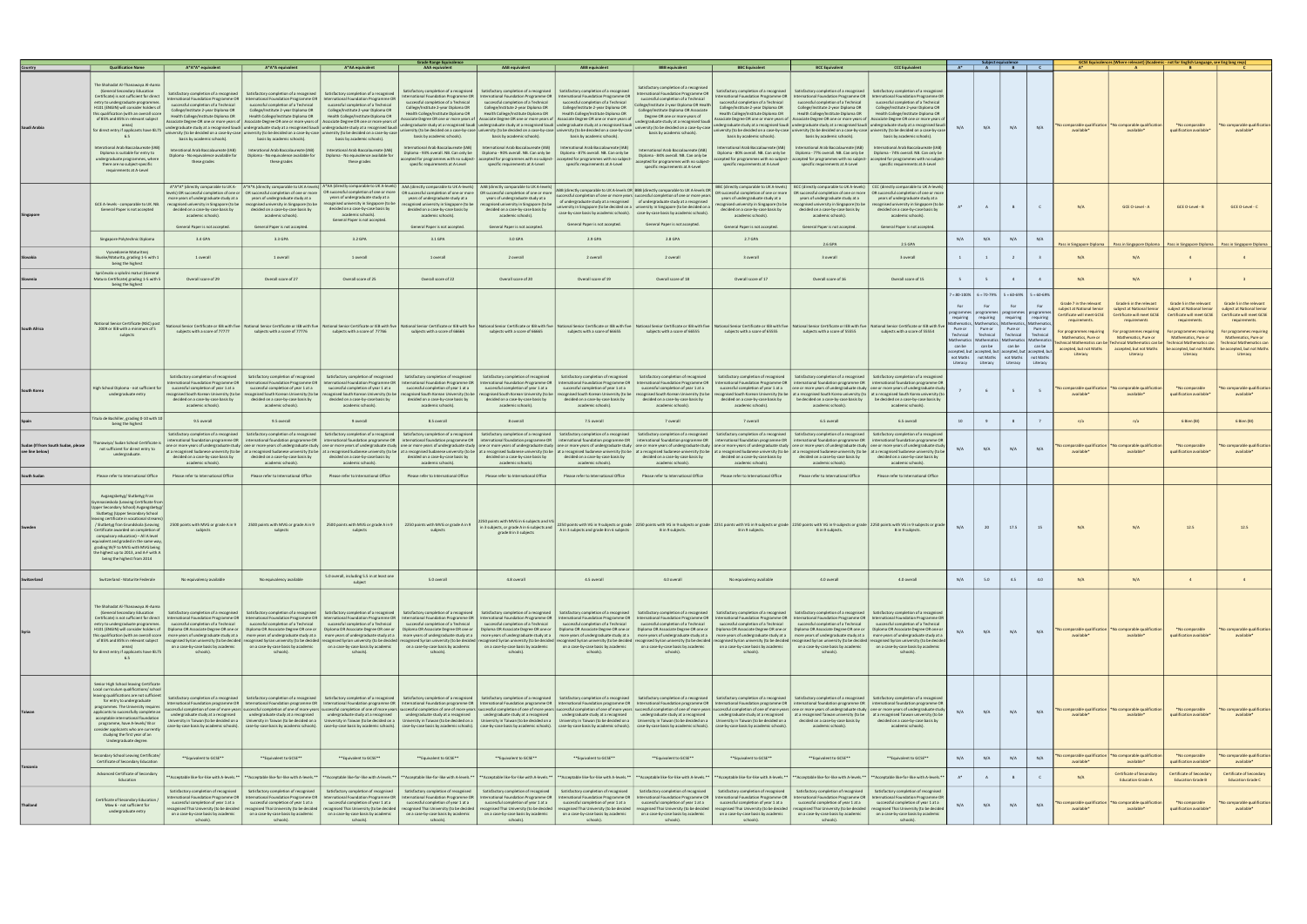|                                                       | <b>Qualification Name</b>                                                                                                                                                                                                                                                                                                                                                                                                                                                                                                 | A*A*A* equivalent                                                                                                                                                                                                                                                                                                                        | A*A*A equivalent                                                                                                                                                                                                                                                                                                                                                                                                                                                                                                                                                                                                                                                                                                                                                                                                                                                                                                                                                                                                                                                                                                            | A*AA equivalent                                                                                                                                                                                                                                                                                                                          | <b>Grade Range Equivalence</b><br>AAA equivalent                                                                                                                                                                                                                                                                                                                                                         | AAB equivalent                                                                                                                                                                                                                                                                                                                                                                                                                                                                                          | <b>ABB</b> equivalen                                                                                                                                                                                                                                                                                                                                                                                                                                      | <b>BBB</b> equivalent                                                                                                                                                                                                                                                                                                                                                                                                                                                                                                                               | <b>BBC Equivalent</b>                                                                                                                                                                                                                                                                                                                                                                                                                            | <b>BCC Equivalent</b>                                                                                                                                                                                                                                                                                                                                                                                                                                                                                                                                                                                                                                                                                                                                                                                             | <b>CCC Equivalent</b>                                                                                                                                                                                                                                                                                                                                       |                                            | Subject equivalence<br>$A^*$ $A$ $B$ $C$                                                                                                                                                                                                                                                                                                           |                                                                          |                                                 |                                                                                                                                                                                                                           | GCSE Equivalences (Where relevant) (Academic - not for English Language, see Eng lang reqs                                                                                                                               |                                                                                                                                                                                                                                                                    |                                                                                                                                                                                             |
|-------------------------------------------------------|---------------------------------------------------------------------------------------------------------------------------------------------------------------------------------------------------------------------------------------------------------------------------------------------------------------------------------------------------------------------------------------------------------------------------------------------------------------------------------------------------------------------------|------------------------------------------------------------------------------------------------------------------------------------------------------------------------------------------------------------------------------------------------------------------------------------------------------------------------------------------|-----------------------------------------------------------------------------------------------------------------------------------------------------------------------------------------------------------------------------------------------------------------------------------------------------------------------------------------------------------------------------------------------------------------------------------------------------------------------------------------------------------------------------------------------------------------------------------------------------------------------------------------------------------------------------------------------------------------------------------------------------------------------------------------------------------------------------------------------------------------------------------------------------------------------------------------------------------------------------------------------------------------------------------------------------------------------------------------------------------------------------|------------------------------------------------------------------------------------------------------------------------------------------------------------------------------------------------------------------------------------------------------------------------------------------------------------------------------------------|----------------------------------------------------------------------------------------------------------------------------------------------------------------------------------------------------------------------------------------------------------------------------------------------------------------------------------------------------------------------------------------------------------|---------------------------------------------------------------------------------------------------------------------------------------------------------------------------------------------------------------------------------------------------------------------------------------------------------------------------------------------------------------------------------------------------------------------------------------------------------------------------------------------------------|-----------------------------------------------------------------------------------------------------------------------------------------------------------------------------------------------------------------------------------------------------------------------------------------------------------------------------------------------------------------------------------------------------------------------------------------------------------|-----------------------------------------------------------------------------------------------------------------------------------------------------------------------------------------------------------------------------------------------------------------------------------------------------------------------------------------------------------------------------------------------------------------------------------------------------------------------------------------------------------------------------------------------------|--------------------------------------------------------------------------------------------------------------------------------------------------------------------------------------------------------------------------------------------------------------------------------------------------------------------------------------------------------------------------------------------------------------------------------------------------|-------------------------------------------------------------------------------------------------------------------------------------------------------------------------------------------------------------------------------------------------------------------------------------------------------------------------------------------------------------------------------------------------------------------------------------------------------------------------------------------------------------------------------------------------------------------------------------------------------------------------------------------------------------------------------------------------------------------------------------------------------------------------------------------------------------------|-------------------------------------------------------------------------------------------------------------------------------------------------------------------------------------------------------------------------------------------------------------------------------------------------------------------------------------------------------------|--------------------------------------------|----------------------------------------------------------------------------------------------------------------------------------------------------------------------------------------------------------------------------------------------------------------------------------------------------------------------------------------------------|--------------------------------------------------------------------------|-------------------------------------------------|---------------------------------------------------------------------------------------------------------------------------------------------------------------------------------------------------------------------------|--------------------------------------------------------------------------------------------------------------------------------------------------------------------------------------------------------------------------|--------------------------------------------------------------------------------------------------------------------------------------------------------------------------------------------------------------------------------------------------------------------|---------------------------------------------------------------------------------------------------------------------------------------------------------------------------------------------|
| Saudi Arabia                                          | The Shahadat Al-Thanawaya Al-Aama<br>(General Secondary Education<br>Certificate) is not sufficient for direct<br>entry to undergraduate programmes<br>H101 (ENGIN) will consider holders of<br>this qualification (with an overall score<br>of 85% and 85% in relevant subject<br>areas)<br>for direct entry if applicants have IELTS<br>6.5<br>Interational Arab Baccalaureate (IAB)<br>Diploma is suitable for entry to<br>undergraduate programmes, where<br>there are no subject-specific<br>requirements at A-Level | Satisfactory completion of a recognised<br>International Foundation Programme OR<br>successful completion of a Technical<br>College/Institute 2-year Diploma OR<br>Health College/Institute Diploma OR<br>basis by academic schools).<br>Interational Arab Baccalaureate (IAB)<br>Diploma - No equivalence available for<br>these grades | Satisfactory completion of a recognised<br>ternational Foundation Programme OR<br>successful completion of a Technical<br>College/Institute 2-year Diploma OR<br>Health College/Institute Diploma OR<br>undergraduate study at a recognised Saudi undergraduate study at a recognised Saudi undergraduate study at a recognised Saudi undergraduate study at a recognised Saudi undergraduate study at a recognised Saudi undergraduat<br>versity (to be decided on a case-by-case   university (to be decided on a case-by-case   university (to be decided on a case-by-case<br>basis by academic schools).<br>Interational Arab Baccalaureate (IAB)<br>Diploma - No equivalence available for<br>these grades                                                                                                                                                                                                                                                                                                                                                                                                            | Satisfactory completion of a recognised<br>International Foundation Programme OR<br>successful completion of a Technical<br>College/Institute 2-year Diploma OR<br>Health College/Institute Diploma OB<br>basis by academic schools).<br>Interational Arab Baccalaureate (IAB)<br>Diploma - No equivalence available for<br>these grades | Satisfactory completion of a recognised<br>International Foundation Programme OR<br>successful completion of a Technical<br>College/Institute 2-year Diploma OR<br>Health College/Institute Diploma OR<br>basis by academic schools).<br>International Arab Baccalaureate (IAB)<br>Diploma - 93% overall. NB. Can only be<br>ccepted for programmes with no subject-<br>specific requirements at A-Level | Satisfactory completion of a recognised<br><b>International Foundation Programme OR</b><br>successful completion of a Technical<br>College/Institute 2-year Diploma OR<br>Health College/Institute Diploma OR<br>Associate Degree OR one or more years of   Associate Degree OR one or more years of<br>basis by academic schools).<br>International Arab Baccalaureate (IAB)<br>Diploma - 90% overall, NB, Can only be<br>accepted for programmes with no subject-<br>specific requirements at A-Level | Satisfactory completion of a recognised<br><b>International Foundation Programme OR</b><br>successful completion of a Technical<br>College/Institute 2-year Diploma OR<br>Health College/Institute Diploma OR<br>Associate Degree OR one or more years o<br>basis by academic schools).<br>International Arab Baccalaureate (IAB)<br>Diploma - 87% overall, NB, Can only be<br>accepted for programmes with no subjec<br>specific requirements at A-Level | Satisfactory completion of a recognised<br>International Foundation Programme OR<br>successful completion of a Technical<br>ollege/Institute 2-year Diploma OR Health<br>College/Institute Diploma OR Associate<br>Degree OR one or more years of<br>undergraduate study at a recognised Saudi  <br>university (to be decided on a case-by-case)<br>basis by academic schools).<br>International Arab Baccalaureate (IAB)<br>Diploma - 84% overall. NB. Can only be<br>accepted for programmes with no subject-<br>specific requirements at A-Level | Satisfactory completion of a recognised<br>ternational Foundation Programme OR<br>successful completion of a Technical<br>College/Institute 2-year Diploma OR<br>Health College/Institute Diploma OR<br>ssociate Degree OR one or more years of<br>basis by academic schools).<br>nternational Arab Baccalaureate (IAB)<br>Diploma - 80% overall, NB, Can only be<br>ccepted for programmes with no subject-<br>specific requirements at A-Level | Satisfactory completion of a recognised<br>successful completion of a Technical<br>College/Institute 2-year Diploma OR<br>Health College/Institute Diploma OR<br>Associate Degree OR one or more years of   Associate Degree OR one or more years<br>undergraduate study at a recognised Saudi undergraduate study at a recognised Saudi undergraduate study at a recognised Saudi<br>iniversity (to be decided on a case-by-case   university (to be decided on a case-by-case   university (to be decided on a case-by-case<br>basis by academic schools).<br>International Arab Baccalaureate (IAB)<br>Diploma - 77% overall, NB, Can only be   Diploma - 74% overall, NB, Can only be<br>accepted for programmes with no subject- accepted for programmes with no subject<br>specific requirements at A-Level | Satisfactory completion of a recognised<br>International Foundation Programme OR   International Foundation Programme OF<br>successful completion of a Technical<br>College/Institute 2-year Diploma OR<br>Health College/Institute Diploma OR<br>basis by academic schools).<br>International Arab Baccalaureate (IAB)<br>specific requirements at A-Level |                                            | N/A                                                                                                                                                                                                                                                                                                                                                | N/A                                                                      | N/A                                             | o comparable qualificatio<br>available*                                                                                                                                                                                   | comparable qualificati<br>available*                                                                                                                                                                                     | *No comparable<br>qualification available*                                                                                                                                                                                                                         | 'No comparable qualification<br>available*                                                                                                                                                  |
|                                                       | GCE A-levels - comparable to UK. NB<br>General Paper is not accepted                                                                                                                                                                                                                                                                                                                                                                                                                                                      | more years of undergraduate study at a<br>recognised university in Singapore (to be<br>decided on a case-by-case basis by<br>academic schools).<br>General Paper is not accepted.                                                                                                                                                        | A*A* (directly comparable to UK A- A*A*A (directly comparable to UK A-levels) A*AA (directly comparable to UK A-levels) AAA (directly comparable to UK A-levels)<br>evels) OR successful completion of one or   OR successful completion of one or more   OR successful completion of one or more<br>years of undergraduate study at a<br>cognised university in Singapore (to be<br>decided on a case-by-case basis by<br>academic schools).<br>General Paper is not accepted.                                                                                                                                                                                                                                                                                                                                                                                                                                                                                                                                                                                                                                             | vears of undergraduate study at a<br>cognised university in Singapore (to be<br>decided on a case-by-case basis by<br>academic schools).<br>General Paper is not accepted.                                                                                                                                                               | years of undergraduate study at a<br>recognised university in Singapore (to be<br>decided on a case-by-case basis by<br>academic schools).<br>General Paper is not accepted.                                                                                                                                                                                                                             | AAB (directly comparable to UK A-levels)<br>OR successful completion of one or more   OR successful completion of one or more<br>years of undergraduate study at a<br>cognised university in Singapore (to be<br>decided on a case-by-case basis by<br>academic schools).<br>General Paper is not accepted.                                                                                                                                                                                             | General Paper is not accepted.                                                                                                                                                                                                                                                                                                                                                                                                                            | ABB (directly comparable to UK A-levels OR BBB (directly comparable to UK A-levels OR<br>cessful completion of one or more vears   successful completion of one or more vears<br>of undergraduate study at a recognised   of undergraduate study at a recognised<br>niversity in Singapore (to be decided on a Luniversity in Singapore (to be decided on a<br>case-by-case basis by academic schools).   case-by-case basis by academic schools).<br>General Paper is not accepted.                                                                | years of undergraduate study at a<br>ecognised university in Singapore (to be<br>decided on a case-by-case basis by<br>academic schools).<br>General Paper is not accepted.                                                                                                                                                                                                                                                                      | BBC (directly comparable to UK A-levels)   BCC (directly comparable to UK A-levels)   CCC (directly comparable to UK A-levels)<br>OR successful completion of one or more   OR successful completion of one or more   OR successful completion of one or more<br>years of undergraduate study at a<br>ecognised university in Singapore (to be<br>decided on a case-by-case basis by<br>academic schools).<br>General Paper is not accepted                                                                                                                                                                                                                                                                                                                                                                       | years of undergraduate study at a<br>ecognised university in Singapore (to b<br>decided on a case-by-case basis by<br>academic schools).<br>General Paper is not accepted                                                                                                                                                                                   |                                            | A                                                                                                                                                                                                                                                                                                                                                  |                                                                          | $\mathsf{C}$                                    | N/A                                                                                                                                                                                                                       | GCE O-Level - A                                                                                                                                                                                                          | GCE O-Level - B                                                                                                                                                                                                                                                    | GCE O-Level - C                                                                                                                                                                             |
|                                                       | Singapore Polytechnic Diploma                                                                                                                                                                                                                                                                                                                                                                                                                                                                                             | 3.4 GPA                                                                                                                                                                                                                                                                                                                                  | 3.3 GPA                                                                                                                                                                                                                                                                                                                                                                                                                                                                                                                                                                                                                                                                                                                                                                                                                                                                                                                                                                                                                                                                                                                     | 3.2 GPA                                                                                                                                                                                                                                                                                                                                  | 3.1 GPA                                                                                                                                                                                                                                                                                                                                                                                                  | 3.0 GPA                                                                                                                                                                                                                                                                                                                                                                                                                                                                                                 | 2.9 GPA                                                                                                                                                                                                                                                                                                                                                                                                                                                   | 2.8 GPA                                                                                                                                                                                                                                                                                                                                                                                                                                                                                                                                             | 2.7 GPA                                                                                                                                                                                                                                                                                                                                                                                                                                          | 2.6 GPA                                                                                                                                                                                                                                                                                                                                                                                                                                                                                                                                                                                                                                                                                                                                                                                                           | 2.5 GPA                                                                                                                                                                                                                                                                                                                                                     | N/A                                        | N/A                                                                                                                                                                                                                                                                                                                                                | N/A                                                                      | N/A                                             | ass in Singapore Diplom                                                                                                                                                                                                   | Pass in Singapore Diploma                                                                                                                                                                                                | Pass in Singapore Diploma                                                                                                                                                                                                                                          | Pass in Singapore Diplom                                                                                                                                                                    |
|                                                       | Vysvedcenie Maturitnei<br>Skuske/Maturita, grading 1-5 with 1<br>being the highest                                                                                                                                                                                                                                                                                                                                                                                                                                        | 1 overall                                                                                                                                                                                                                                                                                                                                | 1 overall                                                                                                                                                                                                                                                                                                                                                                                                                                                                                                                                                                                                                                                                                                                                                                                                                                                                                                                                                                                                                                                                                                                   | 1 overall                                                                                                                                                                                                                                                                                                                                | 1 overall                                                                                                                                                                                                                                                                                                                                                                                                | 2 overall                                                                                                                                                                                                                                                                                                                                                                                                                                                                                               | 2 overall                                                                                                                                                                                                                                                                                                                                                                                                                                                 | 2 overall                                                                                                                                                                                                                                                                                                                                                                                                                                                                                                                                           | 3 overall                                                                                                                                                                                                                                                                                                                                                                                                                                        | 3 overall                                                                                                                                                                                                                                                                                                                                                                                                                                                                                                                                                                                                                                                                                                                                                                                                         | 3 overall                                                                                                                                                                                                                                                                                                                                                   | $\mathbf{1}$                               | $\overline{1}$                                                                                                                                                                                                                                                                                                                                     |                                                                          | $\overline{\mathbf{3}}$                         | N/A                                                                                                                                                                                                                       | N/A                                                                                                                                                                                                                      | $\overline{4}$                                                                                                                                                                                                                                                     |                                                                                                                                                                                             |
|                                                       | Spričevalo o splošni maturi (General<br>Matura Certificate) grading 1-5 with 5<br>being the highest                                                                                                                                                                                                                                                                                                                                                                                                                       | Overall score of 29                                                                                                                                                                                                                                                                                                                      | Overall score of 27                                                                                                                                                                                                                                                                                                                                                                                                                                                                                                                                                                                                                                                                                                                                                                                                                                                                                                                                                                                                                                                                                                         | Overall score of 25                                                                                                                                                                                                                                                                                                                      | Overall score of 22                                                                                                                                                                                                                                                                                                                                                                                      | Overall score of 20                                                                                                                                                                                                                                                                                                                                                                                                                                                                                     | Overall score of 19                                                                                                                                                                                                                                                                                                                                                                                                                                       | Overall score of 18                                                                                                                                                                                                                                                                                                                                                                                                                                                                                                                                 | Overall score of 17                                                                                                                                                                                                                                                                                                                                                                                                                              | Overall score of 16                                                                                                                                                                                                                                                                                                                                                                                                                                                                                                                                                                                                                                                                                                                                                                                               | Overall score of 15                                                                                                                                                                                                                                                                                                                                         | 5                                          | 5 <sup>5</sup>                                                                                                                                                                                                                                                                                                                                     |                                                                          | $\overline{4}$                                  | N/A                                                                                                                                                                                                                       | N/A                                                                                                                                                                                                                      |                                                                                                                                                                                                                                                                    |                                                                                                                                                                                             |
| <b>South Africa</b>                                   | <b>National Senior Certificate (NSC) post</b><br>2009 or IEB with a minimum of 5<br>subjects                                                                                                                                                                                                                                                                                                                                                                                                                              | subjects with a score of 77777                                                                                                                                                                                                                                                                                                           | aational Senior Certificate or IEB with five National Senior Certificate or IEB with five National Senior Certificate or IEB with five National Senior Certificate or IEB with five National Senior Certificate or IEB with fi<br>subjects with a score of 77776                                                                                                                                                                                                                                                                                                                                                                                                                                                                                                                                                                                                                                                                                                                                                                                                                                                            | subjects with a score of 77766                                                                                                                                                                                                                                                                                                           | subjects with a score of 66666                                                                                                                                                                                                                                                                                                                                                                           | subjects with a score of 66665                                                                                                                                                                                                                                                                                                                                                                                                                                                                          | subjects with a score of 66655                                                                                                                                                                                                                                                                                                                                                                                                                            | subjects with a score of 66555                                                                                                                                                                                                                                                                                                                                                                                                                                                                                                                      | subjects with a score of 65555                                                                                                                                                                                                                                                                                                                                                                                                                   | subjects with a score of 55555                                                                                                                                                                                                                                                                                                                                                                                                                                                                                                                                                                                                                                                                                                                                                                                    | subjects with a score of 55554                                                                                                                                                                                                                                                                                                                              | Pure or<br>Technical<br>can be<br>Literacy | $= 80-100\%$ 6 = 70-79% 5 = 60-69% 5 = 60-69%<br><b>For</b><br>programmes   programmes   programmes   program<br>requiring requiring<br>Pure or<br>Technical<br>Iathematics   Mathematics   Mathematics   Mathemat<br>can be<br>accepted, but accepted, but accepted, but accepted, b<br>not Maths   not Maths   not Maths   not Maths<br>Literacy | For<br>requiring requiring<br>Pure or<br>Technical<br>can be<br>Literacy | For<br>Pure o<br>Technica<br>can be<br>Literacy | Grade 7 in the relevant<br>subject at National Senior<br>Certificate will meet GCSE<br>requirements.<br>or programmes requiring<br>Mathematics, Pure or<br>nical Mathematics can I<br>accepted, but not Maths<br>Literacy | Grade 6 in the relevant<br>subject at National Senior<br>Certificate will meet GCSE<br>requirements<br>For programmes requiring<br>Mathematics, Pure or<br>hnical Mathematics can<br>accented, but not Maths<br>Literacy | Grade 5 in the relevant<br>subject at National Senior<br>Certificate will meet GCSE<br>requirements.<br>For programmes requiring<br>Mathematics, Pure or<br><b>Fechnical Mathematics ca</b><br>be accepted, but not Maths   be accepted, but not Maths<br>Literacy | Grade 5 in the relevant<br>subject at National Senior<br>Certificate will meet GCSE<br>requirements.<br>For programmes requiring<br>Mathematics, Pure or<br><b>Technical Mathematics ca</b> |
| South Kore                                            | High School Diploma - not sufficient for<br>undergraduate entry                                                                                                                                                                                                                                                                                                                                                                                                                                                           | Satisfactory completion of recognised<br>ternational Foundation Programme OR<br>successful completion of year 1 at a<br>ecognised South Korean University (to be<br>decided on a case-by-case basis by<br>academic schools)                                                                                                              | Satisfactory completion of recognised<br>nternational Foundation Programme OR<br>successful completion of year 1 at a<br>cognised South Korean University (to be<br>decided on a case-by-case basis by<br>academic schools                                                                                                                                                                                                                                                                                                                                                                                                                                                                                                                                                                                                                                                                                                                                                                                                                                                                                                  | Satisfactory completion of recognised<br>International Foundation Programme OR<br>successful completion of year 1 at a<br>ecognised South Korean University (to be<br>decided on a case-by-case basis by<br>academic schools).                                                                                                           | Satisfactory completion of recognised<br>International Foundation Programme OR<br>successful completion of year 1 at a<br>recognised South Korean University (to be<br>decided on a case-by-case basis by<br>academic schools                                                                                                                                                                            | Satisfactory completion of recognised<br><b>International Foundation Programme OR</b><br>successful completion of year 1 at a<br>ecognised South Korean University (to be<br>decided on a case-by-case basis by<br>academic schools)                                                                                                                                                                                                                                                                    | Satisfactory completion of recognised<br><b>International Foundation Programme OR</b><br>successful completion of year 1 at a<br>cognised South Korean University (to be<br>decided on a case-by-case basis by<br>academic schools).                                                                                                                                                                                                                      | Satisfactory completion of recognised<br>International Foundation Programme OR<br>successful completion of year 1 at a<br>recognised South Korean University (to be<br>decided on a case-by-case basis by<br>academic schools                                                                                                                                                                                                                                                                                                                       | Satisfactory completion of recognised<br>International Foundation Programme OR<br>decided on a case-by-case basis by<br>academic schools)                                                                                                                                                                                                                                                                                                        | Satisfactory completion of a recognised<br>international foundation programme OR   international foundation programme O<br>successful completion of year 1 at a lone or more years of undergraduate study one or more years of undergraduate study<br>cognised South Korean University (to be   at a recognised South Korea university (to   at a recognised South Korea university (tr<br>be decided on a case-by-case basis by<br>academic schools)                                                                                                                                                                                                                                                                                                                                                             | Satisfactory completion of a recognise<br>be decided on a case-by-case basis by<br>academic schools).                                                                                                                                                                                                                                                       |                                            | 6                                                                                                                                                                                                                                                                                                                                                  | 5                                                                        | 5                                               | comparable qualificatio<br>available*                                                                                                                                                                                     | comparable qualificati<br>available*                                                                                                                                                                                     | *No comparable<br>qualification available*                                                                                                                                                                                                                         | No comparable qualification<br>available*                                                                                                                                                   |
|                                                       | Titulo de Bachiller, grading 0-10 with 10<br>being the highest                                                                                                                                                                                                                                                                                                                                                                                                                                                            | 9.5 overall                                                                                                                                                                                                                                                                                                                              | 9.5 overall                                                                                                                                                                                                                                                                                                                                                                                                                                                                                                                                                                                                                                                                                                                                                                                                                                                                                                                                                                                                                                                                                                                 | 9 overall                                                                                                                                                                                                                                                                                                                                | 8.5 overall                                                                                                                                                                                                                                                                                                                                                                                              | 8 overall                                                                                                                                                                                                                                                                                                                                                                                                                                                                                               | 7.5 overall                                                                                                                                                                                                                                                                                                                                                                                                                                               | 7 overall                                                                                                                                                                                                                                                                                                                                                                                                                                                                                                                                           | 7 overall                                                                                                                                                                                                                                                                                                                                                                                                                                        | 6.5 overall                                                                                                                                                                                                                                                                                                                                                                                                                                                                                                                                                                                                                                                                                                                                                                                                       | 6.5 overall                                                                                                                                                                                                                                                                                                                                                 | 10                                         | $\mathbf{q}$                                                                                                                                                                                                                                                                                                                                       |                                                                          | 7                                               | n/a                                                                                                                                                                                                                       | n/a                                                                                                                                                                                                                      | 6 Bien (BI)                                                                                                                                                                                                                                                        | 6 Bien (BI)                                                                                                                                                                                 |
| Sudan (If from South Sudan, please<br>see line below) | anawiya/ Sudan School Certificate is<br>not sufficient for direct entry to<br>undergraduate.                                                                                                                                                                                                                                                                                                                                                                                                                              | Satisfactory completion of a recognised<br>decided on a case-by-case basis by<br>academic schools).                                                                                                                                                                                                                                      | ternational foundation programme OR   international foundation programme OR   international foundation programme OR   international foundation programme OR   international foundation programme OR   international foundation<br>one or more years of undergraduate study   one or more years of undergraduate study   one or more years of undergraduate study one or more years of undergraduate study   one or more years of undergraduate study   one or mo<br>ta recognised Sudanese university (to be at a recognised Sudanese university (to be) at a recognised Sudanese university (to be at a recognised Sudanese university (to be at a recognised Sudanese university (to be) at a re<br>decided on a case-by-case basis by<br>academic schools).                                                                                                                                                                                                                                                                                                                                                              | Satisfactory completion of a recognised Satisfactory completion of a recognised Satisfactory completion of a recognised  <br>decided on a case-by-case basis by<br>academic schools).                                                                                                                                                    | decided on a case-by-case basis by<br>academic schools).                                                                                                                                                                                                                                                                                                                                                 | decided on a case-by-case basis by<br>academic schools).                                                                                                                                                                                                                                                                                                                                                                                                                                                | Satisfactory completion of a recognised   Satisfactory completion of a recognised   Satisfactory completion of a recognised  <br>decided on a case-by-case basis by<br>academic schools).                                                                                                                                                                                                                                                                 | decided on a case-by-case basis by<br>academic schools).                                                                                                                                                                                                                                                                                                                                                                                                                                                                                            | decided on a case-by-case basis by<br>academic schools).                                                                                                                                                                                                                                                                                                                                                                                         | Satisfactory completion of a recognised Satisfactory completion of a recognised Satisfactory completion of a recognised<br>decided on a case-by-case basis by<br>academic schools).                                                                                                                                                                                                                                                                                                                                                                                                                                                                                                                                                                                                                               | decided on a case-by-case basis by<br>academic schools).                                                                                                                                                                                                                                                                                                    | N/A                                        | N/A                                                                                                                                                                                                                                                                                                                                                | N/A                                                                      | N/A                                             | comparable qualificatio<br>available*                                                                                                                                                                                     | comparable qualification<br>available*                                                                                                                                                                                   | *No comparable<br>qualification available <sup>®</sup>                                                                                                                                                                                                             | lo comparable qualification<br>available*                                                                                                                                                   |
| South Sudar                                           | Please refer to International Office<br>Avgangsbetyg/ Slutbetyg Fran<br>nnasieskola (Leaving Certificate from<br>pper Secondary School) Avgangsbetyg/<br>Slutbetyg (Upper Secondary School<br>aving certificate in vocational streams<br>/ Slutbetyg fran Grundskola (Leaving<br>Certificate awarded on completion o<br>compulsory education) - All A level<br>equivalent and graded in the same way<br>grading W/F to MVG with MVG being<br>the highest up to 2013, and A-F with A<br>being the highest from 2014        | Please refer to International Office<br>2500 points with MVG or grade A in 9<br>subjects                                                                                                                                                                                                                                                 | Please refer to International Office<br>2500 points with MVG or grade A in 9<br>subjects                                                                                                                                                                                                                                                                                                                                                                                                                                                                                                                                                                                                                                                                                                                                                                                                                                                                                                                                                                                                                                    | Please refer to International Office<br>subjects                                                                                                                                                                                                                                                                                         | Please refer to International Office<br>2500 points with MVG or grade A in 9 2250 points with MVG or grade A in 9<br>subjects                                                                                                                                                                                                                                                                            | Please refer to International Office<br>2250 points with MVG in 6 subjects and VG<br>in 3 subjects, or grade A in 6 subjects and<br>grade B in 3 subjects                                                                                                                                                                                                                                                                                                                                               | Please refer to International Office<br>A in 3 subjects and grade B in 6 subjects                                                                                                                                                                                                                                                                                                                                                                         | Please refer to International Office<br>B in 9 subjects.                                                                                                                                                                                                                                                                                                                                                                                                                                                                                            | Please refer to International Office<br>B in 9 subjects.                                                                                                                                                                                                                                                                                                                                                                                         | Please refer to International Office<br>2250 points with VG in 9 subjects or grade 2250 points with VG in 9 subjects or grade 2251 points with VG in 9 subjects or grade 2250 points with VG in 9 subjects or grade 2250 points with VG in 9 subjects or grade<br>B in 9 subjects.                                                                                                                                                                                                                                                                                                                                                                                                                                                                                                                                | Please refer to International Office<br>B in 9 subjects.                                                                                                                                                                                                                                                                                                    | N/A                                        | 20                                                                                                                                                                                                                                                                                                                                                 | 17.5                                                                     | 15                                              | N/A                                                                                                                                                                                                                       | N/A                                                                                                                                                                                                                      | 12.5                                                                                                                                                                                                                                                               |                                                                                                                                                                                             |
| Switzerland                                           | Switzerland - Maturite Federale                                                                                                                                                                                                                                                                                                                                                                                                                                                                                           | No equivalency available                                                                                                                                                                                                                                                                                                                 | No equivalency available                                                                                                                                                                                                                                                                                                                                                                                                                                                                                                                                                                                                                                                                                                                                                                                                                                                                                                                                                                                                                                                                                                    | 5.0 overall, including 5.5 in at least one<br>subject                                                                                                                                                                                                                                                                                    | 5.0 overall                                                                                                                                                                                                                                                                                                                                                                                              | 4.8 overall                                                                                                                                                                                                                                                                                                                                                                                                                                                                                             | 4.5 overall                                                                                                                                                                                                                                                                                                                                                                                                                                               | 4.0 overall                                                                                                                                                                                                                                                                                                                                                                                                                                                                                                                                         | No equivalency available                                                                                                                                                                                                                                                                                                                                                                                                                         | 4.0 overall                                                                                                                                                                                                                                                                                                                                                                                                                                                                                                                                                                                                                                                                                                                                                                                                       | 4.0 overall                                                                                                                                                                                                                                                                                                                                                 | N/A                                        | 5.0                                                                                                                                                                                                                                                                                                                                                | 4.5                                                                      | 4.0                                             | N/A                                                                                                                                                                                                                       | N/A                                                                                                                                                                                                                      | $\overline{4}$                                                                                                                                                                                                                                                     | $\sim$                                                                                                                                                                                      |
|                                                       | The Shahadat Al-Thanawaya Al-Aama<br>(General Secondary Education<br>Certificate) is not sufficient for direct<br>entry to undergraduate programmes.<br>H101 (ENGIN) will consider holders of<br>this qualification (with an overall score<br>of 85% and 85% in relevant subject<br>areas)<br>for direct entry if applicants have IELTS<br>6.5                                                                                                                                                                            | Satisfactory completion of a recognised<br>successful completion of a Technical<br>Diploma OR Associate Degree OR one or<br>on a case-by-case basis by academic<br>schools).                                                                                                                                                             | Satisfactory completion of a recognised<br>International Foundation Programme OR   International Foundation Programme OR   International Foundation Programme OR   International Foundation Programme OR   International Foundation Programme OR   International Foundati<br>successful completion of a Technical<br>Diploma OR Associate Degree OR one or<br>more years of undergraduate study at a more years of undergraduate study at a more years of undergraduate study at a more years of undergraduate study at a more years of undergraduate study at a more years of undergraduate<br>recognised Syrian university (to be decided recognised Syrian university (to be decided recognised Syrian university (to be decided) recognised Syrian university (to be decided recognised Syrian university (to be decided r<br>on a case-by-case basis by academic<br>schools).                                                                                                                                                                                                                                          | Satisfactory completion of a recognised<br>on a case-by-case basis by academic<br>schools).                                                                                                                                                                                                                                              | Satisfactory completion of a recognised<br>successful completion of a Technical   successful completion of a Technical<br>Diploma OR Associate Degree OR one or   Diploma OR Associate Degree OR one or<br>on a case-by-case basis by academic<br>schools).                                                                                                                                              | Satisfactory completion of a recognised<br>successful completion of a Technical<br>Diploma OR Associate Degree OR one or<br>on a case-by-case basis by academic<br>schools).                                                                                                                                                                                                                                                                                                                            | Satisfactory completion of a recognised<br>successful completion of a Technical<br>Diploma OR Associate Degree OR one or<br>on a case-by-case basis by academic<br>schools).                                                                                                                                                                                                                                                                              | Satisfactory completion of a recognised<br>successful completion of a Technical<br>Diploma OR Associate Degree OR one or<br>on a case-by-case basis by academic<br>schools).                                                                                                                                                                                                                                                                                                                                                                        | Satisfactory completion of a recognised<br>successful completion of a Technical<br>Diploma OR Associate Degree OR one or<br>on a case-by-case basis by academic<br>schools).                                                                                                                                                                                                                                                                     | Satisfactory completion of a recognised   Satisfactory completion of a recognised<br>International Foundation Programme OR   International Foundation Programme OR   International Foundation Programme OR<br>successful completion of a Technical<br>Diploma OR Associate Degree OR one or Diploma OR Associate Degree OR one or<br>on a case-by-case basis by academic<br>schools).                                                                                                                                                                                                                                                                                                                                                                                                                             | successful completion of a Technical<br>on a case-by-case basis by academic<br>schools).                                                                                                                                                                                                                                                                    | N/A                                        | N/A                                                                                                                                                                                                                                                                                                                                                | N/A                                                                      | N/A                                             | lo comparable qualification<br>available*                                                                                                                                                                                 | comparable qualification<br>available*                                                                                                                                                                                   | *No comparable<br>qualification available*                                                                                                                                                                                                                         | No comparable qualification<br>available*                                                                                                                                                   |
|                                                       | Senior High School leaving Certificate<br>Local curriculum qualifications/ school<br>eaving qualifications are not sufficient<br>for entry to undergraduate<br>programmes. The University requires<br>applicants to successfully complete an<br>acceptable international foundation<br>programme, have A-levels/IB or<br>consider applicants who are currently<br>studying the first year of an<br>Undergraduate degree.                                                                                                  | University in Taiwan (to be decided on a                                                                                                                                                                                                                                                                                                 | Satisfactory completion of a recognised   Satisfactory completion of a recognised   Satisfactory completion of a recognised   Satisfactory completion of a recognised   Satisfactory completion of a recognised   Satisfactory<br>International Foundation programme OR   International Foundation programme OR   International Foundation programme OR   International Foundation programme OR   International Foundation programme OR   International Foundati<br>uccessful completion of one of more years  successful completion of one of more years successful completion of one of more years successful completion of one of more years successful completion of one of more years success<br>undergraduate study at a recognised undergraduate study at a recognised undergraduate study at a recognised undergraduate study at a recognised undergraduate study at a recognised<br>case-by-case basis by academic schools).   case-by-case basis by academic schools).   case-by-case basis by academic schools).   case-by-case basis by academic schools).   case-by-case basis by academic schools).   case-by | University in Taiwan (to be decided on a   University in Taiwan (to be decided on a   University in Taiwan (to be decided on a                                                                                                                                                                                                           |                                                                                                                                                                                                                                                                                                                                                                                                          |                                                                                                                                                                                                                                                                                                                                                                                                                                                                                                         | University in Taiwan (to be decided on a   University in Taiwan (to be decided on a                                                                                                                                                                                                                                                                                                                                                                       | undergraduate study at a recognised   undergraduate study at a recognised  <br>University in Taiwan (to be decided on a                                                                                                                                                                                                                                                                                                                                                                                                                             | University in Taiwan (to be decided on a                                                                                                                                                                                                                                                                                                                                                                                                         | Satisfactory completion of a recognised   Satisfactory completion of a recognised<br>undergraduate study at a recognised   at a recognised Taiwan university (to be   at a recognised Taiwan university (to be<br>decided on a case-by-case basis by<br>academic schools).                                                                                                                                                                                                                                                                                                                                                                                                                                                                                                                                        | decided on a case-by-case basis by<br>academic schools).                                                                                                                                                                                                                                                                                                    | N/A                                        | N/A                                                                                                                                                                                                                                                                                                                                                | N/A                                                                      | N/A                                             | lo comparable qualification<br>available*                                                                                                                                                                                 | No comparable qualification<br>available*                                                                                                                                                                                | *No comparable<br>qualification available*                                                                                                                                                                                                                         | 'No comparable qualification<br>available*                                                                                                                                                  |
|                                                       | Secondary School Leaving Certificate/<br>Certificate of Secondary Education                                                                                                                                                                                                                                                                                                                                                                                                                                               | **Equivalent to GCSE**                                                                                                                                                                                                                                                                                                                   | **Equivalent to GCSE**                                                                                                                                                                                                                                                                                                                                                                                                                                                                                                                                                                                                                                                                                                                                                                                                                                                                                                                                                                                                                                                                                                      | **Equivalent to GCSE**                                                                                                                                                                                                                                                                                                                   | **Equivalent to GCSE**                                                                                                                                                                                                                                                                                                                                                                                   | **Equivalent to GCSE**                                                                                                                                                                                                                                                                                                                                                                                                                                                                                  | **Equivalent to GCSE**                                                                                                                                                                                                                                                                                                                                                                                                                                    | ** Equivalent to GCSE**                                                                                                                                                                                                                                                                                                                                                                                                                                                                                                                             | **Equivalent to GCSE**                                                                                                                                                                                                                                                                                                                                                                                                                           | **Equivalent to GCSE**                                                                                                                                                                                                                                                                                                                                                                                                                                                                                                                                                                                                                                                                                                                                                                                            | **Equivalent to GCSE**                                                                                                                                                                                                                                                                                                                                      | N/A                                        | N/A                                                                                                                                                                                                                                                                                                                                                | N/A                                                                      | N/A                                             | comparable qualification<br>available*                                                                                                                                                                                    | comparable qualification<br>available*                                                                                                                                                                                   | *No comparable<br>qualification available*                                                                                                                                                                                                                         | comparable qualification<br>available*                                                                                                                                                      |
|                                                       | Advanced Certificate of Secondary<br>Education                                                                                                                                                                                                                                                                                                                                                                                                                                                                            | *Acceptable like-for-like with A-levels.**                                                                                                                                                                                                                                                                                               |                                                                                                                                                                                                                                                                                                                                                                                                                                                                                                                                                                                                                                                                                                                                                                                                                                                                                                                                                                                                                                                                                                                             | **Acceptable like-for-like with A-levels.**   **Acceptable like-for-like with A-levels.**                                                                                                                                                                                                                                                | ** Acceptable like-for-like with A-levels.**                                                                                                                                                                                                                                                                                                                                                             | *Acceptable like-for-like with A-levels.**                                                                                                                                                                                                                                                                                                                                                                                                                                                              | ** Acceptable like-for-like with A-levels.**                                                                                                                                                                                                                                                                                                                                                                                                              | ** Acceptable like-for-like with A-levels.**                                                                                                                                                                                                                                                                                                                                                                                                                                                                                                        | ** Acceptable like-for-like with A-levels.**                                                                                                                                                                                                                                                                                                                                                                                                     | **Acceptable like-for-like with A-levels.**   **Acceptable like-for-like with A-levels.*                                                                                                                                                                                                                                                                                                                                                                                                                                                                                                                                                                                                                                                                                                                          |                                                                                                                                                                                                                                                                                                                                                             | $A^*$                                      | A                                                                                                                                                                                                                                                                                                                                                  | B                                                                        | $\mathsf{C}$                                    | N/A                                                                                                                                                                                                                       | Certificate of Secondary<br><b>Education Grade A</b>                                                                                                                                                                     | Certificate of Secondary<br><b>Education Grade B</b>                                                                                                                                                                                                               | Certificate of Secondary<br><b>Education Grade C</b>                                                                                                                                        |
|                                                       | Certificate of Secondary Education /<br>Maw 6 - not sufficient for<br>undergraduate entry                                                                                                                                                                                                                                                                                                                                                                                                                                 | Satisfactory completion of recognised<br>ternational Foundation Programme OR<br>successful completion of year 1 at a<br>on a case-by-case basis by academic<br>schools).                                                                                                                                                                 | Satisfactory completion of recognised<br>ternational Foundation Programme OR<br>successful completion of year 1 at a<br>  cognised Thai University (to be decided   recognised Thai University (to be decided   recognised Thai University (to be decided   recognised Thai University (to be decided<br>on a case-by-case basis by academic<br>schools).                                                                                                                                                                                                                                                                                                                                                                                                                                                                                                                                                                                                                                                                                                                                                                   | Satisfactory completion of recognised<br>International Foundation Programme OR<br>successful completion of year 1 at a<br>on a case-by-case basis by academic<br>schools).                                                                                                                                                               | Satisfactory completion of recognised<br>International Foundation Programme OR<br>successful completion of year 1 at a<br>on a case-by-case basis by academic<br>schools).                                                                                                                                                                                                                               | Satisfactory completion of recognised<br>Iternational Foundation Programme OR<br>successful completion of year 1 at a<br>on a case-by-case basis by academic<br>schools).                                                                                                                                                                                                                                                                                                                               | Satisfactory completion of recognised<br>nternational Foundation Programme OR<br>successful completion of year 1 at a<br>recognised Thai University (to be decided   recognised Thai University (to be decided  <br>on a case-by-case basis by academic<br>schools).                                                                                                                                                                                      | Satisfactory completion of recognised<br>International Foundation Programme OR<br>successful completion of year 1 at a<br>recognised Thai University (to be decided  <br>on a case-by-case basis by academic<br>schools).                                                                                                                                                                                                                                                                                                                           | Satisfactory completion of recognised<br>ternational Foundation Programme OR<br>successful completion of year 1 at a<br>on a case-by-case basis by academic<br>schools).                                                                                                                                                                                                                                                                         | Satisfactory completion of recognised<br>International Foundation Programme OR<br>successful completion of year 1 at a<br>recognised Thai University (to be decided   recognised Thai University (to be decided   recognised Thai University (to be decided<br>on a case-by-case basis by academic<br>schools)                                                                                                                                                                                                                                                                                                                                                                                                                                                                                                    | Satisfactory completion of recognised<br>International Foundation Programme O<br>successful completion of year 1 at a<br>on a case-by-case basis by academic<br>schools).                                                                                                                                                                                   | N/A                                        | N/A                                                                                                                                                                                                                                                                                                                                                | N/A                                                                      | N/A                                             | lo comparable qualification<br>available*                                                                                                                                                                                 | No comparable qualification<br>available*                                                                                                                                                                                | *No comparable<br>qualification available*                                                                                                                                                                                                                         | No comparable qualification<br>available*                                                                                                                                                   |